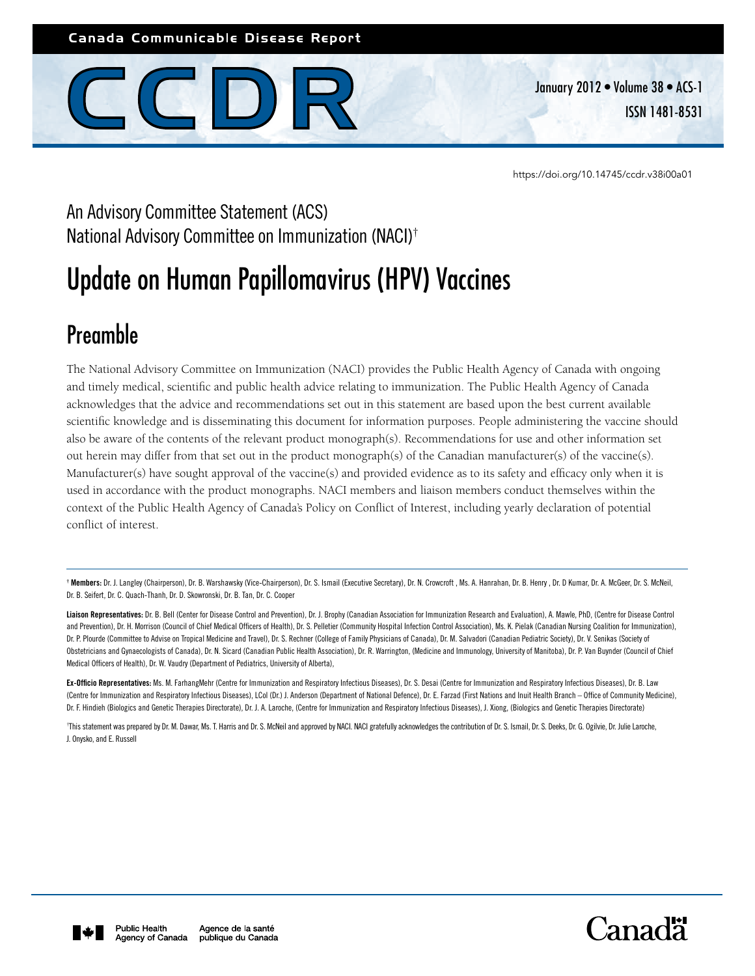Canada Communicable Disease Report



January 2012 • Volume 38 • ACS-1 ISSN 1481-8531

<https://doi.org/10.14745/ccdr.v38i00a01>

# An Advisory Committee Statement (ACS) National Advisory Committee on Immunization (NACI)†

# Update on Human Papillomavirus (HPV) Vaccines

# Preamble

The National Advisory Committee on Immunization (NACI) provides the Public Health Agency of Canada with ongoing and timely medical, scientific and public health advice relating to immunization. The Public Health Agency of Canada acknowledges that the advice and recommendations set out in this statement are based upon the best current available scientific knowledge and is disseminating this document for information purposes. People administering the vaccine should also be aware of the contents of the relevant product monograph(s). Recommendations for use and other information set out herein may differ from that set out in the product monograph(s) of the Canadian manufacturer(s) of the vaccine(s). Manufacturer(s) have sought approval of the vaccine(s) and provided evidence as to its safety and efficacy only when it is used in accordance with the product monographs. NACI members and liaison members conduct themselves within the context of the Public Health Agency of Canada's Policy on Conflict of Interest, including yearly declaration of potential conflict of interest.

† Members: Dr. J. Langley (Chairperson), Dr. B. Warshawsky (Vice-Chairperson), Dr. S. Ismail (Executive Secretary), Dr. N. Crowcroft , Ms. A. Hanrahan, Dr. B. Henry , Dr. D Kumar, Dr. A. McGeer, Dr. S. McNeil, Dr. B. Seifert, Dr. C. Quach-Thanh, Dr. D. Skowronski, Dr. B. Tan, Dr. C. Cooper

Liaison Representatives: Dr. B. Bell (Center for Disease Control and Prevention), Dr. J. Brophy (Canadian Association for Immunization Research and Evaluation), A. Mawle, PhD, (Centre for Disease Control and Prevention), Dr. H. Morrison (Council of Chief Medical Officers of Health), Dr. S. Pelletier (Community Hospital Infection Control Association), Ms. K. Pielak (Canadian Nursing Coalition for Immunization), Dr. P. Plourde (Committee to Advise on Tropical Medicine and Travel), Dr. S. Rechner (College of Family Physicians of Canada), Dr. M. Salvadori (Canadian Pediatric Society), Dr. V. Senikas (Society of Obstetricians and Gynaecologists of Canada), Dr. N. Sicard (Canadian Public Health Association), Dr. R. Warrington, (Medicine and Immunology, University of Manitoba), Dr. P. Van Buynder (Council of Chief Medical Officers of Health), Dr. W. Vaudry (Department of Pediatrics, University of Alberta),

Ex-Officio Representatives: Ms. M. FarhangMehr (Centre for Immunization and Respiratory Infectious Diseases), Dr. S. Desai (Centre for Immunization and Respiratory Infectious Diseases), Dr. B. Law (Centre for Immunization and Respiratory Infectious Diseases), LCol (Dr.) J. Anderson (Department of National Defence), Dr. E. Farzad (First Nations and Inuit Health Branch – Office of Community Medicine), Dr. F. Hindieh (Biologics and Genetic Therapies Directorate), Dr. J. A. Laroche, (Centre for Immunization and Respiratory Infectious Diseases), J. Xiong, (Biologics and Genetic Therapies Directorate)

This statement was prepared by Dr. M. Dawar, Ms. T. Harris and Dr. S. McNeil and approved by NACI. NACI gratefully acknowledges the contribution of Dr. S. Ismail, Dr. S. Deeks, Dr. G. Ogilvie, Dr. Julie Laroche, J. Onysko, and E. Russell



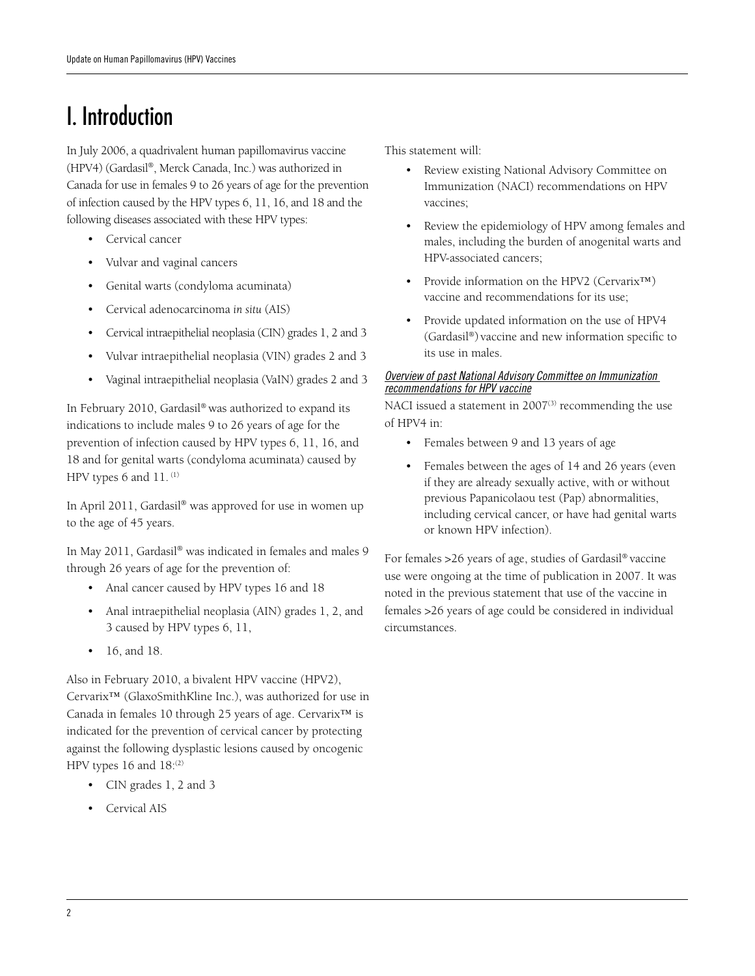# I. Introduction

In July 2006, a quadrivalent human papillomavirus vaccine (HPV4) (Gardasil®, Merck Canada, Inc.) was authorized in Canada for use in females 9 to 26 years of age for the prevention of infection caused by the HPV types 6, 11, 16, and 18 and the following diseases associated with these HPV types:

- • Cervical cancer
- Vulvar and vaginal cancers
- Genital warts (condyloma acuminata)
- • Cervical adenocarcinoma *in situ* (AIS)
- Cervical intraepithelial neoplasia (CIN) grades 1, 2 and 3
- Vulvar intraepithelial neoplasia (VIN) grades 2 and 3
- Vaginal intraepithelial neoplasia (VaIN) grades 2 and 3

In February 2010, Gardasil® was authorized to expand its indications to include males 9 to 26 years of age for the prevention of infection caused by HPV types 6, 11, 16, and 18 and for genital warts (condyloma acuminata) caused by HPV types 6 and 11. (1)

In April 2011, Gardasil® was approved for use in women up to the age of 45 years.

In May 2011, Gardasil® was indicated in females and males 9 through 26 years of age for the prevention of:

- Anal cancer caused by HPV types 16 and 18
- Anal intraepithelial neoplasia (AIN) grades 1, 2, and 3 caused by HPV types 6, 11,
- 16, and 18.

Also in February 2010, a bivalent HPV vaccine (HPV2),

Cervarix™ (GlaxoSmithKline Inc.), was authorized for use in Canada in females 10 through 25 years of age. Cervarix™ is indicated for the prevention of cervical cancer by protecting against the following dysplastic lesions caused by oncogenic HPV types 16 and  $18$ :(2)

- • CIN grades 1, 2 and 3
- Cervical AIS

This statement will:

- Review existing National Advisory Committee on Immunization (NACI) recommendations on HPV vaccines;
- Review the epidemiology of HPV among females and males, including the burden of anogenital warts and HPV-associated cancers;
- Provide information on the HPV2 (Cervarix™) vaccine and recommendations for its use;
- • Provide updated information on the use of HPV4 (Gardasil®) vaccine and new information specific to its use in males.

#### *Overview of past National Advisory Committee on Immunization recommendations for HPV vaccine*

NACI issued a statement in  $2007^{(3)}$  recommending the use of HPV4 in:

- Females between 9 and 13 years of age
- Females between the ages of 14 and 26 years (even if they are already sexually active, with or without previous Papanicolaou test (Pap) abnormalities, including cervical cancer, or have had genital warts or known HPV infection).

For females >26 years of age, studies of Gardasil® vaccine use were ongoing at the time of publication in 2007. It was noted in the previous statement that use of the vaccine in females >26 years of age could be considered in individual circumstances.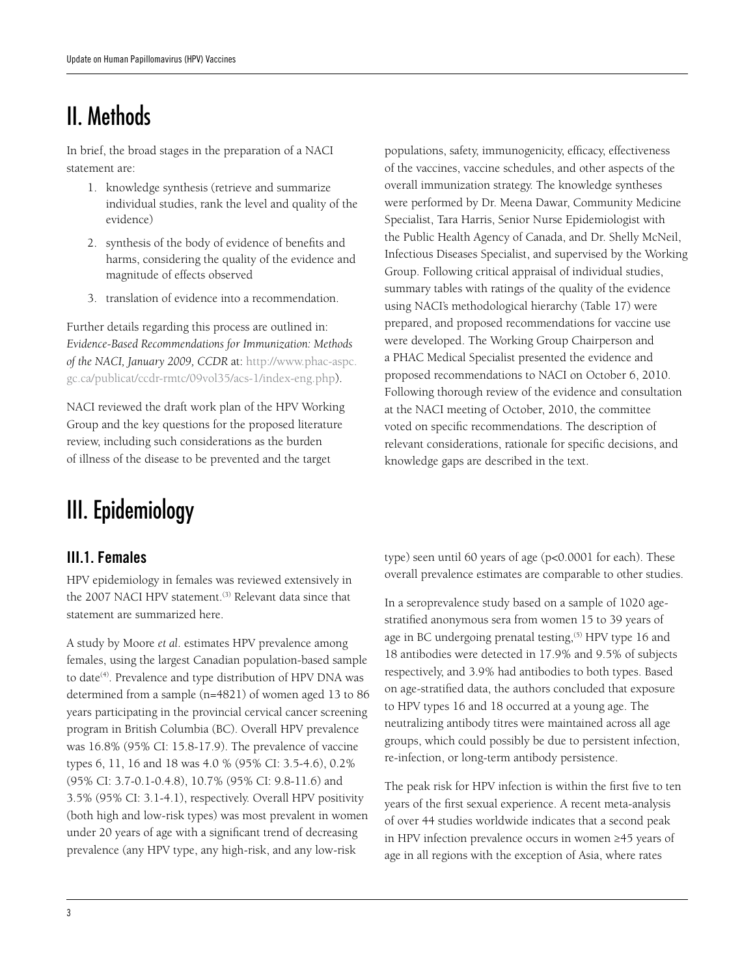# II. Methods

In brief, the broad stages in the preparation of a NACI statement are:

- 1. knowledge synthesis (retrieve and summarize individual studies, rank the level and quality of the evidence)
- 2. synthesis of the body of evidence of benefits and harms, considering the quality of the evidence and magnitude of effects observed
- 3. translation of evidence into a recommendation.

Further details regarding this process are outlined in: *Evidence-Based Recommendations for Immunization: Methods of the NACI, January 2009, CCDR* at: http://www.phac-aspc. gc.ca/publicat/ccdr-rmtc/09vol35/acs-1/index-eng.php).

NACI reviewed the draft work plan of the HPV Working Group and the key questions for the proposed literature review, including such considerations as the burden of illness of the disease to be prevented and the target

# III. Epidemiology

# III.1. Females

HPV epidemiology in females was reviewed extensively in the 2007 NACI HPV statement.<sup>(3)</sup> Relevant data since that statement are summarized here.

A study by Moore *et al*. estimates HPV prevalence among females, using the largest Canadian population-based sample to date<sup>(4)</sup>. Prevalence and type distribution of HPV DNA was determined from a sample (n=4821) of women aged 13 to 86 years participating in the provincial cervical cancer screening program in British Columbia (BC). Overall HPV prevalence was 16.8% (95% CI: 15.8-17.9). The prevalence of vaccine types 6, 11, 16 and 18 was 4.0 % (95% CI: 3.5-4.6), 0.2% (95% CI: 3.7-0.1-0.4.8), 10.7% (95% CI: 9.8-11.6) and 3.5% (95% CI: 3.1-4.1), respectively. Overall HPV positivity (both high and low-risk types) was most prevalent in women under 20 years of age with a significant trend of decreasing prevalence (any HPV type, any high-risk, and any low-risk

populations, safety, immunogenicity, efficacy, effectiveness of the vaccines, vaccine schedules, and other aspects of the overall immunization strategy. The knowledge syntheses were performed by Dr. Meena Dawar, Community Medicine Specialist, Tara Harris, Senior Nurse Epidemiologist with the Public Health Agency of Canada, and Dr. Shelly McNeil, Infectious Diseases Specialist, and supervised by the Working Group. Following critical appraisal of individual studies, summary tables with ratings of the quality of the evidence using NACI's methodological hierarchy (Table 17) were prepared, and proposed recommendations for vaccine use were developed. The Working Group Chairperson and a PHAC Medical Specialist presented the evidence and proposed recommendations to NACI on October 6, 2010. Following thorough review of the evidence and consultation at the NACI meeting of October, 2010, the committee voted on specific recommendations. The description of relevant considerations, rationale for specific decisions, and knowledge gaps are described in the text.

type) seen until 60 years of age (p<0.0001 for each). These overall prevalence estimates are comparable to other studies.

In a seroprevalence study based on a sample of 1020 agestratified anonymous sera from women 15 to 39 years of age in BC undergoing prenatal testing,<sup>(5)</sup> HPV type 16 and 18 antibodies were detected in 17.9% and 9.5% of subjects respectively, and 3.9% had antibodies to both types. Based on age-stratified data, the authors concluded that exposure to HPV types 16 and 18 occurred at a young age. The neutralizing antibody titres were maintained across all age groups, which could possibly be due to persistent infection, re-infection, or long-term antibody persistence.

The peak risk for HPV infection is within the first five to ten years of the first sexual experience. A recent meta-analysis of over 44 studies worldwide indicates that a second peak in HPV infection prevalence occurs in women ≥45 years of age in all regions with the exception of Asia, where rates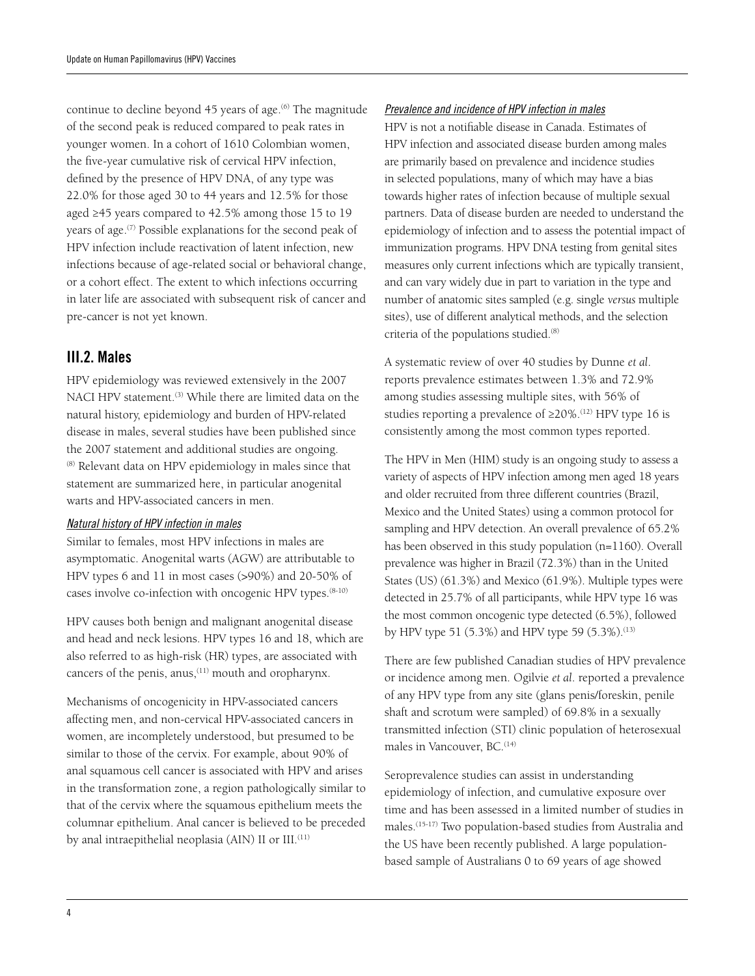continue to decline beyond 45 years of age.<sup>(6)</sup> The magnitude of the second peak is reduced compared to peak rates in younger women. In a cohort of 1610 Colombian women, the five-year cumulative risk of cervical HPV infection, defined by the presence of HPV DNA, of any type was 22.0% for those aged 30 to 44 years and 12.5% for those aged ≥45 years compared to 42.5% among those 15 to 19 years of age.<sup>(7)</sup> Possible explanations for the second peak of HPV infection include reactivation of latent infection, new infections because of age-related social or behavioral change, or a cohort effect. The extent to which infections occurring in later life are associated with subsequent risk of cancer and pre-cancer is not yet known.

## III.2. Males

HPV epidemiology was reviewed extensively in the 2007 NACI HPV statement.<sup>(3)</sup> While there are limited data on the natural history, epidemiology and burden of HPV-related disease in males, several studies have been published since the 2007 statement and additional studies are ongoing. (8) Relevant data on HPV epidemiology in males since that statement are summarized here, in particular anogenital warts and HPV-associated cancers in men.

#### *Natural history of HPV infection in males*

Similar to females, most HPV infections in males are asymptomatic. Anogenital warts (AGW) are attributable to HPV types 6 and 11 in most cases (>90%) and 20-50% of cases involve co-infection with oncogenic HPV types.(8-10)

HPV causes both benign and malignant anogenital disease and head and neck lesions. HPV types 16 and 18, which are also referred to as high-risk (HR) types, are associated with cancers of the penis, anus,<sup>(11)</sup> mouth and oropharynx.

Mechanisms of oncogenicity in HPV-associated cancers affecting men, and non-cervical HPV-associated cancers in women, are incompletely understood, but presumed to be similar to those of the cervix. For example, about 90% of anal squamous cell cancer is associated with HPV and arises in the transformation zone, a region pathologically similar to that of the cervix where the squamous epithelium meets the columnar epithelium. Anal cancer is believed to be preceded by anal intraepithelial neoplasia (AIN) II or III.<sup>(11)</sup>

#### *Prevalence and incidence of HPV infection in males*

HPV is not a notifiable disease in Canada. Estimates of HPV infection and associated disease burden among males are primarily based on prevalence and incidence studies in selected populations, many of which may have a bias towards higher rates of infection because of multiple sexual partners. Data of disease burden are needed to understand the epidemiology of infection and to assess the potential impact of immunization programs. HPV DNA testing from genital sites measures only current infections which are typically transient, and can vary widely due in part to variation in the type and number of anatomic sites sampled (e.g. single *versus* multiple sites), use of different analytical methods, and the selection criteria of the populations studied.<sup>(8)</sup>

A systematic review of over 40 studies by Dunne *et al*. reports prevalence estimates between 1.3% and 72.9% among studies assessing multiple sites, with 56% of studies reporting a prevalence of ≥20%.(12) HPV type 16 is consistently among the most common types reported.

The HPV in Men (HIM) study is an ongoing study to assess a variety of aspects of HPV infection among men aged 18 years and older recruited from three different countries (Brazil, Mexico and the United States) using a common protocol for sampling and HPV detection. An overall prevalence of 65.2% has been observed in this study population (n=1160). Overall prevalence was higher in Brazil (72.3%) than in the United States (US) (61.3%) and Mexico (61.9%). Multiple types were detected in 25.7% of all participants, while HPV type 16 was the most common oncogenic type detected (6.5%), followed by HPV type 51 (5.3%) and HPV type 59 (5.3%).<sup>(13)</sup>

There are few published Canadian studies of HPV prevalence or incidence among men. Ogilvie *et al*. reported a prevalence of any HPV type from any site (glans penis/foreskin, penile shaft and scrotum were sampled) of 69.8% in a sexually transmitted infection (STI) clinic population of heterosexual males in Vancouver, BC.<sup>(14)</sup>

Seroprevalence studies can assist in understanding epidemiology of infection, and cumulative exposure over time and has been assessed in a limited number of studies in males.(15-17) Two population-based studies from Australia and the US have been recently published. A large populationbased sample of Australians 0 to 69 years of age showed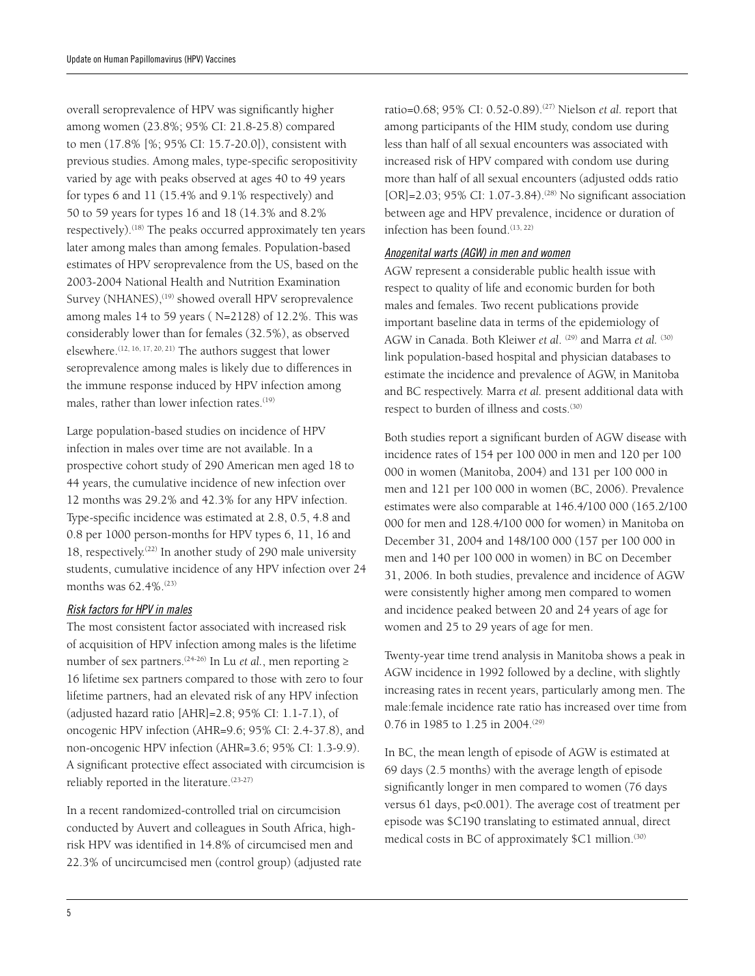overall seroprevalence of HPV was significantly higher among women (23.8%; 95% CI: 21.8-25.8) compared to men (17.8% [%; 95% CI: 15.7-20.0]), consistent with previous studies. Among males, type-specific seropositivity varied by age with peaks observed at ages 40 to 49 years for types 6 and 11 (15.4% and 9.1% respectively) and 50 to 59 years for types 16 and 18 (14.3% and 8.2% respectively).<sup>(18)</sup> The peaks occurred approximately ten years later among males than among females. Population-based estimates of HPV seroprevalence from the US, based on the 2003-2004 National Health and Nutrition Examination Survey (NHANES),<sup>(19)</sup> showed overall HPV seroprevalence among males 14 to 59 years ( N=2128) of 12.2%. This was considerably lower than for females (32.5%), as observed elsewhere.(12, 16, 17, 20, 21) The authors suggest that lower seroprevalence among males is likely due to differences in the immune response induced by HPV infection among males, rather than lower infection rates.<sup>(19)</sup>

Large population-based studies on incidence of HPV infection in males over time are not available. In a prospective cohort study of 290 American men aged 18 to 44 years, the cumulative incidence of new infection over 12 months was 29.2% and 42.3% for any HPV infection. Type-specific incidence was estimated at 2.8, 0.5, 4.8 and 0.8 per 1000 person-months for HPV types 6, 11, 16 and 18, respectively.<sup>(22)</sup> In another study of 290 male university students, cumulative incidence of any HPV infection over 24 months was 62.4%.(23)

#### *Risk factors for HPV in males*

The most consistent factor associated with increased risk of acquisition of HPV infection among males is the lifetime number of sex partners.<sup>(24-26)</sup> In Lu *et al.*, men reporting ≥ 16 lifetime sex partners compared to those with zero to four lifetime partners, had an elevated risk of any HPV infection (adjusted hazard ratio [AHR]=2.8; 95% CI: 1.1-7.1), of oncogenic HPV infection (AHR=9.6; 95% CI: 2.4-37.8), and non-oncogenic HPV infection (AHR=3.6; 95% CI: 1.3-9.9). A significant protective effect associated with circumcision is reliably reported in the literature.(23-27)

In a recent randomized-controlled trial on circumcision conducted by Auvert and colleagues in South Africa, highrisk HPV was identified in 14.8% of circumcised men and 22.3% of uncircumcised men (control group) (adjusted rate ratio=0.68; 95% CI: 0.52-0.89).<sup>(27)</sup> Nielson *et al.* report that among participants of the HIM study, condom use during less than half of all sexual encounters was associated with increased risk of HPV compared with condom use during more than half of all sexual encounters (adjusted odds ratio [OR]=2.03; 95% CI: 1.07-3.84).<sup>(28)</sup> No significant association between age and HPV prevalence, incidence or duration of infection has been found.<sup>(13, 22)</sup>

#### *Anogenital warts (AGW) in men and women*

AGW represent a considerable public health issue with respect to quality of life and economic burden for both males and females. Two recent publications provide important baseline data in terms of the epidemiology of AGW in Canada. Both Kleiwer *et al.* <sup>(29)</sup> and Marra *et al.* <sup>(30)</sup> link population-based hospital and physician databases to estimate the incidence and prevalence of AGW, in Manitoba and BC respectively. Marra *et al.* present additional data with respect to burden of illness and costs.<sup>(30)</sup>

Both studies report a significant burden of AGW disease with incidence rates of 154 per 100 000 in men and 120 per 100 000 in women (Manitoba, 2004) and 131 per 100 000 in men and 121 per 100 000 in women (BC, 2006). Prevalence estimates were also comparable at 146.4/100 000 (165.2/100 000 for men and 128.4/100 000 for women) in Manitoba on December 31, 2004 and 148/100 000 (157 per 100 000 in men and 140 per 100 000 in women) in BC on December 31, 2006. In both studies, prevalence and incidence of AGW were consistently higher among men compared to women and incidence peaked between 20 and 24 years of age for women and 25 to 29 years of age for men.

Twenty-year time trend analysis in Manitoba shows a peak in AGW incidence in 1992 followed by a decline, with slightly increasing rates in recent years, particularly among men. The male:female incidence rate ratio has increased over time from 0.76 in 1985 to 1.25 in 2004.(29)

In BC, the mean length of episode of AGW is estimated at 69 days (2.5 months) with the average length of episode significantly longer in men compared to women (76 days versus 61 days, p<0.001). The average cost of treatment per episode was \$C190 translating to estimated annual, direct medical costs in BC of approximately \$C1 million.<sup>(30)</sup>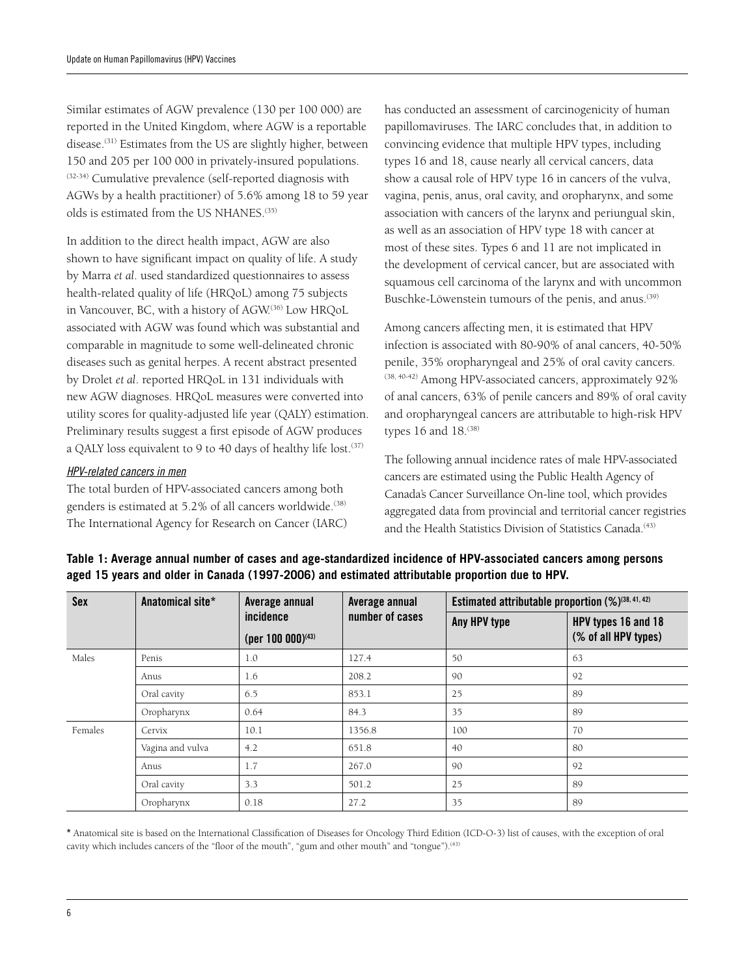Similar estimates of AGW prevalence (130 per 100 000) are reported in the United Kingdom, where AGW is a reportable disease.(31) Estimates from the US are slightly higher, between 150 and 205 per 100 000 in privately-insured populations. (32-34) Cumulative prevalence (self-reported diagnosis with AGWs by a health practitioner) of 5.6% among 18 to 59 year olds is estimated from the US NHANES.(35)

In addition to the direct health impact, AGW are also shown to have significant impact on quality of life. A study by Marra *et al*. used standardized questionnaires to assess health-related quality of life (HRQoL) among 75 subjects in Vancouver, BC, with a history of AGW.<sup>(36)</sup> Low HRQoL associated with AGW was found which was substantial and comparable in magnitude to some well-delineated chronic diseases such as genital herpes. A recent abstract presented by Drolet *et al*. reported HRQoL in 131 individuals with new AGW diagnoses. HRQoL measures were converted into utility scores for quality-adjusted life year (QALY) estimation. Preliminary results suggest a first episode of AGW produces a QALY loss equivalent to 9 to 40 days of healthy life lost.<sup>(37)</sup>

#### *HPV-related cancers in men*

The total burden of HPV-associated cancers among both genders is estimated at 5.2% of all cancers worldwide.<sup>(38)</sup> The International Agency for Research on Cancer (IARC) has conducted an assessment of carcinogenicity of human papillomaviruses. The IARC concludes that, in addition to convincing evidence that multiple HPV types, including types 16 and 18, cause nearly all cervical cancers, data show a causal role of HPV type 16 in cancers of the vulva, vagina, penis, anus, oral cavity, and oropharynx, and some association with cancers of the larynx and periungual skin, as well as an association of HPV type 18 with cancer at most of these sites. Types 6 and 11 are not implicated in the development of cervical cancer, but are associated with squamous cell carcinoma of the larynx and with uncommon Buschke-Löwenstein tumours of the penis, and anus.<sup>(39)</sup>

Among cancers affecting men, it is estimated that HPV infection is associated with 80-90% of anal cancers, 40-50% penile, 35% oropharyngeal and 25% of oral cavity cancers. (38, 40-42) Among HPV-associated cancers, approximately 92% of anal cancers, 63% of penile cancers and 89% of oral cavity and oropharyngeal cancers are attributable to high-risk HPV types 16 and 18.<sup>(38)</sup>

The following annual incidence rates of male HPV-associated cancers are estimated using the Public Health Agency of Canada's Cancer Surveillance On-line tool, which provides aggregated data from provincial and territorial cancer registries and the Health Statistics Division of Statistics Canada.<sup>(43)</sup>

| <b>Sex</b> | Anatomical site* | Average annual                | Average annual  | Estimated attributable proportion $(\%)^{(38, 41, 42)}$ |                      |
|------------|------------------|-------------------------------|-----------------|---------------------------------------------------------|----------------------|
|            |                  | incidence                     | number of cases | Any HPV type                                            | HPV types 16 and 18  |
|            |                  | (per 100 000) <sup>(43)</sup> |                 |                                                         | (% of all HPV types) |
| Males      | Penis            | 1.0                           | 127.4           | 50                                                      | 63                   |
|            | Anus             | 1.6                           | 208.2           | 90                                                      | 92                   |
|            | Oral cavity      | 6.5                           | 853.1           | 25                                                      | 89                   |
|            | Oropharynx       | 0.64                          | 84.3            | 35                                                      | 89                   |
| Females    | Cervix           | 10.1                          | 1356.8          | 100                                                     | 70                   |
|            | Vagina and vulva | 4.2                           | 651.8           | 40                                                      | 80                   |
|            | Anus             | 1.7                           | 267.0           | 90                                                      | 92                   |
|            | Oral cavity      | 3.3                           | 501.2           | 25                                                      | 89                   |
|            | Oropharynx       | 0.18                          | 27.2            | 35                                                      | 89                   |

**Table 1: Average annual number of cases and age-standardized incidence of HPV-associated cancers among persons aged 15 years and older in Canada (1997-2006) and estimated attributable proportion due to HPV.**

\* Anatomical site is based on the International Classification of Diseases for Oncology Third Edition (ICD-O-3) list of causes, with the exception of oral cavity which includes cancers of the "floor of the mouth", "gum and other mouth" and "tongue").<sup>(43)</sup>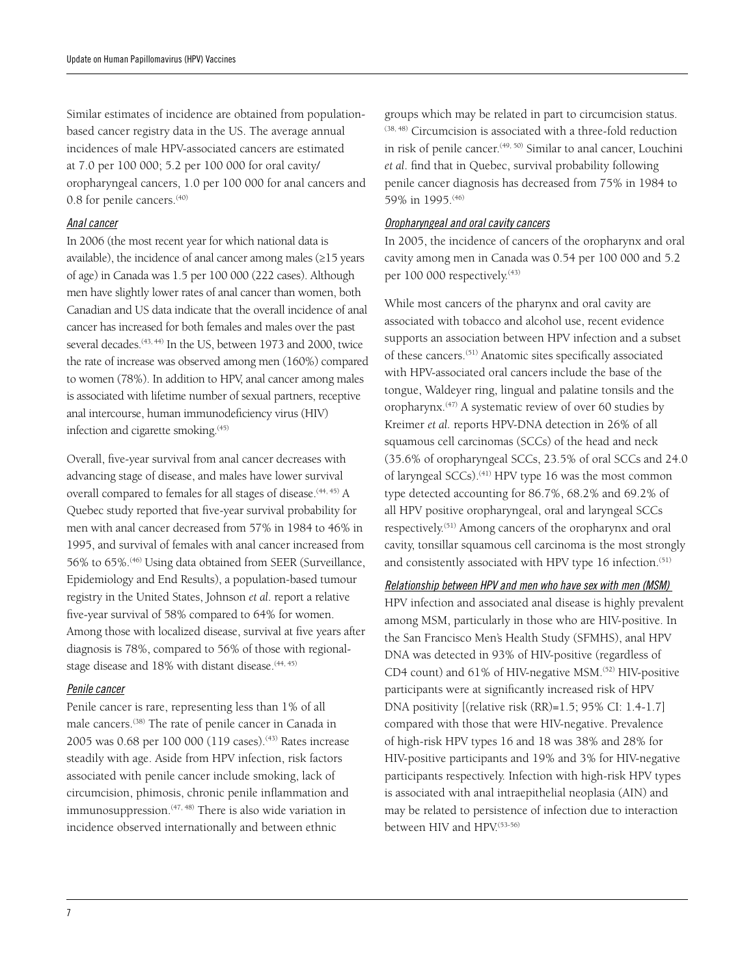Similar estimates of incidence are obtained from populationbased cancer registry data in the US. The average annual incidences of male HPV-associated cancers are estimated at 7.0 per 100 000; 5.2 per 100 000 for oral cavity/ oropharyngeal cancers, 1.0 per 100 000 for anal cancers and 0.8 for penile cancers.<sup>(40)</sup>

#### *Anal cancer*

In 2006 (the most recent year for which national data is available), the incidence of anal cancer among males (≥15 years of age) in Canada was 1.5 per 100 000 (222 cases). Although men have slightly lower rates of anal cancer than women, both Canadian and US data indicate that the overall incidence of anal cancer has increased for both females and males over the past several decades.<sup>(43, 44)</sup> In the US, between 1973 and 2000, twice the rate of increase was observed among men (160%) compared to women (78%). In addition to HPV, anal cancer among males is associated with lifetime number of sexual partners, receptive anal intercourse, human immunodeficiency virus (HIV) infection and cigarette smoking.(45)

Overall, five-year survival from anal cancer decreases with advancing stage of disease, and males have lower survival overall compared to females for all stages of disease.<sup>(44, 45)</sup> A Quebec study reported that five-year survival probability for men with anal cancer decreased from 57% in 1984 to 46% in 1995, and survival of females with anal cancer increased from 56% to 65%.(46) Using data obtained from SEER (Surveillance, Epidemiology and End Results), a population-based tumour registry in the United States, Johnson *et al*. report a relative five-year survival of 58% compared to 64% for women. Among those with localized disease, survival at five years after diagnosis is 78%, compared to 56% of those with regionalstage disease and 18% with distant disease.<sup>(44, 45)</sup>

#### *Penile cancer*

Penile cancer is rare, representing less than 1% of all male cancers.(38) The rate of penile cancer in Canada in 2005 was 0.68 per 100 000 (119 cases).<sup>(43)</sup> Rates increase steadily with age. Aside from HPV infection, risk factors associated with penile cancer include smoking, lack of circumcision, phimosis, chronic penile inflammation and immunosuppression.<sup>(47, 48)</sup> There is also wide variation in incidence observed internationally and between ethnic

groups which may be related in part to circumcision status. (38, 48) Circumcision is associated with a three-fold reduction in risk of penile cancer.<sup>(49, 50)</sup> Similar to anal cancer, Louchini *et al*. find that in Quebec, survival probability following penile cancer diagnosis has decreased from 75% in 1984 to 59% in 1995.(46)

#### *Oropharyngeal and oral cavity cancers*

In 2005, the incidence of cancers of the oropharynx and oral cavity among men in Canada was 0.54 per 100 000 and 5.2 per 100 000 respectively.<sup>(43)</sup>

While most cancers of the pharynx and oral cavity are associated with tobacco and alcohol use, recent evidence supports an association between HPV infection and a subset of these cancers.(51) Anatomic sites specifically associated with HPV-associated oral cancers include the base of the tongue, Waldeyer ring, lingual and palatine tonsils and the oropharynx.(47) A systematic review of over 60 studies by Kreimer *et al.* reports HPV-DNA detection in 26% of all squamous cell carcinomas (SCCs) of the head and neck (35.6% of oropharyngeal SCCs, 23.5% of oral SCCs and 24.0 of laryngeal SCCs).<sup>(41)</sup> HPV type 16 was the most common type detected accounting for 86.7%, 68.2% and 69.2% of all HPV positive oropharyngeal, oral and laryngeal SCCs respectively.(51) Among cancers of the oropharynx and oral cavity, tonsillar squamous cell carcinoma is the most strongly and consistently associated with HPV type 16 infection.<sup>(51)</sup>

#### *Relationship between HPV and men who have sex with men (MSM)*

HPV infection and associated anal disease is highly prevalent among MSM, particularly in those who are HIV-positive. In the San Francisco Men's Health Study (SFMHS), anal HPV DNA was detected in 93% of HIV-positive (regardless of CD4 count) and 61% of HIV-negative MSM.<sup>(52)</sup> HIV-positive participants were at significantly increased risk of HPV DNA positivity [(relative risk (RR)=1.5; 95% CI: 1.4-1.7] compared with those that were HIV-negative. Prevalence of high-risk HPV types 16 and 18 was 38% and 28% for HIV-positive participants and 19% and 3% for HIV-negative participants respectively. Infection with high-risk HPV types is associated with anal intraepithelial neoplasia (AIN) and may be related to persistence of infection due to interaction between HIV and HPV.<sup>(53-56)</sup>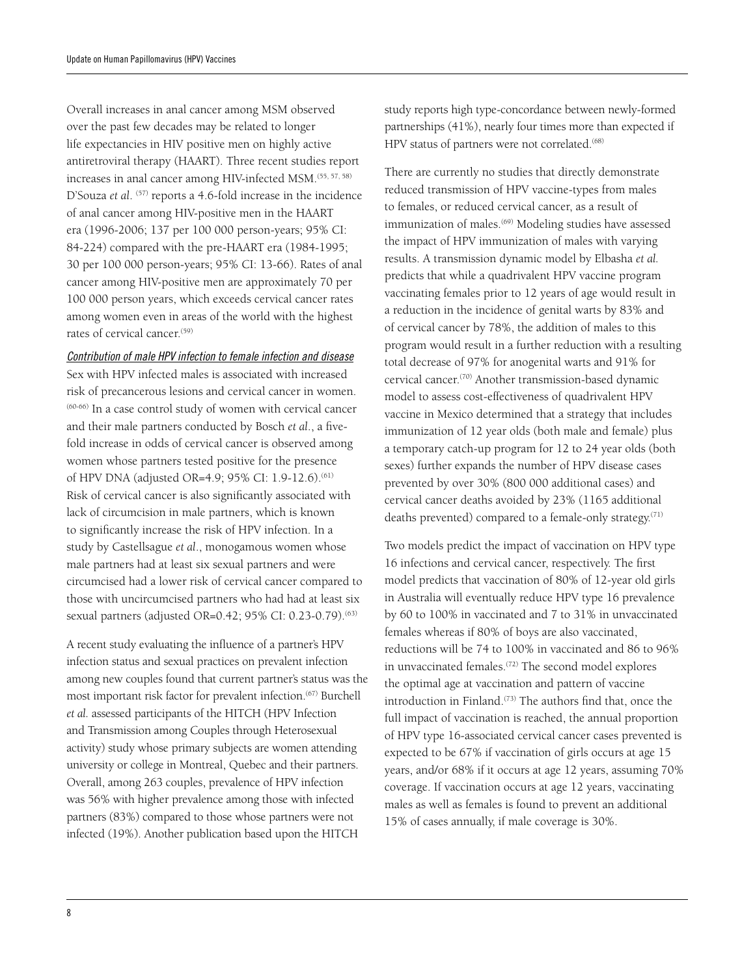Overall increases in anal cancer among MSM observed over the past few decades may be related to longer life expectancies in HIV positive men on highly active antiretroviral therapy (HAART). Three recent studies report increases in anal cancer among HIV-infected MSM.<sup>(55, 57, 58)</sup> D'Souza et al. <sup>(57)</sup> reports a 4.6-fold increase in the incidence of anal cancer among HIV-positive men in the HAART era (1996-2006; 137 per 100 000 person-years; 95% CI: 84-224) compared with the pre-HAART era (1984-1995; 30 per 100 000 person-years; 95% CI: 13-66). Rates of anal cancer among HIV-positive men are approximately 70 per 100 000 person years, which exceeds cervical cancer rates among women even in areas of the world with the highest rates of cervical cancer.<sup>(59)</sup>

#### *Contribution of male HPV infection to female infection and disease*

Sex with HPV infected males is associated with increased risk of precancerous lesions and cervical cancer in women. (60-66) In a case control study of women with cervical cancer and their male partners conducted by Bosch *et al*., a fivefold increase in odds of cervical cancer is observed among women whose partners tested positive for the presence of HPV DNA (adjusted OR=4.9; 95% CI: 1.9-12.6).(61) Risk of cervical cancer is also significantly associated with lack of circumcision in male partners, which is known to significantly increase the risk of HPV infection. In a study by Castellsague *et al*., monogamous women whose male partners had at least six sexual partners and were circumcised had a lower risk of cervical cancer compared to those with uncircumcised partners who had had at least six sexual partners (adjusted OR=0.42; 95% CI: 0.23-0.79).<sup>(63)</sup>

A recent study evaluating the influence of a partner's HPV infection status and sexual practices on prevalent infection among new couples found that current partner's status was the most important risk factor for prevalent infection.<sup>(67)</sup> Burchell *et al.* assessed participants of the HITCH (HPV Infection and Transmission among Couples through Heterosexual activity) study whose primary subjects are women attending university or college in Montreal, Quebec and their partners. Overall, among 263 couples, prevalence of HPV infection was 56% with higher prevalence among those with infected partners (83%) compared to those whose partners were not infected (19%). Another publication based upon the HITCH

study reports high type-concordance between newly-formed partnerships (41%), nearly four times more than expected if HPV status of partners were not correlated.<sup>(68)</sup>

There are currently no studies that directly demonstrate reduced transmission of HPV vaccine-types from males to females, or reduced cervical cancer, as a result of immunization of males.<sup>(69)</sup> Modeling studies have assessed the impact of HPV immunization of males with varying results. A transmission dynamic model by Elbasha *et al.* predicts that while a quadrivalent HPV vaccine program vaccinating females prior to 12 years of age would result in a reduction in the incidence of genital warts by 83% and of cervical cancer by 78%, the addition of males to this program would result in a further reduction with a resulting total decrease of 97% for anogenital warts and 91% for cervical cancer.(70) Another transmission-based dynamic model to assess cost-effectiveness of quadrivalent HPV vaccine in Mexico determined that a strategy that includes immunization of 12 year olds (both male and female) plus a temporary catch-up program for 12 to 24 year olds (both sexes) further expands the number of HPV disease cases prevented by over 30% (800 000 additional cases) and cervical cancer deaths avoided by 23% (1165 additional deaths prevented) compared to a female-only strategy.<sup> $(71)$ </sup>

Two models predict the impact of vaccination on HPV type 16 infections and cervical cancer, respectively. The first model predicts that vaccination of 80% of 12-year old girls in Australia will eventually reduce HPV type 16 prevalence by 60 to 100% in vaccinated and 7 to 31% in unvaccinated females whereas if 80% of boys are also vaccinated, reductions will be 74 to 100% in vaccinated and 86 to 96% in unvaccinated females.(72) The second model explores the optimal age at vaccination and pattern of vaccine introduction in Finland.<sup>(73)</sup> The authors find that, once the full impact of vaccination is reached, the annual proportion of HPV type 16-associated cervical cancer cases prevented is expected to be 67% if vaccination of girls occurs at age 15 years, and/or 68% if it occurs at age 12 years, assuming 70% coverage. If vaccination occurs at age 12 years, vaccinating males as well as females is found to prevent an additional 15% of cases annually, if male coverage is 30%.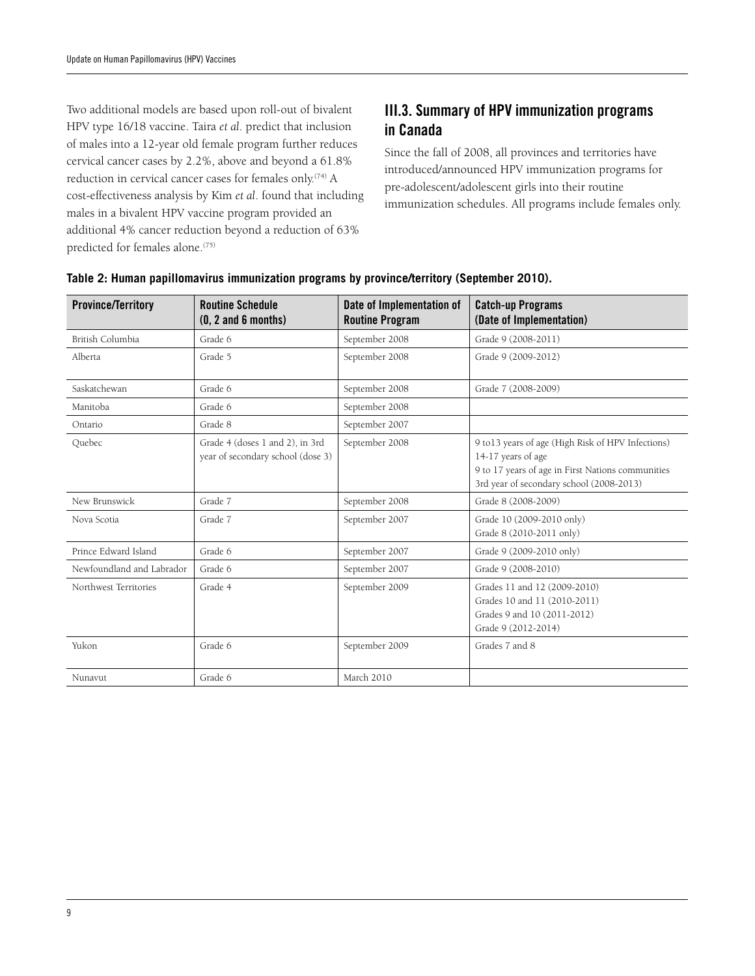Two additional models are based upon roll-out of bivalent HPV type 16/18 vaccine. Taira *et al*. predict that inclusion of males into a 12-year old female program further reduces cervical cancer cases by 2.2%, above and beyond a 61.8% reduction in cervical cancer cases for females only.<sup>(74)</sup> A cost-effectiveness analysis by Kim *et al*. found that including males in a bivalent HPV vaccine program provided an additional 4% cancer reduction beyond a reduction of 63% predicted for females alone.(75)

# III.3. Summary of HPV immunization programs in Canada

Since the fall of 2008, all provinces and territories have introduced/announced HPV immunization programs for pre-adolescent/adolescent girls into their routine immunization schedules. All programs include females only.

| <b>Province/Territory</b> | <b>Routine Schedule</b><br>$(0, 2 \text{ and } 6 \text{ months})$    | Date of Implementation of<br><b>Routine Program</b> | <b>Catch-up Programs</b><br>(Date of Implementation)                                                                                                                      |
|---------------------------|----------------------------------------------------------------------|-----------------------------------------------------|---------------------------------------------------------------------------------------------------------------------------------------------------------------------------|
| British Columbia          | Grade 6                                                              | September 2008                                      | Grade 9 (2008-2011)                                                                                                                                                       |
| Alberta                   | Grade 5                                                              | September 2008                                      | Grade 9 (2009-2012)                                                                                                                                                       |
| Saskatchewan              | Grade 6                                                              | September 2008                                      | Grade 7 (2008-2009)                                                                                                                                                       |
| Manitoba                  | Grade 6                                                              | September 2008                                      |                                                                                                                                                                           |
| Ontario                   | Grade 8                                                              | September 2007                                      |                                                                                                                                                                           |
| Quebec                    | Grade 4 (doses 1 and 2), in 3rd<br>year of secondary school (dose 3) | September 2008                                      | 9 to 13 years of age (High Risk of HPV Infections)<br>14-17 years of age<br>9 to 17 years of age in First Nations communities<br>3rd year of secondary school (2008-2013) |
| New Brunswick             | Grade 7                                                              | September 2008                                      | Grade 8 (2008-2009)                                                                                                                                                       |
| Nova Scotia               | Grade 7                                                              | September 2007                                      | Grade 10 (2009-2010 only)<br>Grade 8 (2010-2011 only)                                                                                                                     |
| Prince Edward Island      | Grade 6                                                              | September 2007                                      | Grade 9 (2009-2010 only)                                                                                                                                                  |
| Newfoundland and Labrador | Grade 6                                                              | September 2007                                      | Grade 9 (2008-2010)                                                                                                                                                       |
| Northwest Territories     | Grade 4                                                              | September 2009                                      | Grades 11 and 12 (2009-2010)<br>Grades 10 and 11 (2010-2011)<br>Grades 9 and 10 (2011-2012)<br>Grade 9 (2012-2014)                                                        |
| Yukon                     | Grade 6                                                              | September 2009                                      | Grades 7 and 8                                                                                                                                                            |
| Nunavut                   | Grade 6                                                              | March 2010                                          |                                                                                                                                                                           |

#### **Table 2: Human papillomavirus immunization programs by province/territory (September 2010).**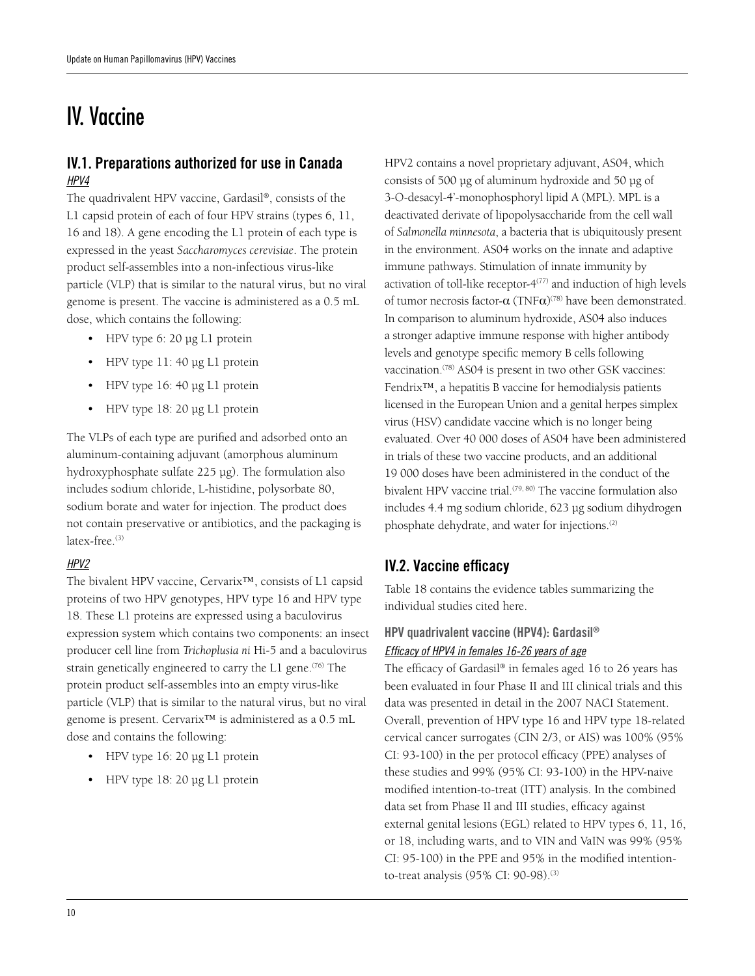# IV. Vaccine

# IV.1. Preparations authorized for use in Canada *HPV4*

The quadrivalent HPV vaccine, Gardasil®, consists of the L1 capsid protein of each of four HPV strains (types 6, 11, 16 and 18). A gene encoding the L1 protein of each type is expressed in the yeast *Saccharomyces cerevisiae*. The protein product self-assembles into a non-infectious virus-like particle (VLP) that is similar to the natural virus, but no viral genome is present. The vaccine is administered as a 0.5 mL dose, which contains the following:

- HPV type 6: 20 µg L1 protein
- HPV type 11: 40 µg L1 protein
- HPV type 16: 40 µg L1 protein
- HPV type 18: 20 µg L1 protein

The VLPs of each type are purified and adsorbed onto an aluminum-containing adjuvant (amorphous aluminum hydroxyphosphate sulfate 225 µg). The formulation also includes sodium chloride, L-histidine, polysorbate 80, sodium borate and water for injection. The product does not contain preservative or antibiotics, and the packaging is latex-free.<sup>(3)</sup>

### *HPV2*

The bivalent HPV vaccine, Cervarix™, consists of L1 capsid proteins of two HPV genotypes, HPV type 16 and HPV type 18. These L1 proteins are expressed using a baculovirus expression system which contains two components: an insect producer cell line from *Trichoplusia ni* Hi-5 and a baculovirus strain genetically engineered to carry the L1 gene.<sup>(76)</sup> The protein product self-assembles into an empty virus-like particle (VLP) that is similar to the natural virus, but no viral genome is present. Cervarix™ is administered as a 0.5 mL dose and contains the following:

- HPV type 16: 20 µg L1 protein
- HPV type 18: 20 µg L1 protein

HPV2 contains a novel proprietary adjuvant, AS04, which consists of 500 µg of aluminum hydroxide and 50 µg of 3-O-desacyl-4'-monophosphoryl lipid A (MPL). MPL is a deactivated derivate of lipopolysaccharide from the cell wall of *Salmonella minnesota*, a bacteria that is ubiquitously present in the environment. AS04 works on the innate and adaptive immune pathways. Stimulation of innate immunity by activation of toll-like receptor- $4^{(77)}$  and induction of high levels of tumor necrosis factor- $\alpha$  (TNF $\alpha$ )<sup>(78)</sup> have been demonstrated. In comparison to aluminum hydroxide, AS04 also induces a stronger adaptive immune response with higher antibody levels and genotype specific memory B cells following vaccination.<sup>(78)</sup> AS04 is present in two other GSK vaccines: Fendrix™, a hepatitis B vaccine for hemodialysis patients licensed in the European Union and a genital herpes simplex virus (HSV) candidate vaccine which is no longer being evaluated. Over 40 000 doses of AS04 have been administered in trials of these two vaccine products, and an additional 19 000 doses have been administered in the conduct of the bivalent HPV vaccine trial.<sup>(79, 80)</sup> The vaccine formulation also includes 4.4 mg sodium chloride, 623 µg sodium dihydrogen phosphate dehydrate, and water for injections.<sup>(2)</sup>

# IV.2. Vaccine efficacy

Table 18 contains the evidence tables summarizing the individual studies cited here.

## HPV quadrivalent vaccine (HPV4): Gardasil® *Efficacy of HPV4 in females 16-26 years of age*

The efficacy of Gardasil® in females aged 16 to 26 years has been evaluated in four Phase II and III clinical trials and this data was presented in detail in the 2007 NACI Statement. Overall, prevention of HPV type 16 and HPV type 18-related cervical cancer surrogates (CIN 2/3, or AIS) was 100% (95% CI: 93-100) in the per protocol efficacy (PPE) analyses of these studies and 99% (95% CI: 93-100) in the HPV-naive modified intention-to-treat (ITT) analysis. In the combined data set from Phase II and III studies, efficacy against external genital lesions (EGL) related to HPV types 6, 11, 16, or 18, including warts, and to VIN and VaIN was 99% (95% CI: 95-100) in the PPE and 95% in the modified intentionto-treat analysis (95% CI: 90-98).<sup>(3)</sup>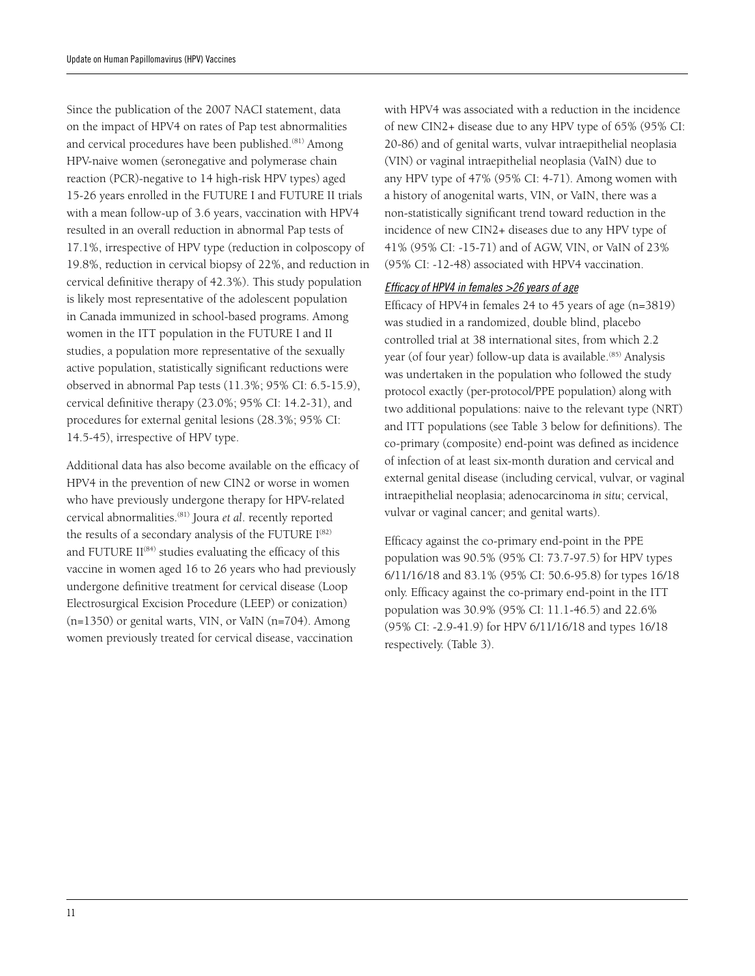Since the publication of the 2007 NACI statement, data on the impact of HPV4 on rates of Pap test abnormalities and cervical procedures have been published.(81) Among HPV-naive women (seronegative and polymerase chain reaction (PCR)-negative to 14 high-risk HPV types) aged 15-26 years enrolled in the FUTURE I and FUTURE II trials with a mean follow-up of 3.6 years, vaccination with HPV4 resulted in an overall reduction in abnormal Pap tests of 17.1%, irrespective of HPV type (reduction in colposcopy of 19.8%, reduction in cervical biopsy of 22%, and reduction in cervical definitive therapy of 42.3%). This study population is likely most representative of the adolescent population in Canada immunized in school-based programs. Among women in the ITT population in the FUTURE I and II studies, a population more representative of the sexually active population, statistically significant reductions were observed in abnormal Pap tests (11.3%; 95% CI: 6.5-15.9), cervical definitive therapy (23.0%; 95% CI: 14.2-31), and procedures for external genital lesions (28.3%; 95% CI: 14.5-45), irrespective of HPV type.

Additional data has also become available on the efficacy of HPV4 in the prevention of new CIN2 or worse in women who have previously undergone therapy for HPV-related cervical abnormalities.(81) Joura *et al*. recently reported the results of a secondary analysis of the FUTURE  $I^{(82)}$ and FUTURE  $II^{(84)}$  studies evaluating the efficacy of this vaccine in women aged 16 to 26 years who had previously undergone definitive treatment for cervical disease (Loop Electrosurgical Excision Procedure (LEEP) or conization) (n=1350) or genital warts, VIN, or VaIN (n=704). Among women previously treated for cervical disease, vaccination

with HPV4 was associated with a reduction in the incidence of new CIN2+ disease due to any HPV type of 65% (95% CI: 20-86) and of genital warts, vulvar intraepithelial neoplasia (VIN) or vaginal intraepithelial neoplasia (VaIN) due to any HPV type of 47% (95% CI: 4-71). Among women with a history of anogenital warts, VIN, or VaIN, there was a non-statistically significant trend toward reduction in the incidence of new CIN2+ diseases due to any HPV type of 41% (95% CI: -15-71) and of AGW, VIN, or VaIN of 23% (95% CI: -12-48) associated with HPV4 vaccination.

#### *Efficacy of HPV4 in females >26 years of age*

Efficacy of HPV4 in females 24 to 45 years of age (n=3819) was studied in a randomized, double blind, placebo controlled trial at 38 international sites, from which 2.2 year (of four year) follow-up data is available.<sup>(85)</sup> Analysis was undertaken in the population who followed the study protocol exactly (per-protocol/PPE population) along with two additional populations: naive to the relevant type (NRT) and ITT populations (see Table 3 below for definitions). The co-primary (composite) end-point was defined as incidence of infection of at least six-month duration and cervical and external genital disease (including cervical, vulvar, or vaginal intraepithelial neoplasia; adenocarcinoma *in situ*; cervical, vulvar or vaginal cancer; and genital warts).

Efficacy against the co-primary end-point in the PPE population was 90.5% (95% CI: 73.7-97.5) for HPV types 6/11/16/18 and 83.1% (95% CI: 50.6-95.8) for types 16/18 only. Efficacy against the co-primary end-point in the ITT population was 30.9% (95% CI: 11.1-46.5) and 22.6% (95% CI: -2.9-41.9) for HPV 6/11/16/18 and types 16/18 respectively. (Table 3).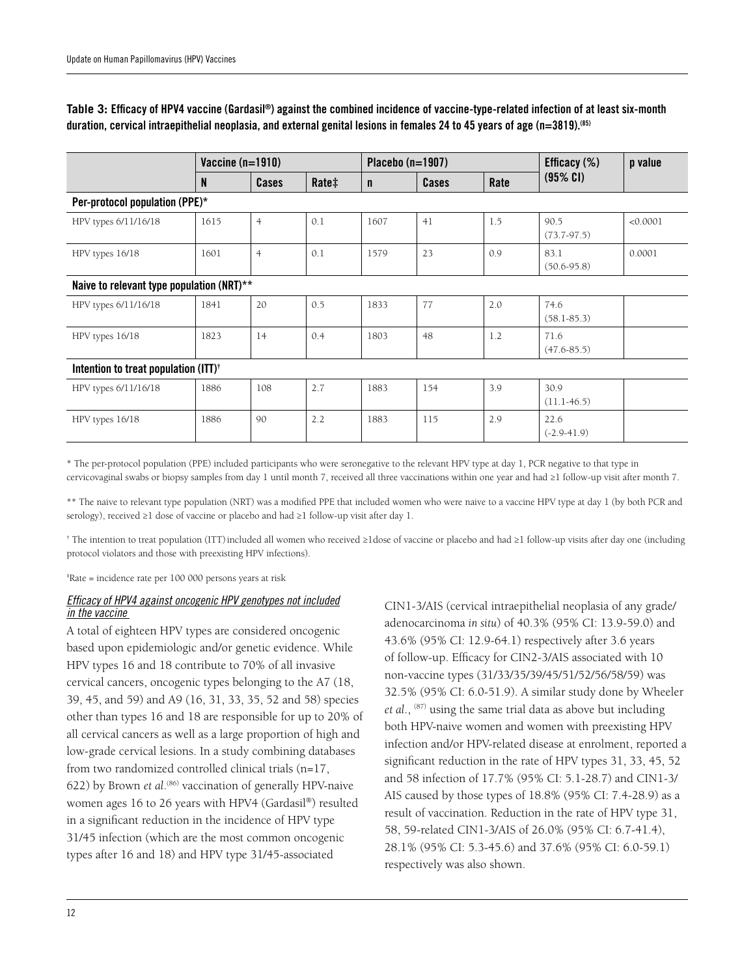| Table 3: Efficacy of HPV4 vaccine (Gardasil®) against the combined incidence of vaccine-type-related infection of at least six-month  |
|---------------------------------------------------------------------------------------------------------------------------------------|
| duration, cervical intraepithelial neoplasia, and external genital lesions in females 24 to 45 years of age (n=3819). <sup>(85)</sup> |

|                                                  | Vaccine $(n=1910)$ |                |       | Placebo $(n=1907)$ |       |      | Efficacy $(\%)$         | p value  |
|--------------------------------------------------|--------------------|----------------|-------|--------------------|-------|------|-------------------------|----------|
|                                                  | N                  | Cases          | Rate‡ | $\mathsf{n}$       | Cases | Rate | $(95\% \text{ Cl})$     |          |
| Per-protocol population (PPE)*                   |                    |                |       |                    |       |      |                         |          |
| HPV types 6/11/16/18                             | 1615               | $\overline{4}$ | 0.1   | 1607               | 41    | 1.5  | 90.5<br>$(73.7-97.5)$   | < 0.0001 |
| HPV types 16/18                                  | 1601               | $\overline{4}$ | 0.1   | 1579               | 23    | 0.9  | 83.1<br>$(50.6 - 95.8)$ | 0.0001   |
| Naive to relevant type population (NRT)**        |                    |                |       |                    |       |      |                         |          |
| HPV types 6/11/16/18                             | 1841               | 20             | 0.5   | 1833               | 77    | 2.0  | 74.6<br>$(58.1 - 85.3)$ |          |
| HPV types 16/18                                  | 1823               | 14             | 0.4   | 1803               | 48    | 1.2  | 71.6<br>$(47.6 - 85.5)$ |          |
| Intention to treat population (ITT) <sup>†</sup> |                    |                |       |                    |       |      |                         |          |
| HPV types 6/11/16/18                             | 1886               | 108            | 2.7   | 1883               | 154   | 3.9  | 30.9<br>$(11.1-46.5)$   |          |
| HPV types 16/18                                  | 1886               | 90             | 2.2   | 1883               | 115   | 2.9  | 22.6<br>$(-2.9-41.9)$   |          |

\* The per-protocol population (PPE) included participants who were seronegative to the relevant HPV type at day 1, PCR negative to that type in cervicovaginal swabs or biopsy samples from day 1 until month 7, received all three vaccinations within one year and had ≥1 follow-up visit after month 7.

\*\* The naive to relevant type population (NRT) was a modified PPE that included women who were naive to a vaccine HPV type at day 1 (by both PCR and serology), received ≥1 dose of vaccine or placebo and had ≥1 follow-up visit after day 1.

† The intention to treat population (ITT)included all women who received ≥1dose of vaccine or placebo and had ≥1 follow-up visits after day one (including protocol violators and those with preexisting HPV infections).

‡ Rate = incidence rate per 100 000 persons years at risk

#### *Efficacy of HPV4 against oncogenic HPV genotypes not included in the vaccine*

A total of eighteen HPV types are considered oncogenic based upon epidemiologic and/or genetic evidence. While HPV types 16 and 18 contribute to 70% of all invasive cervical cancers, oncogenic types belonging to the A7 (18, 39, 45, and 59) and A9 (16, 31, 33, 35, 52 and 58) species other than types 16 and 18 are responsible for up to 20% of all cervical cancers as well as a large proportion of high and low-grade cervical lesions. In a study combining databases from two randomized controlled clinical trials (n=17, 622) by Brown *et al.*<sup>(86)</sup> vaccination of generally HPV-naive women ages 16 to 26 years with HPV4 (Gardasil®) resulted in a significant reduction in the incidence of HPV type 31/45 infection (which are the most common oncogenic types after 16 and 18) and HPV type 31/45-associated

CIN1-3/AIS (cervical intraepithelial neoplasia of any grade/ adenocarcinoma *in situ*) of 40.3% (95% CI: 13.9-59.0) and 43.6% (95% CI: 12.9-64.1) respectively after 3.6 years of follow-up. Efficacy for CIN2-3/AIS associated with 10 non-vaccine types (31/33/35/39/45/51/52/56/58/59) was 32.5% (95% CI: 6.0-51.9). A similar study done by Wheeler *et al*., (87) using the same trial data as above but including both HPV-naive women and women with preexisting HPV infection and/or HPV-related disease at enrolment, reported a significant reduction in the rate of HPV types 31, 33, 45, 52 and 58 infection of 17.7% (95% CI: 5.1-28.7) and CIN1-3/ AIS caused by those types of 18.8% (95% CI: 7.4-28.9) as a result of vaccination. Reduction in the rate of HPV type 31, 58, 59-related CIN1-3/AIS of 26.0% (95% CI: 6.7-41.4), 28.1% (95% CI: 5.3-45.6) and 37.6% (95% CI: 6.0-59.1) respectively was also shown.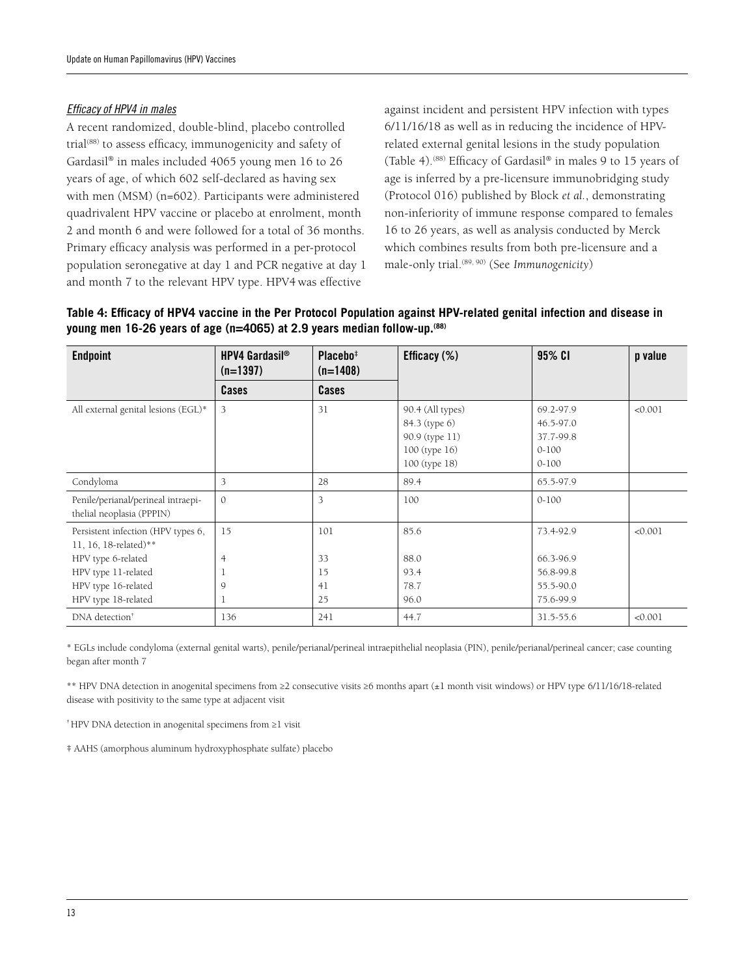#### *Efficacy of HPV4 in males*

A recent randomized, double-blind, placebo controlled trial<sup>(88)</sup> to assess efficacy, immunogenicity and safety of Gardasil® in males included 4065 young men 16 to 26 years of age, of which 602 self-declared as having sex with men (MSM) (n=602). Participants were administered quadrivalent HPV vaccine or placebo at enrolment, month 2 and month 6 and were followed for a total of 36 months. Primary efficacy analysis was performed in a per-protocol population seronegative at day 1 and PCR negative at day 1 and month 7 to the relevant HPV type. HPV4 was effective

against incident and persistent HPV infection with types 6/11/16/18 as well as in reducing the incidence of HPVrelated external genital lesions in the study population (Table 4).(88) Efficacy of Gardasil® in males 9 to 15 years of age is inferred by a pre-licensure immunobridging study (Protocol 016) published by Block *et al.*, demonstrating non-inferiority of immune response compared to females 16 to 26 years, as well as analysis conducted by Merck which combines results from both pre-licensure and a male-only trial.(89, 90) (See *Immunogenicity*)

| Table 4: Efficacy of HPV4 vaccine in the Per Protocol Population against HPV-related genital infection and disease in |  |
|-----------------------------------------------------------------------------------------------------------------------|--|
| young men 16-26 years of age (n=4065) at 2.9 years median follow-up. <sup>(88)</sup>                                  |  |

| <b>Endpoint</b>                                                                                                                 | <b>HPV4 Gardasil<sup>®</sup></b><br>$(n=1397)$ | Placebo <sup>‡</sup><br>$(n=1408)$ | Efficacy $(\%)$                                                                       | 95% CI                                                        |         |
|---------------------------------------------------------------------------------------------------------------------------------|------------------------------------------------|------------------------------------|---------------------------------------------------------------------------------------|---------------------------------------------------------------|---------|
|                                                                                                                                 | Cases                                          | Cases                              |                                                                                       |                                                               |         |
| All external genital lesions (EGL)*                                                                                             | 3                                              | 31                                 | 90.4 (All types)<br>84.3 (type 6)<br>90.9 (type 11)<br>100 (type 16)<br>100 (type 18) | 69.2-97.9<br>46.5-97.0<br>37.7-99.8<br>$0 - 100$<br>$0 - 100$ | < 0.001 |
| Condyloma                                                                                                                       | 3                                              | 28                                 | 89.4                                                                                  | 65.5-97.9                                                     |         |
| Penile/perianal/perineal intraepi-<br>thelial neoplasia (PPPIN)                                                                 | $\mathcal{O}$                                  | 3                                  | 100                                                                                   | $0 - 100$                                                     |         |
| Persistent infection (HPV types 6,<br>11, 16, 18-related)**<br>HPV type 6-related<br>HPV type 11-related<br>HPV type 16-related | 15<br>$\overline{4}$<br>9                      | 101<br>33<br>15<br>41              | 85.6<br>88.0<br>93.4<br>78.7                                                          | 73.4-92.9<br>66.3-96.9<br>56.8-99.8<br>55.5-90.0              | < 0.001 |
| HPV type 18-related                                                                                                             | 1                                              | 25                                 | 96.0                                                                                  | 75.6-99.9                                                     |         |
| DNA detection <sup>†</sup>                                                                                                      | 136                                            | 241                                | 44.7                                                                                  | 31.5-55.6                                                     | < 0.001 |

\* EGLs include condyloma (external genital warts), penile/perianal/perineal intraepithelial neoplasia (PIN), penile/perianal/perineal cancer; case counting began after month 7

\*\* HPV DNA detection in anogenital specimens from ≥2 consecutive visits ≥6 months apart (±1 month visit windows) or HPV type 6/11/16/18-related disease with positivity to the same type at adjacent visit

† HPV DNA detection in anogenital specimens from ≥1 visit

‡ AAHS (amorphous aluminum hydroxyphosphate sulfate) placebo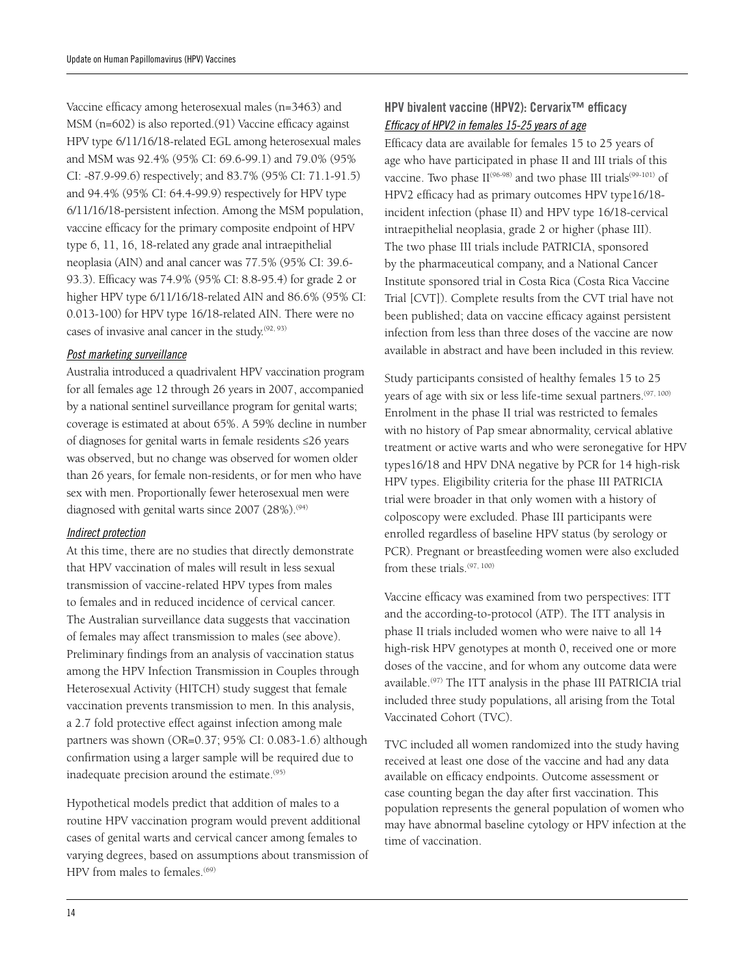Vaccine efficacy among heterosexual males (n=3463) and MSM (n=602) is also reported.(91) Vaccine efficacy against HPV type 6/11/16/18-related EGL among heterosexual males and MSM was 92.4% (95% CI: 69.6-99.1) and 79.0% (95% CI: -87.9-99.6) respectively; and 83.7% (95% CI: 71.1-91.5) and 94.4% (95% CI: 64.4-99.9) respectively for HPV type 6/11/16/18-persistent infection. Among the MSM population, vaccine efficacy for the primary composite endpoint of HPV type 6, 11, 16, 18-related any grade anal intraepithelial neoplasia (AIN) and anal cancer was 77.5% (95% CI: 39.6- 93.3). Efficacy was 74.9% (95% CI: 8.8-95.4) for grade 2 or higher HPV type 6/11/16/18-related AIN and 86.6% (95% CI: 0.013-100) for HPV type 16/18-related AIN. There were no cases of invasive anal cancer in the study.(92, 93)

#### *Post marketing surveillance*

Australia introduced a quadrivalent HPV vaccination program for all females age 12 through 26 years in 2007, accompanied by a national sentinel surveillance program for genital warts; coverage is estimated at about 65%. A 59% decline in number of diagnoses for genital warts in female residents ≤26 years was observed, but no change was observed for women older than 26 years, for female non-residents, or for men who have sex with men. Proportionally fewer heterosexual men were diagnosed with genital warts since  $2007$   $(28\%)$ .<sup>(94)</sup>

#### *Indirect protection*

At this time, there are no studies that directly demonstrate that HPV vaccination of males will result in less sexual transmission of vaccine-related HPV types from males to females and in reduced incidence of cervical cancer. The Australian surveillance data suggests that vaccination of females may affect transmission to males (see above). Preliminary findings from an analysis of vaccination status among the HPV Infection Transmission in Couples through Heterosexual Activity (HITCH) study suggest that female vaccination prevents transmission to men. In this analysis, a 2.7 fold protective effect against infection among male partners was shown (OR=0.37; 95% CI: 0.083-1.6) although confirmation using a larger sample will be required due to inadequate precision around the estimate.<sup>(95)</sup>

Hypothetical models predict that addition of males to a routine HPV vaccination program would prevent additional cases of genital warts and cervical cancer among females to varying degrees, based on assumptions about transmission of HPV from males to females.<sup>(69)</sup>

## HPV bivalent vaccine (HPV2): Cervarix™ efficacy *Efficacy of HPV2 in females 15-25 years of age*

Efficacy data are available for females 15 to 25 years of age who have participated in phase II and III trials of this vaccine. Two phase  $II^{(96-98)}$  and two phase III trials<sup>(99-101)</sup> of HPV2 efficacy had as primary outcomes HPV type16/18 incident infection (phase II) and HPV type 16/18-cervical intraepithelial neoplasia, grade 2 or higher (phase III). The two phase III trials include PATRICIA, sponsored by the pharmaceutical company, and a National Cancer Institute sponsored trial in Costa Rica (Costa Rica Vaccine Trial [CVT]). Complete results from the CVT trial have not been published; data on vaccine efficacy against persistent infection from less than three doses of the vaccine are now available in abstract and have been included in this review.

Study participants consisted of healthy females 15 to 25 years of age with six or less life-time sexual partners.<sup>(97, 100)</sup> Enrolment in the phase II trial was restricted to females with no history of Pap smear abnormality, cervical ablative treatment or active warts and who were seronegative for HPV types16/18 and HPV DNA negative by PCR for 14 high-risk HPV types. Eligibility criteria for the phase III PATRICIA trial were broader in that only women with a history of colposcopy were excluded. Phase III participants were enrolled regardless of baseline HPV status (by serology or PCR). Pregnant or breastfeeding women were also excluded from these trials.(97, 100)

Vaccine efficacy was examined from two perspectives: ITT and the according-to-protocol (ATP). The ITT analysis in phase II trials included women who were naive to all 14 high-risk HPV genotypes at month 0, received one or more doses of the vaccine, and for whom any outcome data were available.(97) The ITT analysis in the phase III PATRICIA trial included three study populations, all arising from the Total Vaccinated Cohort (TVC).

TVC included all women randomized into the study having received at least one dose of the vaccine and had any data available on efficacy endpoints. Outcome assessment or case counting began the day after first vaccination. This population represents the general population of women who may have abnormal baseline cytology or HPV infection at the time of vaccination.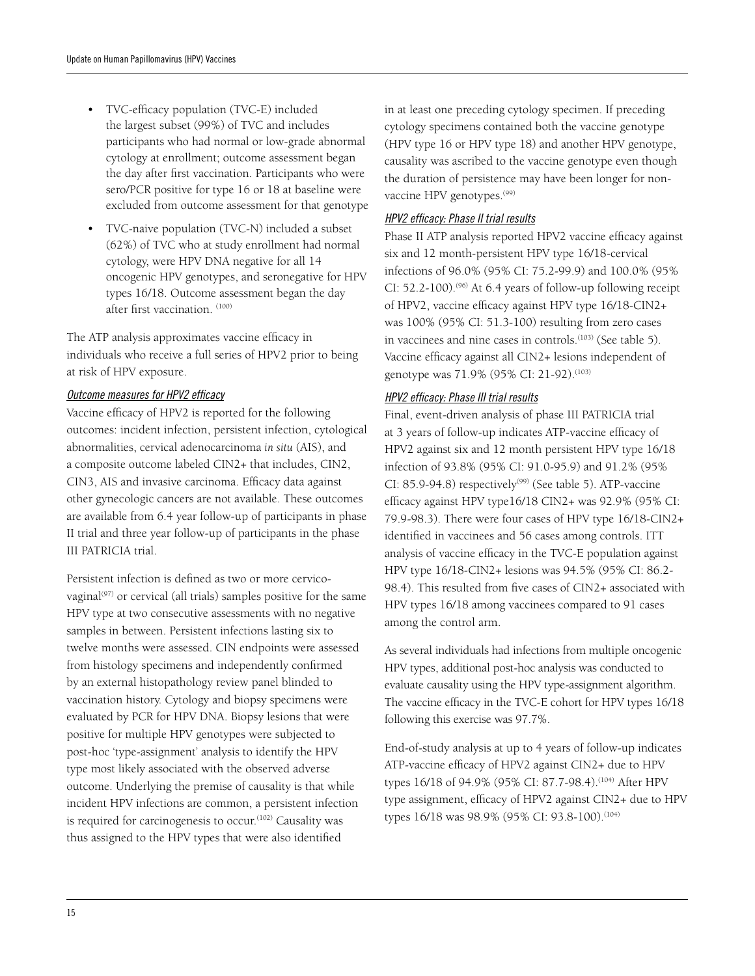- TVC-efficacy population (TVC-E) included the largest subset (99%) of TVC and includes participants who had normal or low-grade abnormal cytology at enrollment; outcome assessment began the day after first vaccination. Participants who were sero/PCR positive for type 16 or 18 at baseline were excluded from outcome assessment for that genotype
- TVC-naive population (TVC-N) included a subset (62%) of TVC who at study enrollment had normal cytology, were HPV DNA negative for all 14 oncogenic HPV genotypes, and seronegative for HPV types 16/18. Outcome assessment began the day after first vaccination. (100)

The ATP analysis approximates vaccine efficacy in individuals who receive a full series of HPV2 prior to being at risk of HPV exposure.

#### *Outcome measures for HPV2 efficacy*

Vaccine efficacy of HPV2 is reported for the following outcomes: incident infection, persistent infection, cytological abnormalities, cervical adenocarcinoma *in situ* (AIS), and a composite outcome labeled CIN2+ that includes, CIN2, CIN3, AIS and invasive carcinoma. Efficacy data against other gynecologic cancers are not available. These outcomes are available from 6.4 year follow-up of participants in phase II trial and three year follow-up of participants in the phase III PATRICIA trial.

Persistent infection is defined as two or more cervicovaginal<sup>(97)</sup> or cervical (all trials) samples positive for the same HPV type at two consecutive assessments with no negative samples in between. Persistent infections lasting six to twelve months were assessed. CIN endpoints were assessed from histology specimens and independently confirmed by an external histopathology review panel blinded to vaccination history. Cytology and biopsy specimens were evaluated by PCR for HPV DNA. Biopsy lesions that were positive for multiple HPV genotypes were subjected to post-hoc 'type-assignment' analysis to identify the HPV type most likely associated with the observed adverse outcome. Underlying the premise of causality is that while incident HPV infections are common, a persistent infection is required for carcinogenesis to occur.<sup>(102)</sup> Causality was thus assigned to the HPV types that were also identified

in at least one preceding cytology specimen. If preceding cytology specimens contained both the vaccine genotype (HPV type 16 or HPV type 18) and another HPV genotype, causality was ascribed to the vaccine genotype even though the duration of persistence may have been longer for nonvaccine HPV genotypes.<sup>(99)</sup>

#### *HPV2 efficacy: Phase II trial results*

Phase II ATP analysis reported HPV2 vaccine efficacy against six and 12 month-persistent HPV type 16/18-cervical infections of 96.0% (95% CI: 75.2-99.9) and 100.0% (95% CI: 52.2-100).<sup> $(96)$ </sup> At 6.4 years of follow-up following receipt of HPV2, vaccine efficacy against HPV type 16/18-CIN2+ was 100% (95% CI: 51.3-100) resulting from zero cases in vaccinees and nine cases in controls.<sup>(103)</sup> (See table 5). Vaccine efficacy against all CIN2+ lesions independent of genotype was 71.9% (95% CI: 21-92).<sup>(103)</sup>

#### *HPV2 efficacy: Phase III trial results*

Final, event-driven analysis of phase III PATRICIA trial at 3 years of follow-up indicates ATP-vaccine efficacy of HPV2 against six and 12 month persistent HPV type 16/18 infection of 93.8% (95% CI: 91.0-95.9) and 91.2% (95% CI: 85.9-94.8) respectively<sup>(99)</sup> (See table 5). ATP-vaccine efficacy against HPV type16/18 CIN2+ was 92.9% (95% CI: 79.9-98.3). There were four cases of HPV type 16/18-CIN2+ identified in vaccinees and 56 cases among controls. ITT analysis of vaccine efficacy in the TVC-E population against HPV type 16/18-CIN2+ lesions was 94.5% (95% CI: 86.2- 98.4). This resulted from five cases of CIN2+ associated with HPV types 16/18 among vaccinees compared to 91 cases among the control arm.

As several individuals had infections from multiple oncogenic HPV types, additional post-hoc analysis was conducted to evaluate causality using the HPV type-assignment algorithm. The vaccine efficacy in the TVC-E cohort for HPV types 16/18 following this exercise was 97.7%.

End-of-study analysis at up to 4 years of follow-up indicates ATP-vaccine efficacy of HPV2 against CIN2+ due to HPV types 16/18 of 94.9% (95% CI: 87.7-98.4).<sup>(104)</sup> After HPV type assignment, efficacy of HPV2 against CIN2+ due to HPV types 16/18 was 98.9% (95% CI: 93.8-100).<sup>(104)</sup>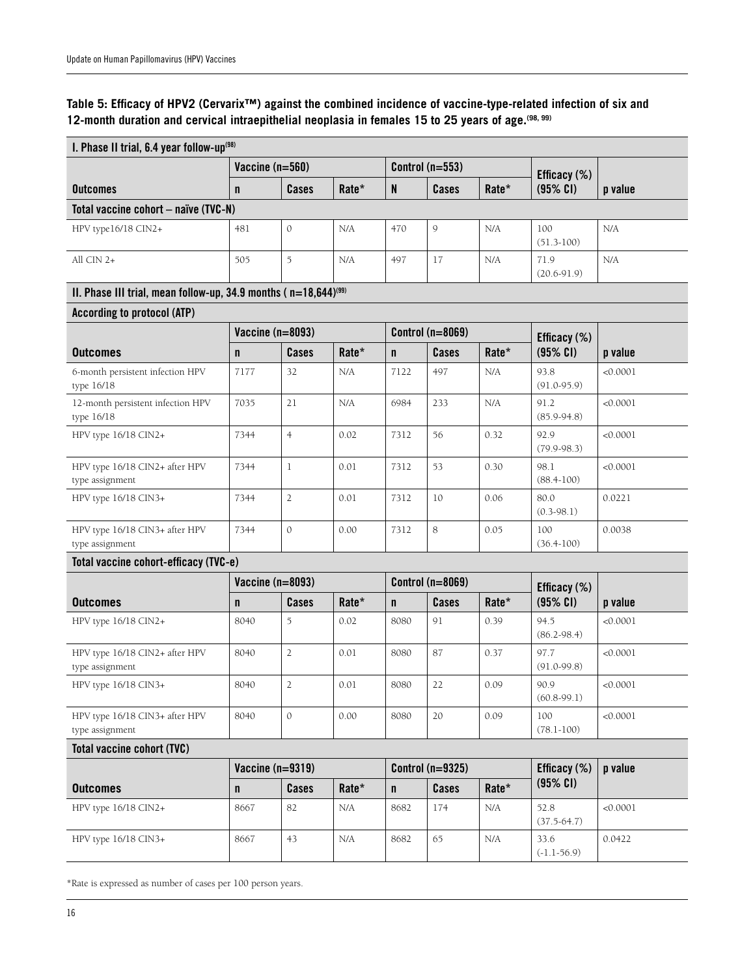## **Table 5: Efficacy of HPV2 (Cervarix™) against the combined incidence of vaccine-type-related infection of six and 12-month duration and cervical intraepithelial neoplasia in females 15 to 25 years of age.(98, 99)**

| I. Phase II trial, 6.4 year follow-up <sup>(98)</sup>                           |                 |                    |                   |                         |                         |                 |                         |          |
|---------------------------------------------------------------------------------|-----------------|--------------------|-------------------|-------------------------|-------------------------|-----------------|-------------------------|----------|
|                                                                                 | Vaccine (n=560) |                    | Control $(n=553)$ |                         |                         | Efficacy $(\%)$ |                         |          |
| <b>Outcomes</b>                                                                 | $\mathsf{n}$    | Cases              | Rate*             | N                       | Cases                   | Rate*           | $(95%$ CI)              | p value  |
| Total vaccine cohort - naïve (TVC-N)                                            |                 |                    |                   |                         |                         |                 |                         |          |
| HPV type16/18 CIN2+                                                             | 481             | $\mathbf{0}$       | N/A               | 470                     | 9                       | N/A             | 100<br>$(51.3-100)$     | N/A      |
| All CIN 2+                                                                      | 505             | 5                  | N/A               | 497                     | 17                      | N/A             | 71.9<br>$(20.6 - 91.9)$ | N/A      |
| II. Phase III trial, mean follow-up, 34.9 months ( $n=18,644$ ) <sup>(99)</sup> |                 |                    |                   |                         |                         |                 |                         |          |
| <b>According to protocol (ATP)</b>                                              |                 |                    |                   |                         |                         |                 |                         |          |
|                                                                                 |                 | Vaccine $(n=8093)$ |                   |                         | <b>Control (n=8069)</b> |                 | Efficacy (%)            |          |
| <b>Outcomes</b>                                                                 | $\mathsf{n}$    | Cases              | Rate*             | $\mathsf{n}$            | Cases                   | Rate*           | (95% CI)                | p value  |
| 6-month persistent infection HPV<br>type 16/18                                  | 7177            | 32                 | N/A               | 7122                    | 497                     | N/A             | 93.8<br>$(91.0 - 95.9)$ | < 0.0001 |
| 12-month persistent infection HPV<br>type 16/18                                 | 7035            | 21                 | N/A               | 6984                    | 233                     | N/A             | 91.2<br>$(85.9 - 94.8)$ | < 0.0001 |
| HPV type 16/18 CIN2+                                                            | 7344            | $\overline{4}$     | 0.02              | 7312                    | 56                      | 0.32            | 92.9<br>$(79.9 - 98.3)$ | < 0.0001 |
| HPV type 16/18 CIN2+ after HPV<br>type assignment                               | 7344            | $\mathbf{1}$       | 0.01              | 7312                    | 53                      | 0.30            | 98.1<br>$(88.4 - 100)$  | < 0.0001 |
| HPV type 16/18 CIN3+                                                            | 7344            | $\overline{2}$     | 0.01              | 7312                    | 10                      | 0.06            | 80.0<br>$(0.3-98.1)$    | 0.0221   |
| HPV type 16/18 CIN3+ after HPV<br>type assignment                               | 7344            | $\mathbf{0}$       | 0.00              | 7312                    | 8                       | 0.05            | 100<br>$(36.4 - 100)$   | 0.0038   |
| Total vaccine cohort-efficacy (TVC-e)                                           |                 |                    |                   |                         |                         |                 |                         |          |
|                                                                                 |                 | Vaccine (n=8093)   |                   | <b>Control (n=8069)</b> |                         |                 | Efficacy (%)            |          |
| <b>Outcomes</b>                                                                 | $\mathbf n$     | Cases              | Rate*             | $\mathsf{n}$            | Cases                   | Rate*           | $(95%$ CI)              | p value  |
| HPV type 16/18 CIN2+                                                            | 8040            | 5                  | 0.02              | 8080                    | 91                      | 0.39            | 94.5<br>$(86.2 - 98.4)$ | < 0.0001 |
| HPV type 16/18 CIN2+ after HPV<br>type assignment                               | 8040            | $\sqrt{2}$         | 0.01              | 8080                    | 87                      | 0.37            | 97.7<br>$(91.0 - 99.8)$ | < 0.0001 |
| HPV type 16/18 CIN3+                                                            | 8040            | $\mathbf{2}$       | 0.01              | 8080                    | 22                      | 0.09            | 90.9<br>$(60.8 - 99.1)$ | < 0.0001 |
| HPV type 16/18 CIN3+ after HPV<br>type assignment                               | 8040            | $\mathbf{0}$       | 0.00              | 8080                    | 20                      | 0.09            | 100<br>$(78.1 - 100)$   | < 0.0001 |
| <b>Total vaccine cohort (TVC)</b>                                               |                 |                    |                   |                         |                         |                 |                         |          |
|                                                                                 |                 | Vaccine $(n=9319)$ |                   |                         | <b>Control (n=9325)</b> |                 | Efficacy (%)            | p value  |
| <b>Outcomes</b>                                                                 | $\mathsf{n}$    | Cases              | Rate*             | $\mathsf{n}$            | Cases                   | Rate*           | $(95\%$ CI)             |          |
| HPV type 16/18 CIN2+                                                            | 8667            | 82                 | N/A               | 8682                    | 174                     | N/A             | 52.8<br>$(37.5 - 64.7)$ | < 0.0001 |
| HPV type 16/18 CIN3+                                                            | 8667            | 43                 | N/A               | 8682                    | 65                      | N/A             | 33.6<br>$(-1.1-56.9)$   | 0.0422   |

\*Rate is expressed as number of cases per 100 person years.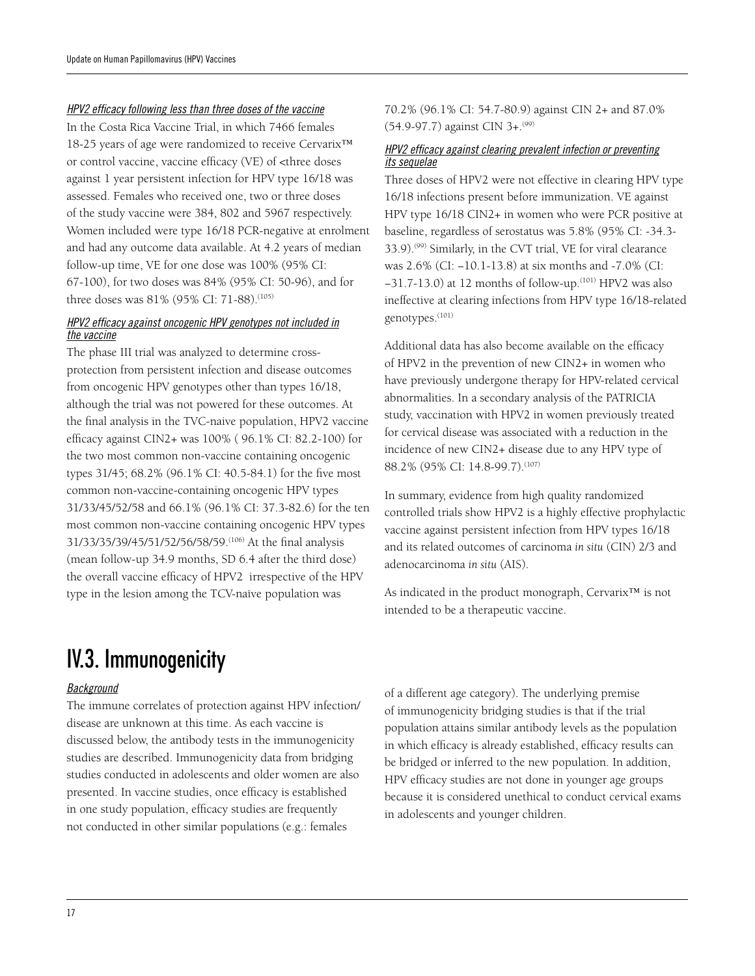#### *HPV2 efficacy following less than three doses of the vaccine*

In the Costa Rica Vaccine Trial, in which 7466 females 18-25 years of age were randomized to receive Cervarix™ or control vaccine, vaccine efficacy (VE) of <three doses against 1 year persistent infection for HPV type 16/18 was assessed. Females who received one, two or three doses of the study vaccine were 384, 802 and 5967 respectively. Women included were type 16/18 PCR-negative at enrolment and had any outcome data available. At 4.2 years of median follow-up time, VE for one dose was 100% (95% CI: 67-100), for two doses was 84% (95% CI: 50-96), and for three doses was 81% (95% CI: 71-88).<sup>(105)</sup>

#### *HPV2 efficacy against oncogenic HPV genotypes not included in the vaccine*

The phase III trial was analyzed to determine crossprotection from persistent infection and disease outcomes from oncogenic HPV genotypes other than types 16/18, although the trial was not powered for these outcomes. At the final analysis in the TVC-naive population, HPV2 vaccine efficacy against CIN2+ was 100% ( 96.1% CI: 82.2-100) for the two most common non-vaccine containing oncogenic types 31/45; 68.2% (96.1% CI: 40.5-84.1) for the five most common non-vaccine-containing oncogenic HPV types 31/33/45/52/58 and 66.1% (96.1% CI: 37.3-82.6) for the ten most common non-vaccine containing oncogenic HPV types 31/33/35/39/45/51/52/56/58/59.(106) At the final analysis (mean follow-up 34.9 months, SD 6.4 after the third dose) the overall vaccine efficacy of HPV2 irrespective of the HPV type in the lesion among the TCV-naïve population was

# IV.3. Immunogenicity

#### *Background*

The immune correlates of protection against HPV infection/ disease are unknown at this time. As each vaccine is discussed below, the antibody tests in the immunogenicity studies are described. Immunogenicity data from bridging studies conducted in adolescents and older women are also presented. In vaccine studies, once efficacy is established in one study population, efficacy studies are frequently not conducted in other similar populations (e.g.: females

70.2% (96.1% CI: 54.7-80.9) against CIN 2+ and 87.0% (54.9-97.7) against CIN 3+.(99)

#### *HPV2 efficacy against clearing prevalent infection or preventing its sequelae*

Three doses of HPV2 were not effective in clearing HPV type 16/18 infections present before immunization. VE against HPV type 16/18 CIN2+ in women who were PCR positive at baseline, regardless of serostatus was 5.8% (95% CI: -34.3- 33.9).<sup>(99)</sup> Similarly, in the CVT trial, VE for viral clearance was 2.6% (CI: −10.1-13.8) at six months and -7.0% (CI: −31.7-13.0) at 12 months of follow-up.(101) HPV2 was also ineffective at clearing infections from HPV type 16/18-related genotypes.<sup>(101)</sup>

Additional data has also become available on the efficacy of HPV2 in the prevention of new CIN2+ in women who have previously undergone therapy for HPV-related cervical abnormalities. In a secondary analysis of the PATRICIA study, vaccination with HPV2 in women previously treated for cervical disease was associated with a reduction in the incidence of new CIN2+ disease due to any HPV type of 88.2% (95% CI: 14.8-99.7).(107)

In summary, evidence from high quality randomized controlled trials show HPV2 is a highly effective prophylactic vaccine against persistent infection from HPV types 16/18 and its related outcomes of carcinoma *in situ* (CIN) 2/3 and adenocarcinoma *in situ* (AIS).

As indicated in the product monograph, Cervarix™ is not intended to be a therapeutic vaccine.

of a different age category). The underlying premise of immunogenicity bridging studies is that if the trial population attains similar antibody levels as the population in which efficacy is already established, efficacy results can be bridged or inferred to the new population. In addition, HPV efficacy studies are not done in younger age groups because it is considered unethical to conduct cervical exams in adolescents and younger children.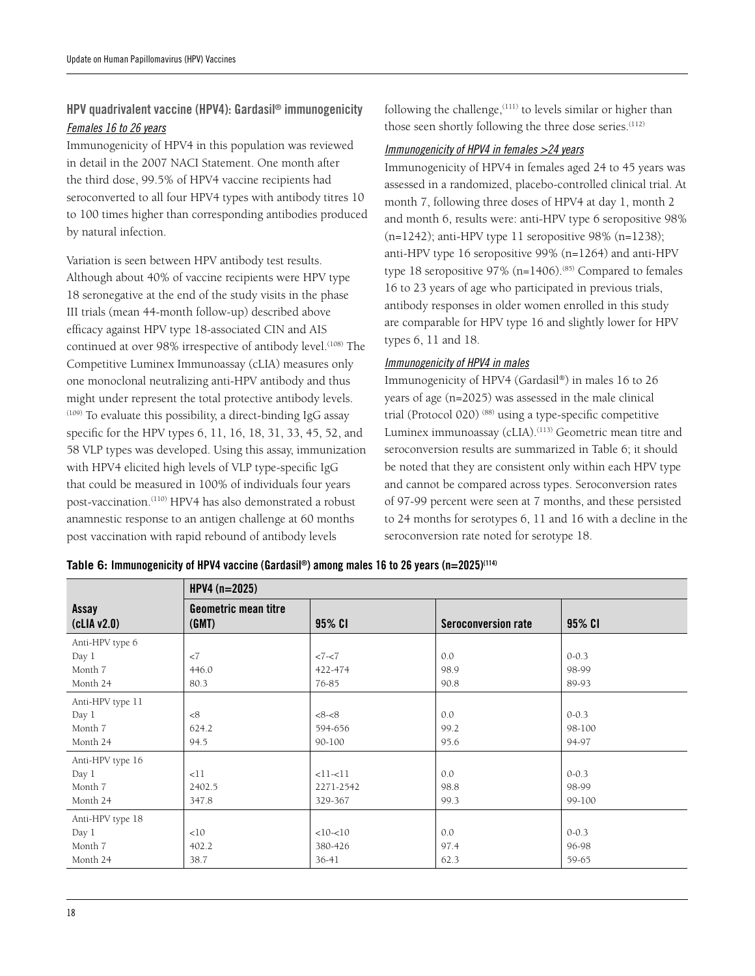### HPV quadrivalent vaccine (HPV4): Gardasil® immunogenicity *Females 16 to 26 years*

Immunogenicity of HPV4 in this population was reviewed in detail in the 2007 NACI Statement. One month after the third dose, 99.5% of HPV4 vaccine recipients had seroconverted to all four HPV4 types with antibody titres 10 to 100 times higher than corresponding antibodies produced by natural infection.

Variation is seen between HPV antibody test results. Although about 40% of vaccine recipients were HPV type 18 seronegative at the end of the study visits in the phase III trials (mean 44-month follow-up) described above efficacy against HPV type 18-associated CIN and AIS continued at over 98% irrespective of antibody level.<sup>(108)</sup> The Competitive Luminex Immunoassay (cLIA) measures only one monoclonal neutralizing anti-HPV antibody and thus might under represent the total protective antibody levels.  $(109)$  To evaluate this possibility, a direct-binding IgG assay specific for the HPV types 6, 11, 16, 18, 31, 33, 45, 52, and 58 VLP types was developed. Using this assay, immunization with HPV4 elicited high levels of VLP type-specific IgG that could be measured in 100% of individuals four years post-vaccination.(110) HPV4 has also demonstrated a robust anamnestic response to an antigen challenge at 60 months post vaccination with rapid rebound of antibody levels

following the challenge,(111) to levels similar or higher than those seen shortly following the three dose series.<sup>(112)</sup>

#### *Immunogenicity of HPV4 in females >24 years*

Immunogenicity of HPV4 in females aged 24 to 45 years was assessed in a randomized, placebo-controlled clinical trial. At month 7, following three doses of HPV4 at day 1, month 2 and month 6, results were: anti-HPV type 6 seropositive 98%  $(n=1242)$ ; anti-HPV type 11 seropositive 98%  $(n=1238)$ ; anti-HPV type 16 seropositive 99% (n=1264) and anti-HPV type 18 seropositive  $97\%$  (n=1406).<sup>(85)</sup> Compared to females 16 to 23 years of age who participated in previous trials, antibody responses in older women enrolled in this study are comparable for HPV type 16 and slightly lower for HPV types 6, 11 and 18.

#### *Immunogenicity of HPV4 in males*

Immunogenicity of HPV4 (Gardasil®) in males 16 to 26 years of age (n=2025) was assessed in the male clinical trial (Protocol 020) (88) using a type-specific competitive Luminex immunoassay (cLIA).<sup>(113)</sup> Geometric mean titre and seroconversion results are summarized in Table 6; it should be noted that they are consistent only within each HPV type and cannot be compared across types. Seroconversion rates of 97-99 percent were seen at 7 months, and these persisted to 24 months for serotypes 6, 11 and 16 with a decline in the seroconversion rate noted for serotype 18.

|                    | $HPV4(n=2025)$                       |           |                     |           |  |  |  |
|--------------------|--------------------------------------|-----------|---------------------|-----------|--|--|--|
| Assay<br>clIAv2.0) | <b>Geometric mean titre</b><br>(GMT) | 95% CI    | Seroconversion rate | 95% CI    |  |  |  |
| Anti-HPV type 6    |                                      |           |                     |           |  |  |  |
| Day 1              | <7                                   | $27 - 27$ | 0.0                 | $0 - 0.3$ |  |  |  |
| Month 7            | 446.0                                | 422-474   | 98.9                | 98-99     |  |  |  |
| Month 24           | 80.3                                 | 76-85     | 90.8                | 89-93     |  |  |  |
| Anti-HPV type 11   |                                      |           |                     |           |  |  |  |
| Day 1              | <8                                   | <8<8      | 0.0                 | $0 - 0.3$ |  |  |  |
| Month 7            | 624.2                                | 594-656   | 99.2                | 98-100    |  |  |  |
| Month 24           | 94.5                                 | 90-100    | 95.6                | 94-97     |  |  |  |
| Anti-HPV type 16   |                                      |           |                     |           |  |  |  |
| Day 1              | <11                                  | $<11-11$  | 0.0                 | $0 - 0.3$ |  |  |  |
| Month 7            | 2402.5                               | 2271-2542 | 98.8                | 98-99     |  |  |  |
| Month 24           | 347.8                                | 329-367   | 99.3                | 99-100    |  |  |  |
| Anti-HPV type 18   |                                      |           |                     |           |  |  |  |
| Day 1              | <10                                  | $<10-10$  | 0.0                 | $0 - 0.3$ |  |  |  |
| Month 7            | 402.2                                | 380-426   | 97.4                | 96-98     |  |  |  |
| Month 24           | 38.7                                 | $36-41$   | 62.3                | 59-65     |  |  |  |

|  | Table 6: Immunogenicity of HPV4 vaccine (Gardasil®) among males 16 to 26 years (n=2025) <sup>(114)</sup> |  |
|--|----------------------------------------------------------------------------------------------------------|--|
|--|----------------------------------------------------------------------------------------------------------|--|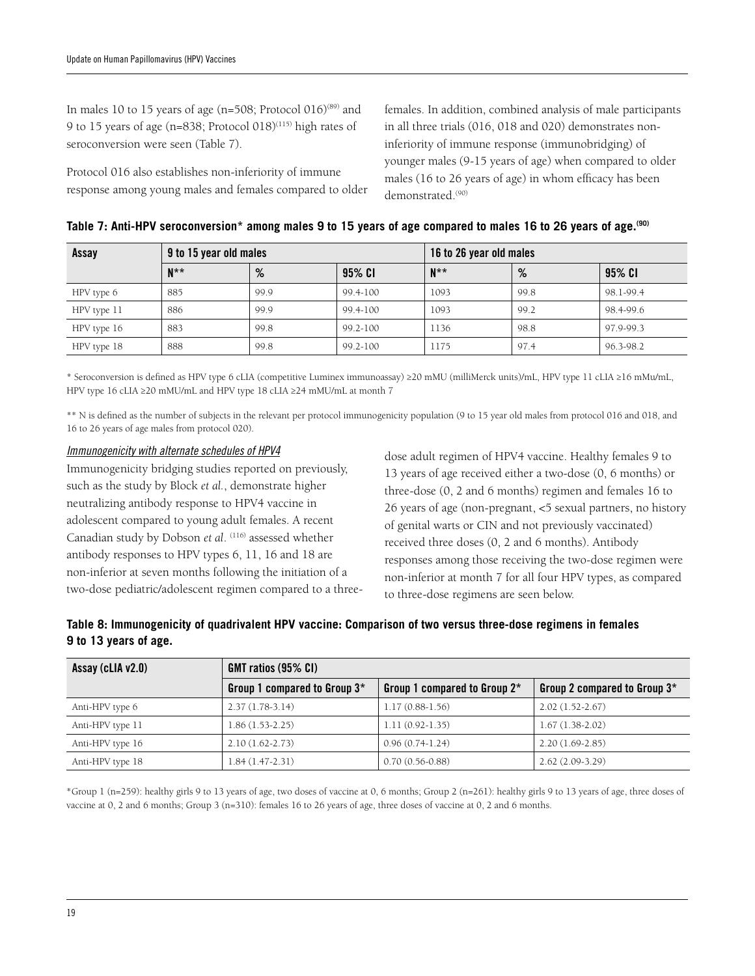In males 10 to 15 years of age (n=508; Protocol  $016$ )<sup>(89)</sup> and 9 to 15 years of age (n=838; Protocol 018)<sup>(115)</sup> high rates of seroconversion were seen (Table 7).

Protocol 016 also establishes non-inferiority of immune response among young males and females compared to older

females. In addition, combined analysis of male participants in all three trials (016, 018 and 020) demonstrates noninferiority of immune response (immunobridging) of younger males (9-15 years of age) when compared to older males (16 to 26 years of age) in whom efficacy has been demonstrated.<sup>(90)</sup>

| Assay       | 9 to 15 year old males |      |          | 16 to 26 year old males |      |           |
|-------------|------------------------|------|----------|-------------------------|------|-----------|
|             | $N^{\star\star}$       | %    | 95% CI   | $N^{\ast}$              | %    | 95% CI    |
| HPV type 6  | 885                    | 99.9 | 99.4-100 | 1093                    | 99.8 | 98.1-99.4 |
| HPV type 11 | 886                    | 99.9 | 99.4-100 | 1093                    | 99.2 | 98.4-99.6 |
| HPV type 16 | 883                    | 99.8 | 99.2-100 | 1136                    | 98.8 | 97.9-99.3 |
| HPV type 18 | 888                    | 99.8 | 99.2-100 | 1175                    | 97.4 | 96.3-98.2 |

| Table 7: Anti-HPV seroconversion* among males 9 to 15 years of age compared to males 16 to 26 years of age. <sup>(90)</sup> |  |  |
|-----------------------------------------------------------------------------------------------------------------------------|--|--|
|-----------------------------------------------------------------------------------------------------------------------------|--|--|

\* Seroconversion is defined as HPV type 6 cLIA (competitive Luminex immunoassay) ≥20 mMU (milliMerck units)/mL, HPV type 11 cLIA ≥16 mMu/mL, HPV type 16 cLIA ≥20 mMU/mL and HPV type 18 cLIA ≥24 mMU/mL at month 7

\*\* N is defined as the number of subjects in the relevant per protocol immunogenicity population (9 to 15 year old males from protocol 016 and 018, and 16 to 26 years of age males from protocol 020).

#### *Immunogenicity with alternate schedules of HPV4*

Immunogenicity bridging studies reported on previously, such as the study by Block *et al.*, demonstrate higher neutralizing antibody response to HPV4 vaccine in adolescent compared to young adult females. A recent Canadian study by Dobson *et al.* <sup>(116)</sup> assessed whether antibody responses to HPV types 6, 11, 16 and 18 are non-inferior at seven months following the initiation of a two-dose pediatric/adolescent regimen compared to a three-

dose adult regimen of HPV4 vaccine. Healthy females 9 to 13 years of age received either a two-dose (0, 6 months) or three-dose (0, 2 and 6 months) regimen and females 16 to 26 years of age (non-pregnant, <5 sexual partners, no history of genital warts or CIN and not previously vaccinated) received three doses (0, 2 and 6 months). Antibody responses among those receiving the two-dose regimen were non-inferior at month 7 for all four HPV types, as compared to three-dose regimens are seen below.

| Table 8: Immunogenicity of quadrivalent HPV vaccine: Comparison of two versus three-dose regimens in females |  |  |
|--------------------------------------------------------------------------------------------------------------|--|--|
| 9 to 13 years of age.                                                                                        |  |  |

| Assay (cLIA v2.0) | $GMT$ ratios (95% CI)        |                              |                              |  |  |  |
|-------------------|------------------------------|------------------------------|------------------------------|--|--|--|
|                   | Group 1 compared to Group 3* | Group 1 compared to Group 2* | Group 2 compared to Group 3* |  |  |  |
| Anti-HPV type 6   | $2.37(1.78-3.14)$            | $1.17(0.88-1.56)$            | $2.02(1.52 - 2.67)$          |  |  |  |
| Anti-HPV type 11  | $1.86(1.53-2.25)$            | $1.11(0.92 - 1.35)$          | $1.67(1.38-2.02)$            |  |  |  |
| Anti-HPV type 16  | $2.10(1.62 - 2.73)$          | $0.96(0.74-1.24)$            | $2.20(1.69-2.85)$            |  |  |  |
| Anti-HPV type 18  | $1.84(1.47-2.31)$            | $0.70(0.56-0.88)$            | $2.62(2.09-3.29)$            |  |  |  |

\*Group 1 (n=259): healthy girls 9 to 13 years of age, two doses of vaccine at 0, 6 months; Group 2 (n=261): healthy girls 9 to 13 years of age, three doses of vaccine at 0, 2 and 6 months; Group 3 (n=310): females 16 to 26 years of age, three doses of vaccine at 0, 2 and 6 months.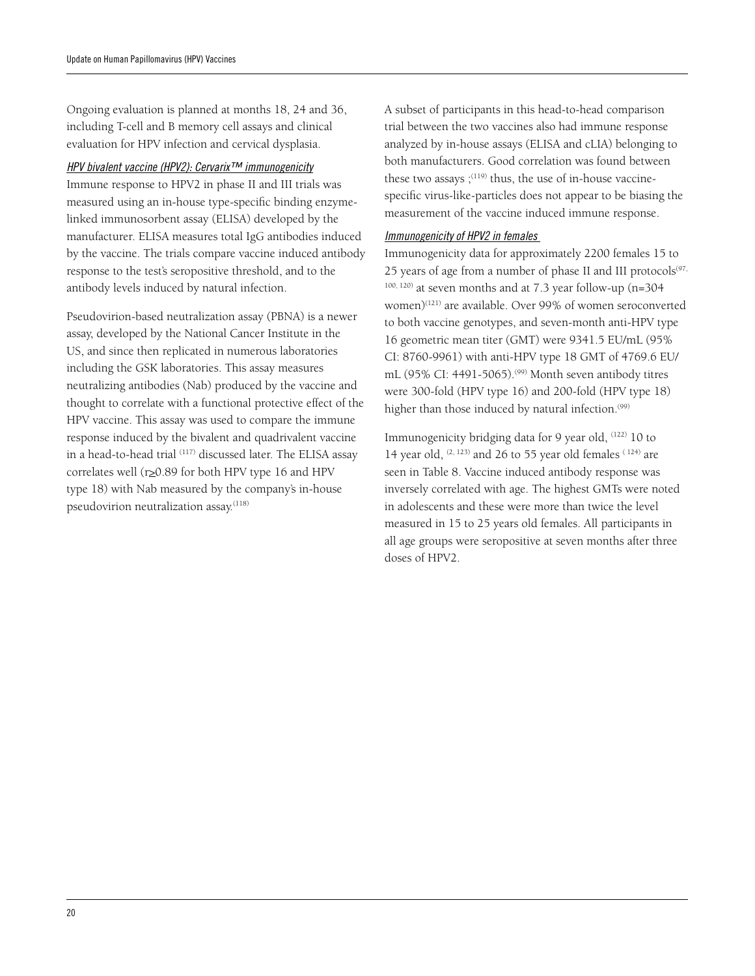Ongoing evaluation is planned at months 18, 24 and 36, including T-cell and B memory cell assays and clinical evaluation for HPV infection and cervical dysplasia.

#### *HPV bivalent vaccine (HPV2): Cervarix™ immunogenicity*

Immune response to HPV2 in phase II and III trials was measured using an in-house type-specific binding enzymelinked immunosorbent assay (ELISA) developed by the manufacturer. ELISA measures total IgG antibodies induced by the vaccine. The trials compare vaccine induced antibody response to the test's seropositive threshold, and to the antibody levels induced by natural infection.

Pseudovirion-based neutralization assay (PBNA) is a newer assay, developed by the National Cancer Institute in the US, and since then replicated in numerous laboratories including the GSK laboratories. This assay measures neutralizing antibodies (Nab) produced by the vaccine and thought to correlate with a functional protective effect of the HPV vaccine. This assay was used to compare the immune response induced by the bivalent and quadrivalent vaccine in a head-to-head trial (117) discussed later. The ELISA assay correlates well ( $r \ge 0.89$  for both HPV type 16 and HPV type 18) with Nab measured by the company's in-house pseudovirion neutralization assay.<sup>(118)</sup>

A subset of participants in this head-to-head comparison trial between the two vaccines also had immune response analyzed by in-house assays (ELISA and cLIA) belonging to both manufacturers. Good correlation was found between these two assays  $(119)$  thus, the use of in-house vaccinespecific virus-like-particles does not appear to be biasing the measurement of the vaccine induced immune response.

#### *Immunogenicity of HPV2 in females*

Immunogenicity data for approximately 2200 females 15 to 25 years of age from a number of phase II and III protocols $(97, 97)$  $100, 120$ ) at seven months and at 7.3 year follow-up (n=304) women)<sup>(121)</sup> are available. Over 99% of women seroconverted to both vaccine genotypes, and seven-month anti-HPV type 16 geometric mean titer (GMT) were 9341.5 EU/mL (95% CI: 8760-9961) with anti-HPV type 18 GMT of 4769.6 EU/ mL (95% CI: 4491-5065).<sup>(99)</sup> Month seven antibody titres were 300-fold (HPV type 16) and 200-fold (HPV type 18) higher than those induced by natural infection.<sup>(99)</sup>

Immunogenicity bridging data for 9 year old, (122) 10 to 14 year old,  $(2, 123)$  and 26 to 55 year old females  $(124)$  are seen in Table 8. Vaccine induced antibody response was inversely correlated with age. The highest GMTs were noted in adolescents and these were more than twice the level measured in 15 to 25 years old females. All participants in all age groups were seropositive at seven months after three doses of HPV2.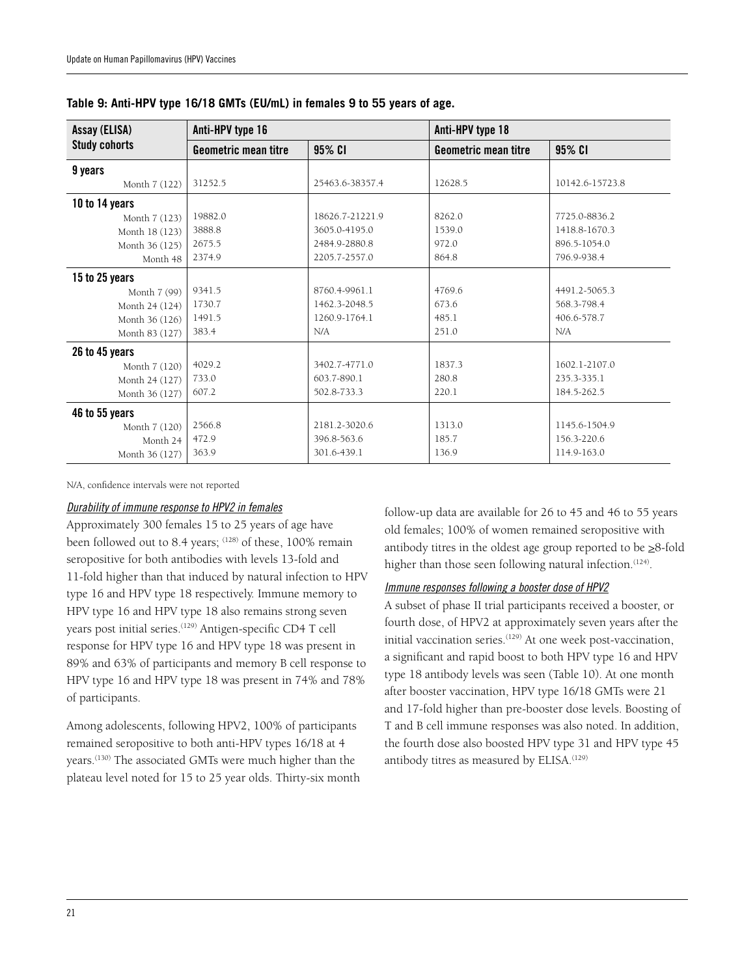| Assay (ELISA)        | Anti-HPV type 16     |                 | Anti-HPV type 18     |                 |  |  |
|----------------------|----------------------|-----------------|----------------------|-----------------|--|--|
| <b>Study cohorts</b> | Geometric mean titre | 95% CI          | Geometric mean titre | 95% CI          |  |  |
| 9 years              |                      |                 |                      |                 |  |  |
| Month 7 (122)        | 31252.5              | 25463.6-38357.4 | 12628.5              | 10142.6-15723.8 |  |  |
| 10 to 14 years       |                      |                 |                      |                 |  |  |
| Month 7 (123)        | 19882.0              | 18626.7-21221.9 | 8262.0               | 7725.0-8836.2   |  |  |
| Month 18 (123)       | 3888.8               | 3605.0-4195.0   | 1539.0               | 1418.8-1670.3   |  |  |
| Month 36 (125)       | 2675.5               | 2484.9-2880.8   | 972.0                | 896.5-1054.0    |  |  |
| Month 48             | 2374.9               | 2205.7-2557.0   | 864.8                | 796.9-938.4     |  |  |
| 15 to 25 years       |                      |                 |                      |                 |  |  |
| Month 7 (99)         | 9341.5               | 8760.4-9961.1   | 4769.6               | 4491.2-5065.3   |  |  |
| Month 24 (124)       | 1730.7               | 1462.3-2048.5   | 673.6                | 568.3-798.4     |  |  |
| Month 36 (126)       | 1491.5               | 1260.9-1764.1   | 485.1                | 406.6-578.7     |  |  |
| Month 83 (127)       | 383.4                | N/A             | 251.0                | N/A             |  |  |
| 26 to 45 years       |                      |                 |                      |                 |  |  |
| Month 7 (120)        | 4029.2               | 3402.7-4771.0   | 1837.3               | 1602.1-2107.0   |  |  |
| Month 24 (127)       | 733.0                | 603.7-890.1     | 280.8                | 235.3-335.1     |  |  |
| Month 36 (127)       | 607.2                | 502.8-733.3     | 220.1                | 184.5-262.5     |  |  |
| 46 to 55 years       |                      |                 |                      |                 |  |  |
| Month 7 (120)        | 2566.8               | 2181.2-3020.6   | 1313.0               | 1145.6-1504.9   |  |  |
| Month 24             | 472.9                | 396.8-563.6     | 185.7                | 156.3-220.6     |  |  |
| Month 36 (127)       | 363.9                | 301.6-439.1     | 136.9                | 114.9-163.0     |  |  |

**Table 9: Anti-HPV type 16/18 GMTs (EU/mL) in females 9 to 55 years of age.** 

N/A, confidence intervals were not reported

#### *Durability of immune response to HPV2 in females*

Approximately 300 females 15 to 25 years of age have been followed out to 8.4 years; (128) of these, 100% remain seropositive for both antibodies with levels 13-fold and 11-fold higher than that induced by natural infection to HPV type 16 and HPV type 18 respectively. Immune memory to HPV type 16 and HPV type 18 also remains strong seven years post initial series.<sup>(129)</sup> Antigen-specific CD4 T cell response for HPV type 16 and HPV type 18 was present in 89% and 63% of participants and memory B cell response to HPV type 16 and HPV type 18 was present in 74% and 78% of participants.

Among adolescents, following HPV2, 100% of participants remained seropositive to both anti-HPV types 16/18 at 4 years.(130) The associated GMTs were much higher than the plateau level noted for 15 to 25 year olds. Thirty-six month follow-up data are available for 26 to 45 and 46 to 55 years old females; 100% of women remained seropositive with antibody titres in the oldest age group reported to be  $\geq 8$ -fold higher than those seen following natural infection.<sup>(124)</sup>.

#### *Immune responses following a booster dose of HPV2*

A subset of phase II trial participants received a booster, or fourth dose, of HPV2 at approximately seven years after the initial vaccination series.<sup>(129)</sup> At one week post-vaccination, a significant and rapid boost to both HPV type 16 and HPV type 18 antibody levels was seen (Table 10). At one month after booster vaccination, HPV type 16/18 GMTs were 21 and 17-fold higher than pre-booster dose levels. Boosting of T and B cell immune responses was also noted. In addition, the fourth dose also boosted HPV type 31 and HPV type 45 antibody titres as measured by ELISA.<sup>(129)</sup>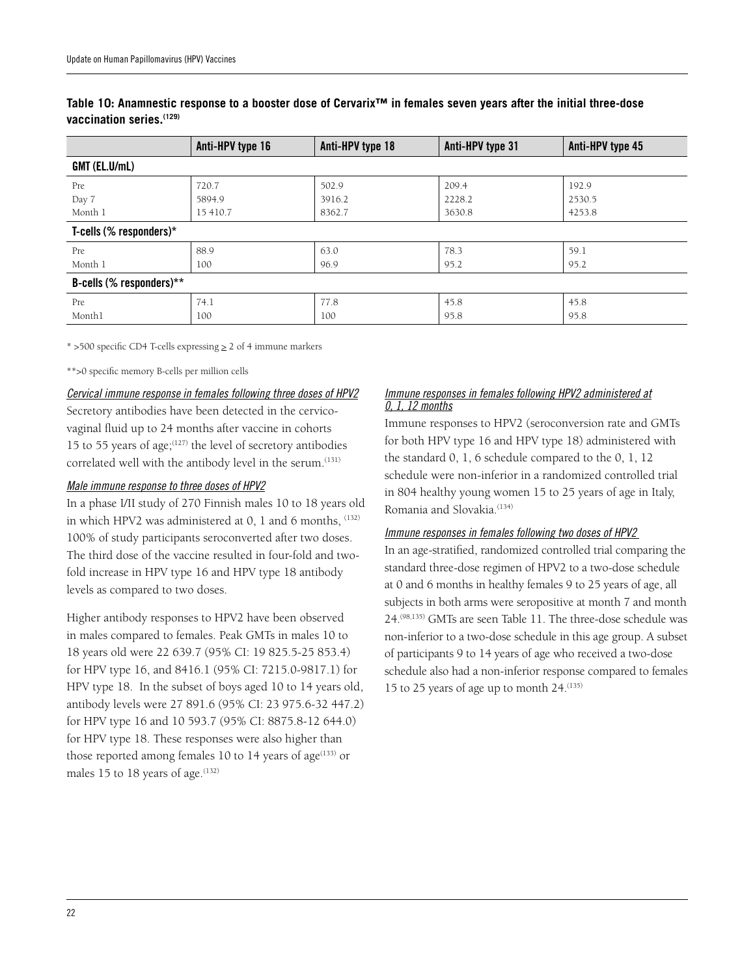|                            | Anti-HPV type 16 | Anti-HPV type 18 | Anti-HPV type 31 | Anti-HPV type 45 |  |  |  |  |
|----------------------------|------------------|------------------|------------------|------------------|--|--|--|--|
| GMT (EL.U/mL)              |                  |                  |                  |                  |  |  |  |  |
| Pre                        | 720.7            | 502.9            | 209.4            | 192.9            |  |  |  |  |
| Day 7                      | 5894.9           | 3916.2           | 2228.2           | 2530.5           |  |  |  |  |
| Month 1                    | 15 410.7         | 8362.7           | 3630.8           | 4253.8           |  |  |  |  |
| T-cells (% responders) $*$ |                  |                  |                  |                  |  |  |  |  |
| Pre                        | 88.9             | 63.0             | 78.3             | 59.1             |  |  |  |  |
| Month 1                    | 100              | 96.9             | 95.2             | 95.2             |  |  |  |  |
| B-cells (% responders)**   |                  |                  |                  |                  |  |  |  |  |
| Pre                        | 74.1             | 77.8             | 45.8             | 45.8             |  |  |  |  |
| Monthl                     | 100              | 100              | 95.8             | 95.8             |  |  |  |  |

#### **Table 10: Anamnestic response to a booster dose of Cervarix™ in females seven years after the initial three-dose vaccination series.(129)**

 $*$  >500 specific CD4 T-cells expressing  $\geq 2$  of 4 immune markers

\*\*>0 specific memory B-cells per million cells

#### *Cervical immune response in females following three doses of HPV2*

Secretory antibodies have been detected in the cervicovaginal fluid up to 24 months after vaccine in cohorts 15 to 55 years of age; $(127)$  the level of secretory antibodies correlated well with the antibody level in the serum.<sup>(131)</sup>

#### *Male immune response to three doses of HPV2*

In a phase I/II study of 270 Finnish males 10 to 18 years old in which HPV2 was administered at 0, 1 and 6 months, (132) 100% of study participants seroconverted after two doses. The third dose of the vaccine resulted in four-fold and twofold increase in HPV type 16 and HPV type 18 antibody levels as compared to two doses.

Higher antibody responses to HPV2 have been observed in males compared to females. Peak GMTs in males 10 to 18 years old were 22 639.7 (95% CI: 19 825.5-25 853.4) for HPV type 16, and 8416.1 (95% CI: 7215.0-9817.1) for HPV type 18. In the subset of boys aged 10 to 14 years old, antibody levels were 27 891.6 (95% CI: 23 975.6-32 447.2) for HPV type 16 and 10 593.7 (95% CI: 8875.8-12 644.0) for HPV type 18. These responses were also higher than those reported among females 10 to 14 years of age $(133)$  or males 15 to 18 years of age.<sup>(132)</sup>

#### *Immune responses in females following HPV2 administered at 0, 1, 12 months*

Immune responses to HPV2 (seroconversion rate and GMTs for both HPV type 16 and HPV type 18) administered with the standard 0, 1, 6 schedule compared to the 0, 1, 12 schedule were non-inferior in a randomized controlled trial in 804 healthy young women 15 to 25 years of age in Italy, Romania and Slovakia.<sup>(134)</sup>

#### *Immune responses in females following two doses of HPV2*

In an age-stratified, randomized controlled trial comparing the standard three-dose regimen of HPV2 to a two-dose schedule at 0 and 6 months in healthy females 9 to 25 years of age, all subjects in both arms were seropositive at month 7 and month 24.(98,135) GMTs are seen Table 11. The three-dose schedule was non-inferior to a two-dose schedule in this age group. A subset of participants 9 to 14 years of age who received a two-dose schedule also had a non-inferior response compared to females 15 to 25 years of age up to month 24.(135)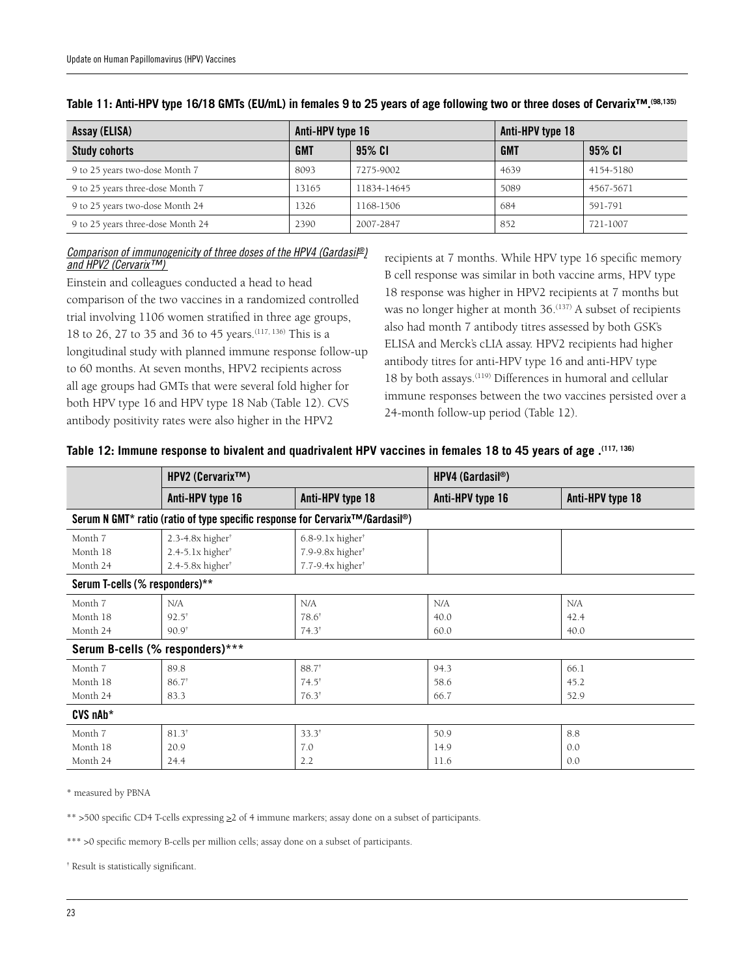| Assay (ELISA)                     | Anti-HPV type 16 |             | Anti-HPV type 18 |           |  |
|-----------------------------------|------------------|-------------|------------------|-----------|--|
| <b>Study cohorts</b>              | <b>GMT</b>       | 95% CI      | <b>GMT</b>       | 95% CI    |  |
| 9 to 25 years two-dose Month 7    | 8093             | 7275-9002   | 4639             | 4154-5180 |  |
| 9 to 25 years three-dose Month 7  | 13165            | 11834-14645 | 5089             | 4567-5671 |  |
| 9 to 25 years two-dose Month 24   | 1326             | 1168-1506   | 684              | 591-791   |  |
| 9 to 25 years three-dose Month 24 | 2390             | 2007-2847   | 852              | 721-1007  |  |

#### **Table 11: Anti-HPV type 16/18 GMTs (EU/mL) in females 9 to 25 years of age following two or three doses of Cervarix™.(98,135)**

#### *Comparison of immunogenicity of three doses of the HPV4 (Gardasil®) and HPV2 (Cervarix™)*

Einstein and colleagues conducted a head to head comparison of the two vaccines in a randomized controlled trial involving 1106 women stratified in three age groups, 18 to 26, 27 to 35 and 36 to 45 years.(117, 136) This is a longitudinal study with planned immune response follow-up to 60 months. At seven months, HPV2 recipients across all age groups had GMTs that were several fold higher for both HPV type 16 and HPV type 18 Nab (Table 12). CVS antibody positivity rates were also higher in the HPV2

recipients at 7 months. While HPV type 16 specific memory B cell response was similar in both vaccine arms, HPV type 18 response was higher in HPV2 recipients at 7 months but was no longer higher at month 36.<sup>(137)</sup> A subset of recipients also had month 7 antibody titres assessed by both GSK's ELISA and Merck's cLIA assay. HPV2 recipients had higher antibody titres for anti-HPV type 16 and anti-HPV type 18 by both assays.(119) Differences in humoral and cellular immune responses between the two vaccines persisted over a 24-month follow-up period (Table 12).

|            | HPV2 (Cervarix™)                 |                                                                                          | $HPV4$ (Gardasil <sup>®</sup> ) |                  |
|------------|----------------------------------|------------------------------------------------------------------------------------------|---------------------------------|------------------|
|            | Anti-HPV type 16                 | Anti-HPV type 18                                                                         | Anti-HPV type 16                | Anti-HPV type 18 |
|            |                                  | Serum N GMT* ratio (ratio of type specific response for Cervarix <sup>™/Gardasil®)</sup> |                                 |                  |
| Month 7    | 2.3-4.8 $x$ higher <sup>†</sup>  | $6.8-9.1x higher$                                                                        |                                 |                  |
| Month 18   | $2.4 - 5.1x higher$              | $7.9-9.8x higher$                                                                        |                                 |                  |
| Month 24   | $2.4 - 5.8x$ higher <sup>†</sup> | 7.7-9.4x higher <sup>+</sup>                                                             |                                 |                  |
|            | Serum T-cells (% responders)**   |                                                                                          |                                 |                  |
| Month 7    | N/A                              | N/A                                                                                      | N/A                             | N/A              |
| Month 18   | $92.5^{\dagger}$                 | $78.6^{\dagger}$                                                                         | 40.0                            | 42.4             |
| Month 24   | $90.9^{\dagger}$                 | $74.3^{\dagger}$                                                                         | 60.0                            | 40.0             |
|            | Serum B-cells (% responders)***  |                                                                                          |                                 |                  |
| Month 7    | 89.8                             | $88.7^{\dagger}$                                                                         | 94.3                            | 66.1             |
| Month 18   | $86.7^*$                         | $74.5^{\dagger}$                                                                         | 58.6                            | 45.2             |
| Month 24   | 83.3                             | $76.3^{\dagger}$                                                                         | 66.7                            | 52.9             |
| $CVS$ nAb* |                                  |                                                                                          |                                 |                  |
| Month 7    | $81.3$ <sup>†</sup>              | $33.3^{\dagger}$                                                                         | 50.9                            | 8.8              |
| Month 18   | 20.9                             | 7.0                                                                                      | 14.9                            | 0.0              |
| Month 24   | 24.4                             | 2.2                                                                                      | 11.6                            | 0.0              |

\* measured by PBNA

\*\* >500 specific CD4 T-cells expressing >2 of 4 immune markers; assay done on a subset of participants.

\*\*\* >0 specific memory B-cells per million cells; assay done on a subset of participants.

† Result is statistically significant.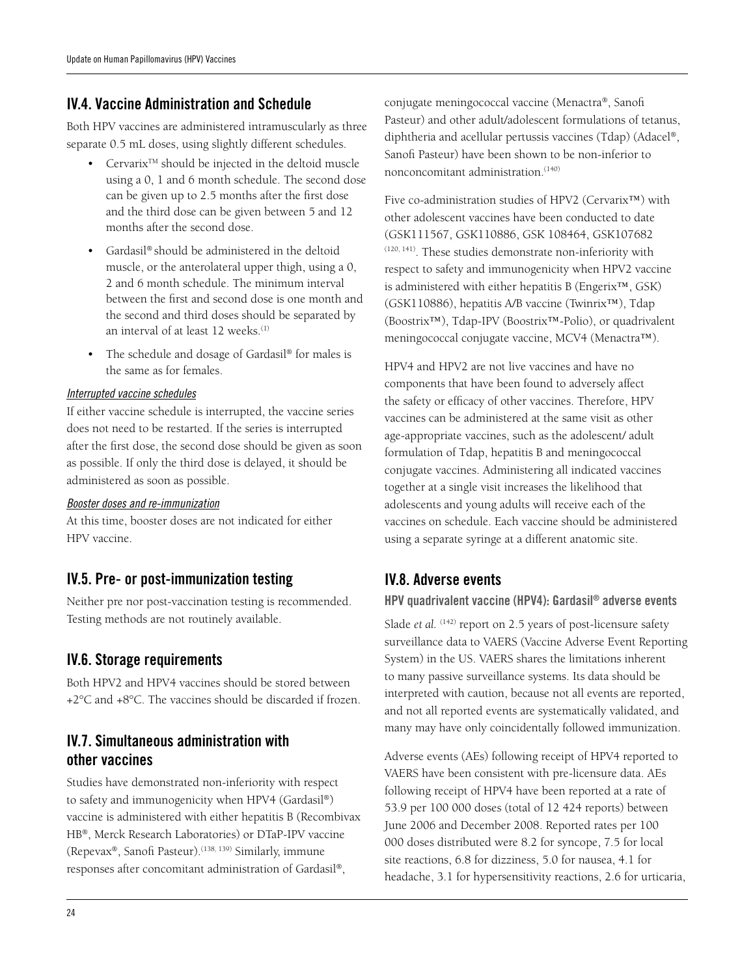# IV.4. Vaccine Administration and Schedule

Both HPV vaccines are administered intramuscularly as three separate 0.5 mL doses, using slightly different schedules.

- Cervarix<sup>™</sup> should be injected in the deltoid muscle using a 0, 1 and 6 month schedule. The second dose can be given up to 2.5 months after the first dose and the third dose can be given between 5 and 12 months after the second dose.
- Gardasil® should be administered in the deltoid muscle, or the anterolateral upper thigh, using a 0, 2 and 6 month schedule. The minimum interval between the first and second dose is one month and the second and third doses should be separated by an interval of at least 12 weeks.<sup>(1)</sup>
- The schedule and dosage of Gardasil® for males is the same as for females.

#### *Interrupted vaccine schedules*

If either vaccine schedule is interrupted, the vaccine series does not need to be restarted. If the series is interrupted after the first dose, the second dose should be given as soon as possible. If only the third dose is delayed, it should be administered as soon as possible.

#### *Booster doses and re-immunization*

At this time, booster doses are not indicated for either HPV vaccine.

## IV.5. Pre- or post-immunization testing

Neither pre nor post-vaccination testing is recommended. Testing methods are not routinely available.

# IV.6. Storage requirements

Both HPV2 and HPV4 vaccines should be stored between +2°C and +8°C. The vaccines should be discarded if frozen.

# IV.7. Simultaneous administration with other vaccines

Studies have demonstrated non-inferiority with respect to safety and immunogenicity when HPV4 (Gardasil®) vaccine is administered with either hepatitis B (Recombivax HB®, Merck Research Laboratories) or DTaP-IPV vaccine (Repevax®, Sanofi Pasteur).(138, 139) Similarly, immune responses after concomitant administration of Gardasil®,

conjugate meningococcal vaccine (Menactra®, Sanofi Pasteur) and other adult/adolescent formulations of tetanus, diphtheria and acellular pertussis vaccines (Tdap) (Adacel®, Sanofi Pasteur) have been shown to be non-inferior to nonconcomitant administration.<sup>(140)</sup>

Five co-administration studies of HPV2 (Cervarix™) with other adolescent vaccines have been conducted to date (GSK111567, GSK110886, GSK 108464, GSK107682 (120, 141). These studies demonstrate non-inferiority with respect to safety and immunogenicity when HPV2 vaccine is administered with either hepatitis B (Engerix™, GSK) (GSK110886), hepatitis A/B vaccine (Twinrix™), Tdap (Boostrix™), Tdap-IPV (Boostrix™-Polio), or quadrivalent meningococcal conjugate vaccine, MCV4 (Menactra™).

HPV4 and HPV2 are not live vaccines and have no components that have been found to adversely affect the safety or efficacy of other vaccines. Therefore, HPV vaccines can be administered at the same visit as other age-appropriate vaccines, such as the adolescent/ adult formulation of Tdap, hepatitis B and meningococcal conjugate vaccines. Administering all indicated vaccines together at a single visit increases the likelihood that adolescents and young adults will receive each of the vaccines on schedule. Each vaccine should be administered using a separate syringe at a different anatomic site.

# IV.8. Adverse events

#### HPV quadrivalent vaccine (HPV4): Gardasil® adverse events

Slade *et al.* <sup>(142)</sup> report on 2.5 years of post-licensure safety surveillance data to VAERS (Vaccine Adverse Event Reporting System) in the US. VAERS shares the limitations inherent to many passive surveillance systems. Its data should be interpreted with caution, because not all events are reported, and not all reported events are systematically validated, and many may have only coincidentally followed immunization.

Adverse events (AEs) following receipt of HPV4 reported to VAERS have been consistent with pre-licensure data. AEs following receipt of HPV4 have been reported at a rate of 53.9 per 100 000 doses (total of 12 424 reports) between June 2006 and December 2008. Reported rates per 100 000 doses distributed were 8.2 for syncope, 7.5 for local site reactions, 6.8 for dizziness, 5.0 for nausea, 4.1 for headache, 3.1 for hypersensitivity reactions, 2.6 for urticaria,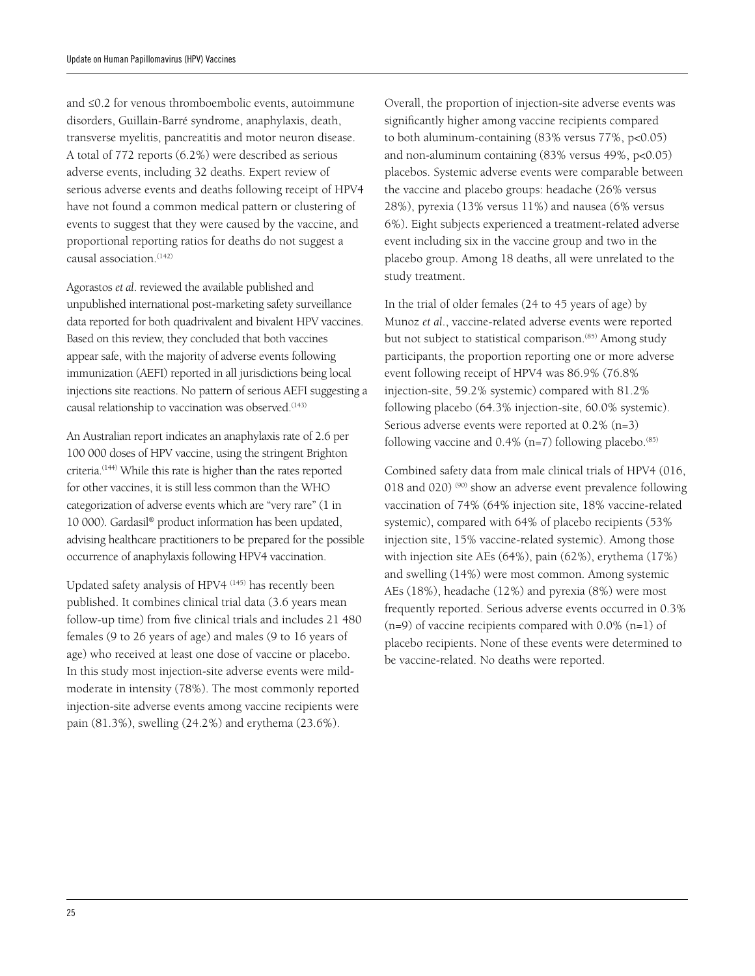and ≤0.2 for venous thromboembolic events, autoimmune disorders, Guillain-Barré syndrome, anaphylaxis, death, transverse myelitis, pancreatitis and motor neuron disease. A total of 772 reports (6.2%) were described as serious adverse events, including 32 deaths. Expert review of serious adverse events and deaths following receipt of HPV4 have not found a common medical pattern or clustering of events to suggest that they were caused by the vaccine, and proportional reporting ratios for deaths do not suggest a causal association.<sup>(142)</sup>

Agorastos *et al*. reviewed the available published and unpublished international post-marketing safety surveillance data reported for both quadrivalent and bivalent HPV vaccines. Based on this review, they concluded that both vaccines appear safe, with the majority of adverse events following immunization (AEFI) reported in all jurisdictions being local injections site reactions. No pattern of serious AEFI suggesting a causal relationship to vaccination was observed.<sup>(143)</sup>

An Australian report indicates an anaphylaxis rate of 2.6 per 100 000 doses of HPV vaccine, using the stringent Brighton criteria.(144) While this rate is higher than the rates reported for other vaccines, it is still less common than the WHO categorization of adverse events which are "very rare" (1 in 10 000). Gardasil® product information has been updated, advising healthcare practitioners to be prepared for the possible occurrence of anaphylaxis following HPV4 vaccination.

Updated safety analysis of HPV4 (145) has recently been published. It combines clinical trial data (3.6 years mean follow-up time) from five clinical trials and includes 21 480 females (9 to 26 years of age) and males (9 to 16 years of age) who received at least one dose of vaccine or placebo. In this study most injection-site adverse events were mildmoderate in intensity (78%). The most commonly reported injection-site adverse events among vaccine recipients were pain (81.3%), swelling (24.2%) and erythema (23.6%).

Overall, the proportion of injection-site adverse events was significantly higher among vaccine recipients compared to both aluminum-containing (83% versus 77%, p<0.05) and non-aluminum containing (83% versus 49%, p<0.05) placebos. Systemic adverse events were comparable between the vaccine and placebo groups: headache (26% versus 28%), pyrexia (13% versus 11%) and nausea (6% versus 6%). Eight subjects experienced a treatment-related adverse event including six in the vaccine group and two in the placebo group. Among 18 deaths, all were unrelated to the study treatment.

In the trial of older females (24 to 45 years of age) by Munoz *et al*., vaccine-related adverse events were reported but not subject to statistical comparison.<sup>(85)</sup> Among study participants, the proportion reporting one or more adverse event following receipt of HPV4 was 86.9% (76.8% injection-site, 59.2% systemic) compared with 81.2% following placebo (64.3% injection-site, 60.0% systemic). Serious adverse events were reported at 0.2% (n=3) following vaccine and  $0.4\%$  (n=7) following placebo.<sup>(85)</sup>

Combined safety data from male clinical trials of HPV4 (016, 018 and 020)<sup>(90)</sup> show an adverse event prevalence following vaccination of 74% (64% injection site, 18% vaccine-related systemic), compared with 64% of placebo recipients (53% injection site, 15% vaccine-related systemic). Among those with injection site AEs (64%), pain (62%), erythema (17%) and swelling (14%) were most common. Among systemic AEs (18%), headache (12%) and pyrexia (8%) were most frequently reported. Serious adverse events occurred in 0.3%  $(n=9)$  of vaccine recipients compared with 0.0%  $(n=1)$  of placebo recipients. None of these events were determined to be vaccine-related. No deaths were reported.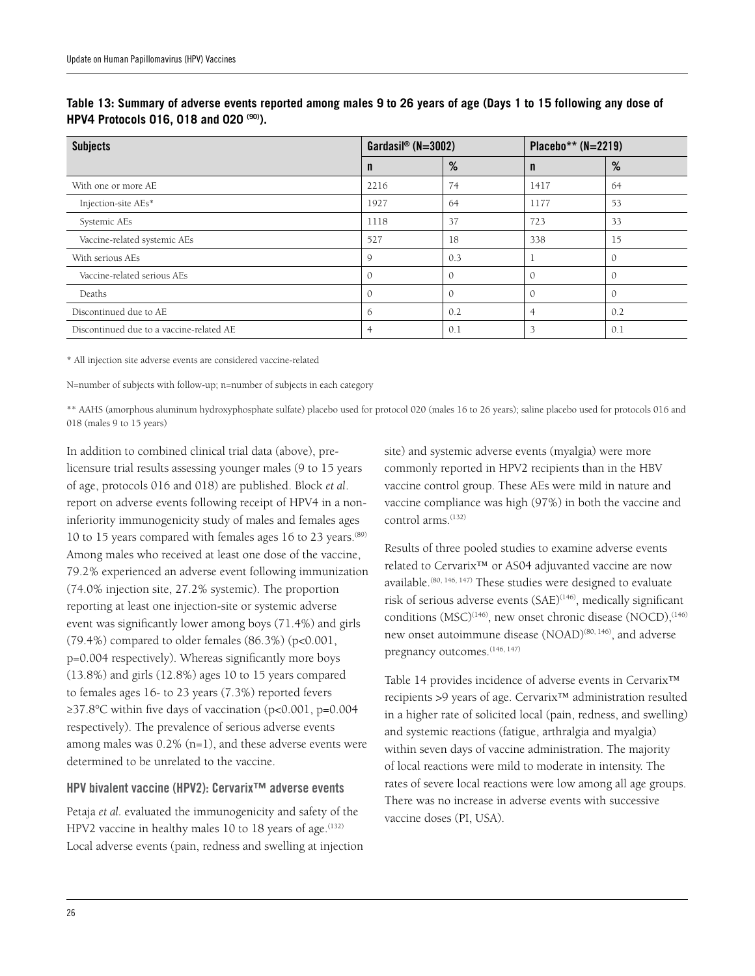| <b>Subjects</b>                          | Gardasil® ( $N=3002$ ) |                | Placebo** $(N=2219)$ |               |
|------------------------------------------|------------------------|----------------|----------------------|---------------|
|                                          | n                      | %              | n                    | %             |
| With one or more AE                      | 2216                   | 74             | 1417                 | 64            |
| Injection-site AEs*                      | 1927                   | 64             | 1177                 | 53            |
| Systemic AEs                             | 1118                   | 37             | 723                  | 33            |
| Vaccine-related systemic AEs             | 527                    | 18             | 338                  | 15            |
| With serious AEs                         | $\mathsf{Q}$           | 0.3            |                      |               |
| Vaccine-related serious AEs              | $\mathcal{O}$          | $\overline{0}$ | $\mathbf{0}$         | $\mathcal{O}$ |
| Deaths                                   | $\Omega$               | $\overline{0}$ | $\Omega$             | $\Omega$      |
| Discontinued due to AE                   | 6                      | 0.2            |                      | 0.2           |
| Discontinued due to a vaccine-related AE | 4                      | 0.1            | 3                    | 0.1           |

**Table 13: Summary of adverse events reported among males 9 to 26 years of age (Days 1 to 15 following any dose of HPV4 Protocols 016, 018 and 020 (90)).**

\* All injection site adverse events are considered vaccine-related

N=number of subjects with follow-up; n=number of subjects in each category

\*\* AAHS (amorphous aluminum hydroxyphosphate sulfate) placebo used for protocol 020 (males 16 to 26 years); saline placebo used for protocols 016 and 018 (males 9 to 15 years)

In addition to combined clinical trial data (above), prelicensure trial results assessing younger males (9 to 15 years of age, protocols 016 and 018) are published. Block *et al*. report on adverse events following receipt of HPV4 in a noninferiority immunogenicity study of males and females ages 10 to 15 years compared with females ages 16 to 23 years.<sup>(89)</sup> Among males who received at least one dose of the vaccine, 79.2% experienced an adverse event following immunization (74.0% injection site, 27.2% systemic). The proportion reporting at least one injection-site or systemic adverse event was significantly lower among boys (71.4%) and girls  $(79.4\%)$  compared to older females  $(86.3\%)$  (p<0.001, p=0.004 respectively). Whereas significantly more boys (13.8%) and girls (12.8%) ages 10 to 15 years compared to females ages 16- to 23 years (7.3%) reported fevers ≥37.8°C within five days of vaccination (p<0.001, p=0.004 respectively). The prevalence of serious adverse events among males was  $0.2\%$  (n=1), and these adverse events were determined to be unrelated to the vaccine.

#### HPV bivalent vaccine (HPV2): Cervarix™ adverse events

Petaja *et al.* evaluated the immunogenicity and safety of the HPV2 vaccine in healthy males 10 to 18 years of age. $(132)$ Local adverse events (pain, redness and swelling at injection site) and systemic adverse events (myalgia) were more commonly reported in HPV2 recipients than in the HBV vaccine control group. These AEs were mild in nature and vaccine compliance was high (97%) in both the vaccine and control arms.<sup>(132)</sup>

Results of three pooled studies to examine adverse events related to Cervarix™ or AS04 adjuvanted vaccine are now available.<sup>(80, 146, 147)</sup> These studies were designed to evaluate risk of serious adverse events (SAE)<sup>(146)</sup>, medically significant conditions  $(MSC)^{(146)}$ , new onset chronic disease  $(NOCD)$ ,  $^{(146)}$ new onset autoimmune disease (NOAD)<sup>(80, 146)</sup>, and adverse pregnancy outcomes.(146, 147)

Table 14 provides incidence of adverse events in Cervarix™ recipients >9 years of age. Cervarix™ administration resulted in a higher rate of solicited local (pain, redness, and swelling) and systemic reactions (fatigue, arthralgia and myalgia) within seven days of vaccine administration. The majority of local reactions were mild to moderate in intensity. The rates of severe local reactions were low among all age groups. There was no increase in adverse events with successive vaccine doses (PI, USA).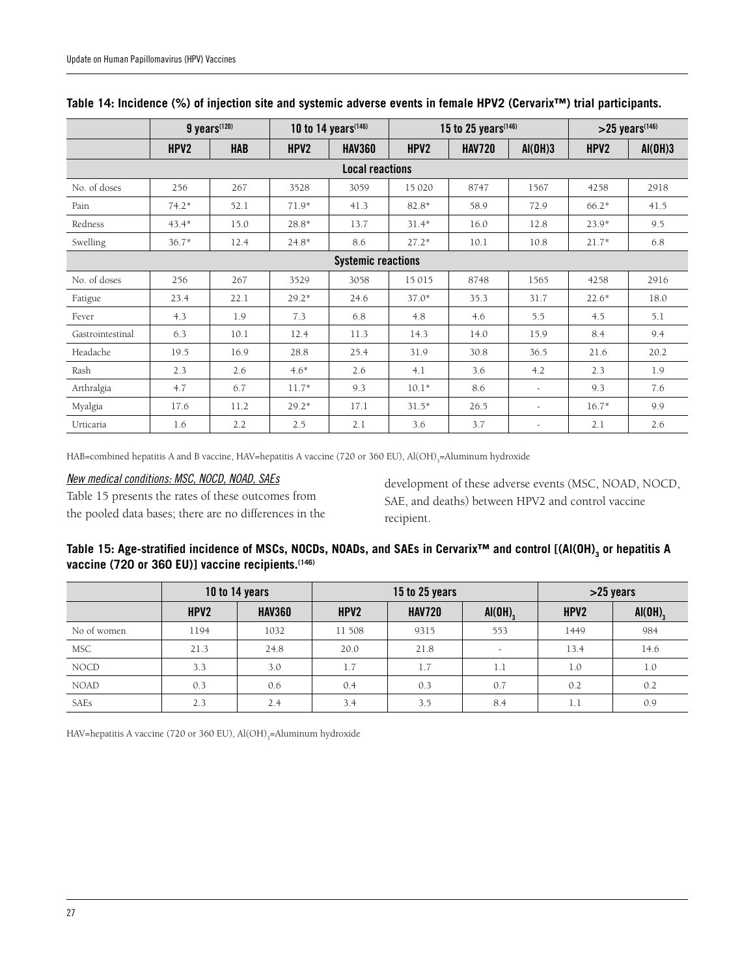|                           | $9$ years <sup><math>(120)</math></sup> |            | 10 to 14 years <sup>(146)</sup> |                        | 15 to 25 years <sup>(146)</sup> |               |                          | $>25$ years <sup><math>(146)</math></sup> |         |
|---------------------------|-----------------------------------------|------------|---------------------------------|------------------------|---------------------------------|---------------|--------------------------|-------------------------------------------|---------|
|                           | HPV2                                    | <b>HAB</b> | HPV2                            | <b>HAV360</b>          | HPV <sub>2</sub>                | <b>HAV720</b> | AI(OH)3                  | HPV2                                      | AI(OH)3 |
|                           |                                         |            |                                 | <b>Local reactions</b> |                                 |               |                          |                                           |         |
| No. of doses              | 256                                     | 267        | 3528                            | 3059                   | 15 020                          | 8747          | 1567                     | 4258                                      | 2918    |
| Pain                      | $74.2*$                                 | 52.1       | $71.9*$                         | 41.3                   | 82.8*                           | 58.9          | 72.9                     | $66.2*$                                   | 41.5    |
| Redness                   | $43.4*$                                 | 15.0       | 28.8*                           | 13.7                   | $31.4*$                         | 16.0          | 12.8                     | $23.9*$                                   | 9.5     |
| Swelling                  | $36.7*$                                 | 12.4       | $24.8*$                         | 8.6                    | $27.2*$                         | 10.1          | 10.8                     | $21.7*$                                   | 6.8     |
| <b>Systemic reactions</b> |                                         |            |                                 |                        |                                 |               |                          |                                           |         |
| No. of doses              | 256                                     | 267        | 3529                            | 3058                   | 15 015                          | 8748          | 1565                     | 4258                                      | 2916    |
| Fatigue                   | 23.4                                    | 22.1       | $29.2*$                         | 24.6                   | $37.0*$                         | 35.3          | 31.7                     | $22.6*$                                   | 18.0    |
| Fever                     | 4.3                                     | 1.9        | 7.3                             | 6.8                    | 4.8                             | 4.6           | 5.5                      | 4.5                                       | 5.1     |
| Gastrointestinal          | 6.3                                     | 10.1       | 12.4                            | 11.3                   | 14.3                            | 14.0          | 15.9                     | 8.4                                       | 9.4     |
| Headache                  | 19.5                                    | 16.9       | 28.8                            | 25.4                   | 31.9                            | 30.8          | 36.5                     | 21.6                                      | 20.2    |
| Rash                      | 2.3                                     | 2.6        | $4.6*$                          | 2.6                    | 4.1                             | 3.6           | 4.2                      | 2.3                                       | 1.9     |
| Arthralgia                | 4.7                                     | 6.7        | $11.7*$                         | 9.3                    | $10.1*$                         | 8.6           | $\overline{\phantom{a}}$ | 9.3                                       | 7.6     |
| Myalgia                   | 17.6                                    | 11.2       | $29.2*$                         | 17.1                   | $31.5*$                         | 26.5          | $\overline{a}$           | $16.7*$                                   | 9.9     |
| Urticaria                 | 1.6                                     | 2.2        | 2.5                             | 2.1                    | 3.6                             | 3.7           | $\overline{\phantom{a}}$ | 2.1                                       | 2.6     |

#### **Table 14: Incidence (%) of injection site and systemic adverse events in female HPV2 (Cervarix™) trial participants.**

HAB=combined hepatitis A and B vaccine, HAV=hepatitis A vaccine (720 or 360 EU), Al(OH)<sub>3</sub>=Aluminum hydroxide

#### *New medical conditions: MSC, NOCD, NOAD, SAEs*

Table 15 presents the rates of these outcomes from the pooled data bases; there are no differences in the development of these adverse events (MSC, NOAD, NOCD, SAE, and deaths) between HPV2 and control vaccine recipient.

#### Table 15: Age-stratified incidence of MSCs, NOCDs, NOADs, and SAEs in Cervarix™ and control [(Al(OH)<sub>3</sub> or hepatitis A **vaccine (720 or 360 EU)] vaccine recipients.(146)**

|             | 10 to 14 years   |               | 15 to 25 years |               |                       | $>25$ years |                       |  |
|-------------|------------------|---------------|----------------|---------------|-----------------------|-------------|-----------------------|--|
|             | HPV <sub>2</sub> | <b>HAV360</b> | HPV2           | <b>HAV720</b> | $AI(OH)$ <sub>3</sub> | HPV2        | $AI(OH)$ <sub>3</sub> |  |
| No of women | 1194             | 1032          | 11 508         | 9315          | 553                   | 1449        | 984                   |  |
| <b>MSC</b>  | 21.3             | 24.8          | 20.0           | 21.8          | $\sim$                | 13.4        | 14.6                  |  |
| <b>NOCD</b> | 3.3              | 3.0           | 1.7            | 1.7           | 1.1                   | 1.0         | 1.0                   |  |
| <b>NOAD</b> | 0.3              | 0.6           | 0.4            | 0.3           | 0.7                   | 0.2         | 0.2                   |  |
| SAEs        | 2.3              | 2.4           | 3.4            | 3.5           | 8.4                   | 1.1         | 0.9                   |  |

HAV=hepatitis A vaccine (720 or 360 EU), Al(OH)<sub>3</sub>=Aluminum hydroxide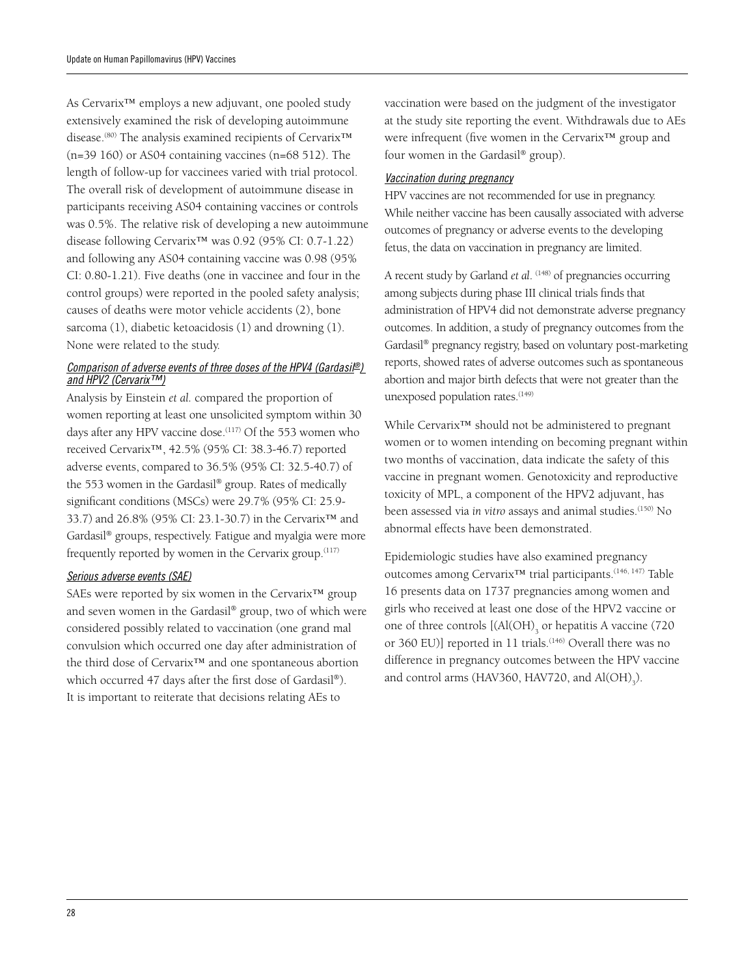As Cervarix™ employs a new adjuvant, one pooled study extensively examined the risk of developing autoimmune disease.(80) The analysis examined recipients of Cervarix™ (n=39 160) or AS04 containing vaccines (n=68 512). The length of follow-up for vaccinees varied with trial protocol. The overall risk of development of autoimmune disease in participants receiving AS04 containing vaccines or controls was 0.5%. The relative risk of developing a new autoimmune disease following Cervarix™ was 0.92 (95% CI: 0.7-1.22) and following any AS04 containing vaccine was 0.98 (95% CI: 0.80-1.21). Five deaths (one in vaccinee and four in the control groups) were reported in the pooled safety analysis; causes of deaths were motor vehicle accidents (2), bone sarcoma (1), diabetic ketoacidosis (1) and drowning (1). None were related to the study.

#### *Comparison of adverse events of three doses of the HPV4 (Gardasil®) and HPV2 (Cervarix™)*

Analysis by Einstein *et al.* compared the proportion of women reporting at least one unsolicited symptom within 30 days after any HPV vaccine dose.<sup>(117)</sup> Of the 553 women who received Cervarix™, 42.5% (95% CI: 38.3-46.7) reported adverse events, compared to 36.5% (95% CI: 32.5-40.7) of the 553 women in the Gardasil® group. Rates of medically significant conditions (MSCs) were 29.7% (95% CI: 25.9- 33.7) and 26.8% (95% CI: 23.1-30.7) in the Cervarix™ and Gardasil® groups, respectively. Fatigue and myalgia were more frequently reported by women in the Cervarix group.(117)

#### *Serious adverse events (SAE)*

SAEs were reported by six women in the Cervarix™ group and seven women in the Gardasil® group, two of which were considered possibly related to vaccination (one grand mal convulsion which occurred one day after administration of the third dose of Cervarix™ and one spontaneous abortion which occurred 47 days after the first dose of Gardasil®). It is important to reiterate that decisions relating AEs to

vaccination were based on the judgment of the investigator at the study site reporting the event. Withdrawals due to AEs were infrequent (five women in the Cervarix™ group and four women in the Gardasil® group).

#### *Vaccination during pregnancy*

HPV vaccines are not recommended for use in pregnancy. While neither vaccine has been causally associated with adverse outcomes of pregnancy or adverse events to the developing fetus, the data on vaccination in pregnancy are limited.

A recent study by Garland *et al.* <sup>(148)</sup> of pregnancies occurring among subjects during phase III clinical trials finds that administration of HPV4 did not demonstrate adverse pregnancy outcomes. In addition, a study of pregnancy outcomes from the Gardasil® pregnancy registry, based on voluntary post-marketing reports, showed rates of adverse outcomes such as spontaneous abortion and major birth defects that were not greater than the unexposed population rates.<sup>(149)</sup>

While Cervarix™ should not be administered to pregnant women or to women intending on becoming pregnant within two months of vaccination, data indicate the safety of this vaccine in pregnant women. Genotoxicity and reproductive toxicity of MPL, a component of the HPV2 adjuvant, has been assessed via *in vitro* assays and animal studies.(150) No abnormal effects have been demonstrated.

Epidemiologic studies have also examined pregnancy outcomes among Cervarix™ trial participants.(146, 147) Table 16 presents data on 1737 pregnancies among women and girls who received at least one dose of the HPV2 vaccine or one of three controls  ${\rm [(Al(OH)]}_3$  or hepatitis A vaccine (720) or 360 EU)] reported in 11 trials.<sup>(146)</sup> Overall there was no difference in pregnancy outcomes between the HPV vaccine and control arms (HAV360, HAV720, and  $\text{Al}(\text{OH})_{3}$ ).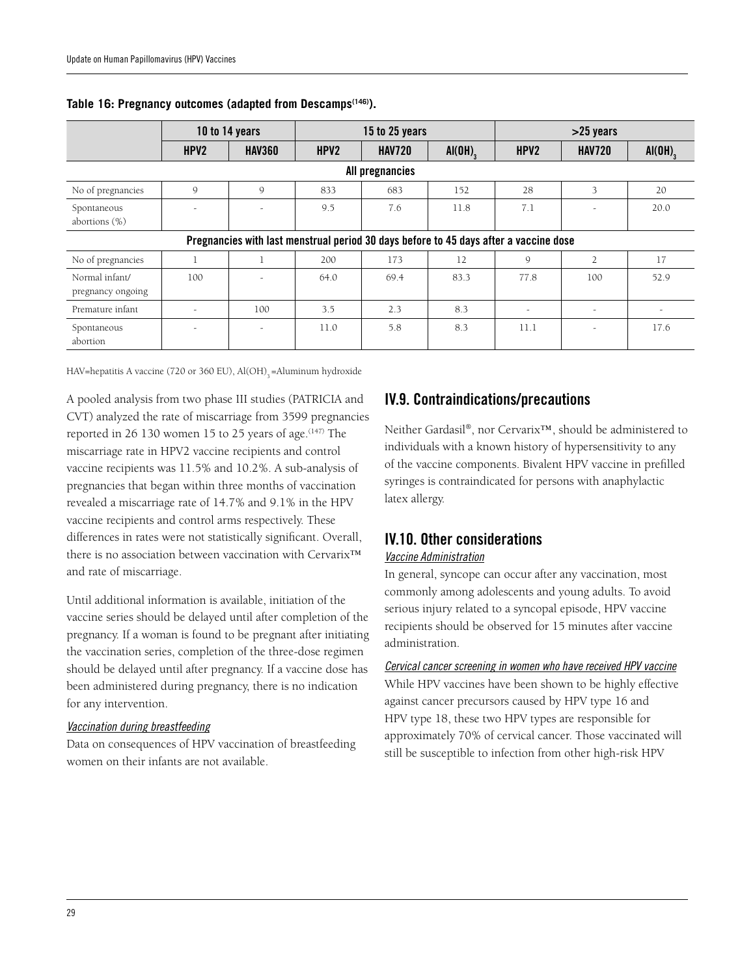|                                     | 10 to 14 years           |               | 15 to 25 years |                                                                                       |        | $>25$ years      |                |              |
|-------------------------------------|--------------------------|---------------|----------------|---------------------------------------------------------------------------------------|--------|------------------|----------------|--------------|
|                                     | HPV <sub>2</sub>         | <b>HAV360</b> | HPV2           | <b>HAV720</b>                                                                         | AI(OH) | HPV <sub>2</sub> | <b>HAV720</b>  | $AI(OH)_{2}$ |
|                                     |                          |               |                | All pregnancies                                                                       |        |                  |                |              |
| No of pregnancies                   | $\mathsf{Q}$             | $\mathsf{Q}$  | 833            | 683                                                                                   | 152    | 28               | 3              | 20           |
| Spontaneous<br>abortions $(\%)$     |                          |               | 9.5            | 7.6                                                                                   | 11.8   | 7.1              |                | 20.0         |
|                                     |                          |               |                | Pregnancies with last menstrual period 30 days before to 45 days after a vaccine dose |        |                  |                |              |
| No of pregnancies                   |                          |               | 200            | 173                                                                                   | 12     | 9                | $\overline{2}$ | 17           |
| Normal infant/<br>pregnancy ongoing | 100                      |               | 64.0           | 69.4                                                                                  | 83.3   | 77.8             | 100            | 52.9         |
| Premature infant                    | $\overline{\phantom{a}}$ | 100           | 3.5            | 2.3                                                                                   | 8.3    | $\sim$           | $\sim$         |              |
| Spontaneous<br>abortion             |                          |               | 11.0           | 5.8                                                                                   | 8.3    | 11.1             |                | 17.6         |

#### **Table 16: Pregnancy outcomes (adapted from Descamps(146)).**

HAV=hepatitis A vaccine (720 or 360 EU),  $Al(OH)$ <sub>2</sub> =Aluminum hydroxide

A pooled analysis from two phase III studies (PATRICIA and CVT) analyzed the rate of miscarriage from 3599 pregnancies reported in 26 130 women 15 to 25 years of age. $(147)$  The miscarriage rate in HPV2 vaccine recipients and control vaccine recipients was 11.5% and 10.2%. A sub-analysis of pregnancies that began within three months of vaccination revealed a miscarriage rate of 14.7% and 9.1% in the HPV vaccine recipients and control arms respectively. These differences in rates were not statistically significant. Overall, there is no association between vaccination with Cervarix™ and rate of miscarriage.

Until additional information is available, initiation of the vaccine series should be delayed until after completion of the pregnancy. If a woman is found to be pregnant after initiating the vaccination series, completion of the three-dose regimen should be delayed until after pregnancy. If a vaccine dose has been administered during pregnancy, there is no indication for any intervention.

#### *Vaccination during breastfeeding*

Data on consequences of HPV vaccination of breastfeeding women on their infants are not available.

# IV.9. Contraindications/precautions

Neither Gardasil®, nor Cervarix™, should be administered to individuals with a known history of hypersensitivity to any of the vaccine components. Bivalent HPV vaccine in prefilled syringes is contraindicated for persons with anaphylactic latex allergy.

# IV.10. Other considerations

#### *Vaccine Administration*

In general, syncope can occur after any vaccination, most commonly among adolescents and young adults. To avoid serious injury related to a syncopal episode, HPV vaccine recipients should be observed for 15 minutes after vaccine administration.

#### *Cervical cancer screening in women who have received HPV vaccine*

While HPV vaccines have been shown to be highly effective against cancer precursors caused by HPV type 16 and HPV type 18, these two HPV types are responsible for approximately 70% of cervical cancer. Those vaccinated will still be susceptible to infection from other high-risk HPV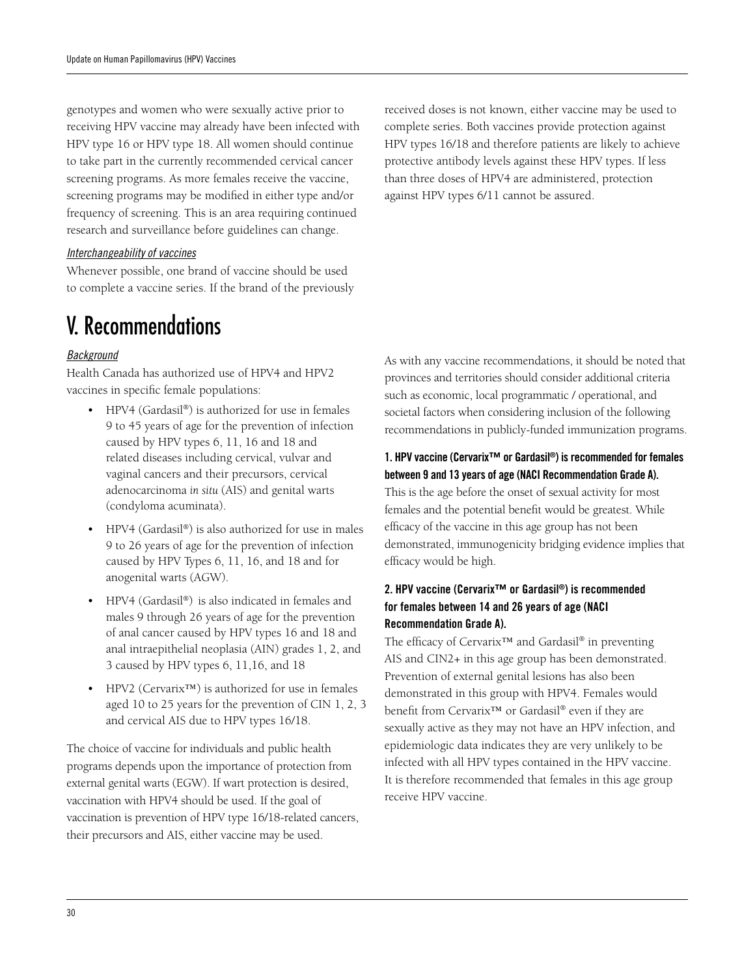genotypes and women who were sexually active prior to receiving HPV vaccine may already have been infected with HPV type 16 or HPV type 18. All women should continue to take part in the currently recommended cervical cancer screening programs. As more females receive the vaccine, screening programs may be modified in either type and/or frequency of screening. This is an area requiring continued research and surveillance before guidelines can change.

#### *Interchangeability of vaccines*

Whenever possible, one brand of vaccine should be used to complete a vaccine series. If the brand of the previously

# V. Recommendations

#### *Background*

Health Canada has authorized use of HPV4 and HPV2 vaccines in specific female populations:

- HPV4 (Gardasil®) is authorized for use in females 9 to 45 years of age for the prevention of infection caused by HPV types 6, 11, 16 and 18 and related diseases including cervical, vulvar and vaginal cancers and their precursors, cervical adenocarcinoma *in situ* (AIS) and genital warts (condyloma acuminata).
- HPV4 (Gardasil®) is also authorized for use in males 9 to 26 years of age for the prevention of infection caused by HPV Types 6, 11, 16, and 18 and for anogenital warts (AGW).
- $HPV4$  (Gardasil®) is also indicated in females and males 9 through 26 years of age for the prevention of anal cancer caused by HPV types 16 and 18 and anal intraepithelial neoplasia (AIN) grades 1, 2, and 3 caused by HPV types 6, 11,16, and 18
- $HPV2$  (Cervarix<sup>™</sup>) is authorized for use in females aged 10 to 25 years for the prevention of CIN 1, 2, 3 and cervical AIS due to HPV types 16/18.

The choice of vaccine for individuals and public health programs depends upon the importance of protection from external genital warts (EGW). If wart protection is desired, vaccination with HPV4 should be used. If the goal of vaccination is prevention of HPV type 16/18-related cancers, their precursors and AIS, either vaccine may be used.

received doses is not known, either vaccine may be used to complete series. Both vaccines provide protection against HPV types 16/18 and therefore patients are likely to achieve protective antibody levels against these HPV types. If less than three doses of HPV4 are administered, protection against HPV types 6/11 cannot be assured.

As with any vaccine recommendations, it should be noted that provinces and territories should consider additional criteria such as economic, local programmatic / operational, and societal factors when considering inclusion of the following recommendations in publicly-funded immunization programs.

#### 1. HPV vaccine (Cervarix™ or Gardasil®) is recommended for females between 9 and 13 years of age (NACI Recommendation Grade A).

This is the age before the onset of sexual activity for most females and the potential benefit would be greatest. While efficacy of the vaccine in this age group has not been demonstrated, immunogenicity bridging evidence implies that efficacy would be high.

### 2. HPV vaccine (Cervarix™ or Gardasil®) is recommended for females between 14 and 26 years of age (NACI Recommendation Grade A).

The efficacy of Cervarix™ and Gardasil® in preventing AIS and CIN2+ in this age group has been demonstrated. Prevention of external genital lesions has also been demonstrated in this group with HPV4. Females would benefit from Cervarix™ or Gardasil® even if they are sexually active as they may not have an HPV infection, and epidemiologic data indicates they are very unlikely to be infected with all HPV types contained in the HPV vaccine. It is therefore recommended that females in this age group receive HPV vaccine.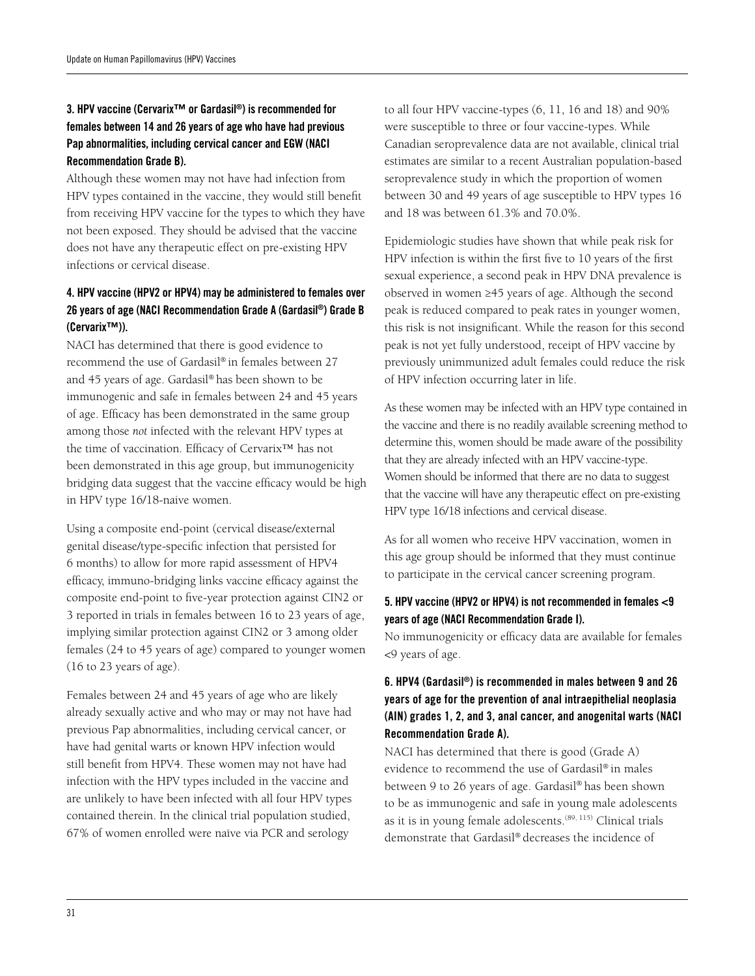### 3. HPV vaccine (Cervarix™ or Gardasil®) is recommended for females between 14 and 26 years of age who have had previous Pap abnormalities, including cervical cancer and EGW (NACI Recommendation Grade B).

Although these women may not have had infection from HPV types contained in the vaccine, they would still benefit from receiving HPV vaccine for the types to which they have not been exposed. They should be advised that the vaccine does not have any therapeutic effect on pre-existing HPV infections or cervical disease.

### 4. HPV vaccine (HPV2 or HPV4) may be administered to females over 26 years of age (NACI Recommendation Grade A (Gardasil®) Grade B (Cervarix™)).

NACI has determined that there is good evidence to recommend the use of Gardasil® in females between 27 and 45 years of age. Gardasil® has been shown to be immunogenic and safe in females between 24 and 45 years of age. Efficacy has been demonstrated in the same group among those *not* infected with the relevant HPV types at the time of vaccination. Efficacy of Cervarix™ has not been demonstrated in this age group, but immunogenicity bridging data suggest that the vaccine efficacy would be high in HPV type 16/18-naive women.

Using a composite end-point (cervical disease/external genital disease/type-specific infection that persisted for 6 months) to allow for more rapid assessment of HPV4 efficacy, immuno-bridging links vaccine efficacy against the composite end-point to five-year protection against CIN2 or 3 reported in trials in females between 16 to 23 years of age, implying similar protection against CIN2 or 3 among older females (24 to 45 years of age) compared to younger women (16 to 23 years of age).

Females between 24 and 45 years of age who are likely already sexually active and who may or may not have had previous Pap abnormalities, including cervical cancer, or have had genital warts or known HPV infection would still benefit from HPV4. These women may not have had infection with the HPV types included in the vaccine and are unlikely to have been infected with all four HPV types contained therein. In the clinical trial population studied, 67% of women enrolled were naïve via PCR and serology

to all four HPV vaccine-types (6, 11, 16 and 18) and 90% were susceptible to three or four vaccine-types. While Canadian seroprevalence data are not available, clinical trial estimates are similar to a recent Australian population-based seroprevalence study in which the proportion of women between 30 and 49 years of age susceptible to HPV types 16 and 18 was between 61.3% and 70.0%.

Epidemiologic studies have shown that while peak risk for HPV infection is within the first five to 10 years of the first sexual experience, a second peak in HPV DNA prevalence is observed in women ≥45 years of age. Although the second peak is reduced compared to peak rates in younger women, this risk is not insignificant. While the reason for this second peak is not yet fully understood, receipt of HPV vaccine by previously unimmunized adult females could reduce the risk of HPV infection occurring later in life.

As these women may be infected with an HPV type contained in the vaccine and there is no readily available screening method to determine this, women should be made aware of the possibility that they are already infected with an HPV vaccine-type. Women should be informed that there are no data to suggest that the vaccine will have any therapeutic effect on pre-existing HPV type 16/18 infections and cervical disease.

As for all women who receive HPV vaccination, women in this age group should be informed that they must continue to participate in the cervical cancer screening program.

#### 5. HPV vaccine (HPV2 or HPV4) is not recommended in females <9 years of age (NACI Recommendation Grade I).

No immunogenicity or efficacy data are available for females <9 years of age.

### 6. HPV4 (Gardasil®) is recommended in males between 9 and 26 years of age for the prevention of anal intraepithelial neoplasia (AIN) grades 1, 2, and 3, anal cancer, and anogenital warts (NACI Recommendation Grade A).

NACI has determined that there is good (Grade A) evidence to recommend the use of Gardasil® in males between 9 to 26 years of age. Gardasil® has been shown to be as immunogenic and safe in young male adolescents as it is in young female adolescents.<sup>(89, 115)</sup> Clinical trials demonstrate that Gardasil® decreases the incidence of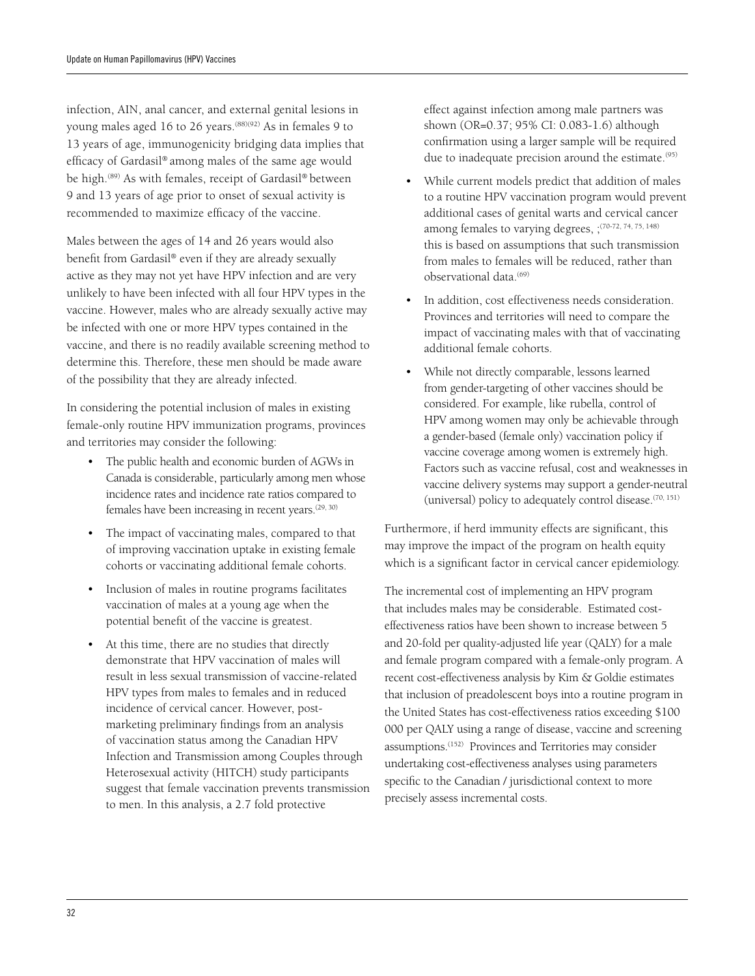infection, AIN, anal cancer, and external genital lesions in young males aged 16 to 26 years.<sup>(88)(92)</sup> As in females 9 to 13 years of age, immunogenicity bridging data implies that efficacy of Gardasil® among males of the same age would be high.(89) As with females, receipt of Gardasil® between 9 and 13 years of age prior to onset of sexual activity is recommended to maximize efficacy of the vaccine.

Males between the ages of 14 and 26 years would also benefit from Gardasil® even if they are already sexually active as they may not yet have HPV infection and are very unlikely to have been infected with all four HPV types in the vaccine. However, males who are already sexually active may be infected with one or more HPV types contained in the vaccine, and there is no readily available screening method to determine this. Therefore, these men should be made aware of the possibility that they are already infected.

In considering the potential inclusion of males in existing female-only routine HPV immunization programs, provinces and territories may consider the following:

- The public health and economic burden of AGWs in Canada is considerable, particularly among men whose incidence rates and incidence rate ratios compared to females have been increasing in recent years.<sup>(29, 30)</sup>
- The impact of vaccinating males, compared to that of improving vaccination uptake in existing female cohorts or vaccinating additional female cohorts.
- Inclusion of males in routine programs facilitates vaccination of males at a young age when the potential benefit of the vaccine is greatest.
- At this time, there are no studies that directly demonstrate that HPV vaccination of males will result in less sexual transmission of vaccine-related HPV types from males to females and in reduced incidence of cervical cancer. However, postmarketing preliminary findings from an analysis of vaccination status among the Canadian HPV Infection and Transmission among Couples through Heterosexual activity (HITCH) study participants suggest that female vaccination prevents transmission to men. In this analysis, a 2.7 fold protective

effect against infection among male partners was shown (OR=0.37; 95% CI: 0.083-1.6) although confirmation using a larger sample will be required due to inadequate precision around the estimate.<sup>(95)</sup>

- While current models predict that addition of males to a routine HPV vaccination program would prevent additional cases of genital warts and cervical cancer among females to varying degrees, ;<sup>(70-72, 74, 75, 148)</sup> this is based on assumptions that such transmission from males to females will be reduced, rather than observational data.<sup>(69)</sup>
- In addition, cost effectiveness needs consideration. Provinces and territories will need to compare the impact of vaccinating males with that of vaccinating additional female cohorts.
- • While not directly comparable, lessons learned from gender-targeting of other vaccines should be considered. For example, like rubella, control of HPV among women may only be achievable through a gender-based (female only) vaccination policy if vaccine coverage among women is extremely high. Factors such as vaccine refusal, cost and weaknesses in vaccine delivery systems may support a gender-neutral (universal) policy to adequately control disease. $(70, 151)$

Furthermore, if herd immunity effects are significant, this may improve the impact of the program on health equity which is a significant factor in cervical cancer epidemiology.

The incremental cost of implementing an HPV program that includes males may be considerable. Estimated costeffectiveness ratios have been shown to increase between 5 and 20-fold per quality-adjusted life year (QALY) for a male and female program compared with a female-only program. A recent cost-effectiveness analysis by Kim & Goldie estimates that inclusion of preadolescent boys into a routine program in the United States has cost-effectiveness ratios exceeding \$100 000 per QALY using a range of disease, vaccine and screening assumptions.(152) Provinces and Territories may consider undertaking cost-effectiveness analyses using parameters specific to the Canadian / jurisdictional context to more precisely assess incremental costs.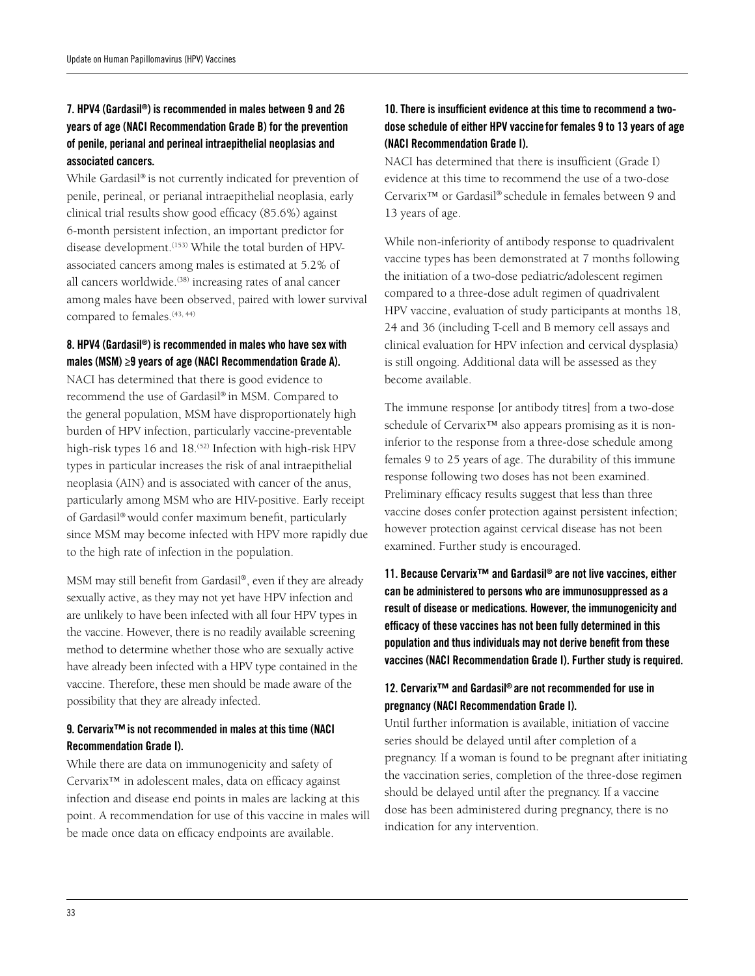### 7. HPV4 (Gardasil®) is recommended in males between 9 and 26 years of age (NACI Recommendation Grade B) for the prevention of penile, perianal and perineal intraepithelial neoplasias and associated cancers.

While Gardasil® is not currently indicated for prevention of penile, perineal, or perianal intraepithelial neoplasia, early clinical trial results show good efficacy (85.6%) against 6-month persistent infection, an important predictor for disease development.<sup>(153)</sup> While the total burden of HPVassociated cancers among males is estimated at 5.2% of all cancers worldwide.<sup>(38)</sup> increasing rates of anal cancer among males have been observed, paired with lower survival compared to females.<sup>(43, 44)</sup>

#### 8. HPV4 (Gardasil®) is recommended in males who have sex with males (MSM) ≥9 years of age (NACI Recommendation Grade A).

NACI has determined that there is good evidence to recommend the use of Gardasil® in MSM. Compared to the general population, MSM have disproportionately high burden of HPV infection, particularly vaccine-preventable high-risk types 16 and 18.<sup>(52)</sup> Infection with high-risk HPV types in particular increases the risk of anal intraepithelial neoplasia (AIN) and is associated with cancer of the anus, particularly among MSM who are HIV-positive. Early receipt of Gardasil® would confer maximum benefit, particularly since MSM may become infected with HPV more rapidly due to the high rate of infection in the population.

MSM may still benefit from Gardasil®, even if they are already sexually active, as they may not yet have HPV infection and are unlikely to have been infected with all four HPV types in the vaccine. However, there is no readily available screening method to determine whether those who are sexually active have already been infected with a HPV type contained in the vaccine. Therefore, these men should be made aware of the possibility that they are already infected.

### 9. Cervarix<sup>™</sup> is not recommended in males at this time (NACI Recommendation Grade I).

While there are data on immunogenicity and safety of Cervarix™ in adolescent males, data on efficacy against infection and disease end points in males are lacking at this point. A recommendation for use of this vaccine in males will be made once data on efficacy endpoints are available.

### 10. There is insufficient evidence at this time to recommend a twodose schedule of either HPV vaccine for females 9 to 13 years of age (NACI Recommendation Grade I).

NACI has determined that there is insufficient (Grade I) evidence at this time to recommend the use of a two-dose Cervarix™ or Gardasil® schedule in females between 9 and 13 years of age.

While non-inferiority of antibody response to quadrivalent vaccine types has been demonstrated at 7 months following the initiation of a two-dose pediatric/adolescent regimen compared to a three-dose adult regimen of quadrivalent HPV vaccine, evaluation of study participants at months 18, 24 and 36 (including T-cell and B memory cell assays and clinical evaluation for HPV infection and cervical dysplasia) is still ongoing. Additional data will be assessed as they become available.

The immune response [or antibody titres] from a two-dose schedule of Cervarix<sup>™</sup> also appears promising as it is noninferior to the response from a three-dose schedule among females 9 to 25 years of age. The durability of this immune response following two doses has not been examined. Preliminary efficacy results suggest that less than three vaccine doses confer protection against persistent infection; however protection against cervical disease has not been examined. Further study is encouraged.

11. Because Cervarix™ and Gardasil® are not live vaccines, either can be administered to persons who are immunosuppressed as a result of disease or medications. However, the immunogenicity and efficacy of these vaccines has not been fully determined in this population and thus individuals may not derive benefit from these vaccines (NACI Recommendation Grade I). Further study is required.

### 12. Cervarix™ and Gardasil® are not recommended for use in pregnancy (NACI Recommendation Grade I).

Until further information is available, initiation of vaccine series should be delayed until after completion of a pregnancy. If a woman is found to be pregnant after initiating the vaccination series, completion of the three-dose regimen should be delayed until after the pregnancy. If a vaccine dose has been administered during pregnancy, there is no indication for any intervention.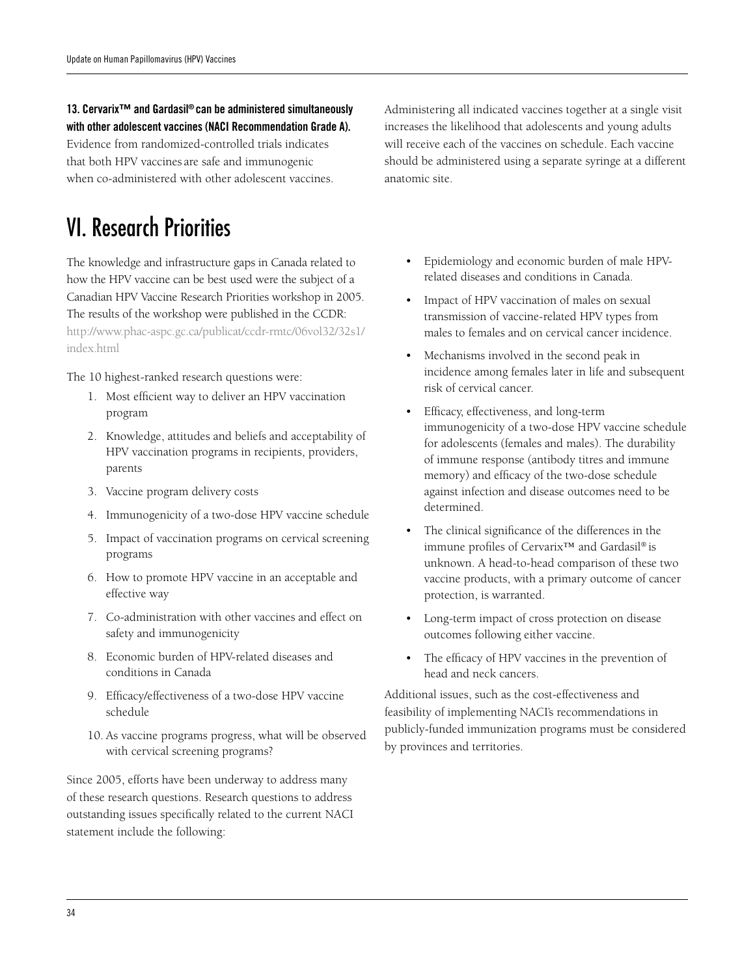13. Cervarix™ and Gardasil® can be administered simultaneously with other adolescent vaccines (NACI Recommendation Grade A). Evidence from randomized-controlled trials indicates that both HPV vaccines are safe and immunogenic when co-administered with other adolescent vaccines.

# VI. Research Priorities

The knowledge and infrastructure gaps in Canada related to how the HPV vaccine can be best used were the subject of a Canadian HPV Vaccine Research Priorities workshop in 2005. The results of the workshop were published in the CCDR: [http://www.phac-aspc.gc.ca/publicat/ccdr-rmtc/06vol32/32s1/](http://www.phac-aspc.gc.ca/publicat/ccdr-rmtc/06vol32/32s1/index.html) [index.html](http://www.phac-aspc.gc.ca/publicat/ccdr-rmtc/06vol32/32s1/index.html) 

The 10 highest-ranked research questions were:

- 1. Most efficient way to deliver an HPV vaccination program
- 2. Knowledge, attitudes and beliefs and acceptability of HPV vaccination programs in recipients, providers, parents
- 3. Vaccine program delivery costs
- 4. Immunogenicity of a two-dose HPV vaccine schedule
- 5. Impact of vaccination programs on cervical screening programs
- 6. How to promote HPV vaccine in an acceptable and effective way
- 7. Co-administration with other vaccines and effect on safety and immunogenicity
- 8. Economic burden of HPV-related diseases and conditions in Canada
- 9. Efficacy/effectiveness of a two-dose HPV vaccine schedule
- 10. As vaccine programs progress, what will be observed with cervical screening programs?

Since 2005, efforts have been underway to address many of these research questions. Research questions to address outstanding issues specifically related to the current NACI statement include the following:

Administering all indicated vaccines together at a single visit increases the likelihood that adolescents and young adults will receive each of the vaccines on schedule. Each vaccine should be administered using a separate syringe at a different anatomic site.

- • Epidemiology and economic burden of male HPVrelated diseases and conditions in Canada.
- Impact of HPV vaccination of males on sexual transmission of vaccine-related HPV types from males to females and on cervical cancer incidence.
- Mechanisms involved in the second peak in incidence among females later in life and subsequent risk of cervical cancer.
- • Efficacy, effectiveness, and long-term immunogenicity of a two-dose HPV vaccine schedule for adolescents (females and males). The durability of immune response (antibody titres and immune memory) and efficacy of the two-dose schedule against infection and disease outcomes need to be determined.
- The clinical significance of the differences in the immune profiles of Cervarix™ and Gardasil® is unknown. A head-to-head comparison of these two vaccine products, with a primary outcome of cancer protection, is warranted.
- • Long-term impact of cross protection on disease outcomes following either vaccine.
- • The efficacy of HPV vaccines in the prevention of head and neck cancers.

Additional issues, such as the cost-effectiveness and feasibility of implementing NACI's recommendations in publicly-funded immunization programs must be considered by provinces and territories.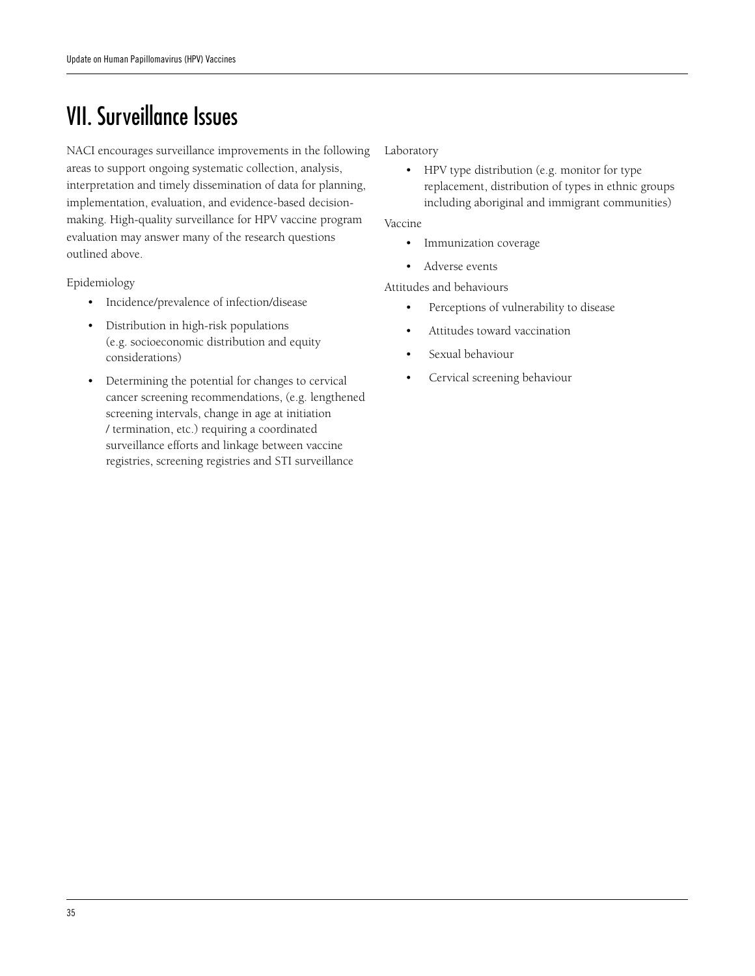# VII. Surveillance Issues

NACI encourages surveillance improvements in the following areas to support ongoing systematic collection, analysis, interpretation and timely dissemination of data for planning, implementation, evaluation, and evidence-based decisionmaking. High-quality surveillance for HPV vaccine program evaluation may answer many of the research questions outlined above.

Epidemiology

- • Incidence/prevalence of infection/disease
- Distribution in high-risk populations (e.g. socioeconomic distribution and equity considerations)
- Determining the potential for changes to cervical cancer screening recommendations, (e.g. lengthened screening intervals, change in age at initiation / termination, etc.) requiring a coordinated surveillance efforts and linkage between vaccine registries, screening registries and STI surveillance

Laboratory

• HPV type distribution (e.g. monitor for type replacement, distribution of types in ethnic groups including aboriginal and immigrant communities)

Vaccine

- • Immunization coverage
- • Adverse events

Attitudes and behaviours

- • Perceptions of vulnerability to disease
- • Attitudes toward vaccination
- Sexual behaviour
- Cervical screening behaviour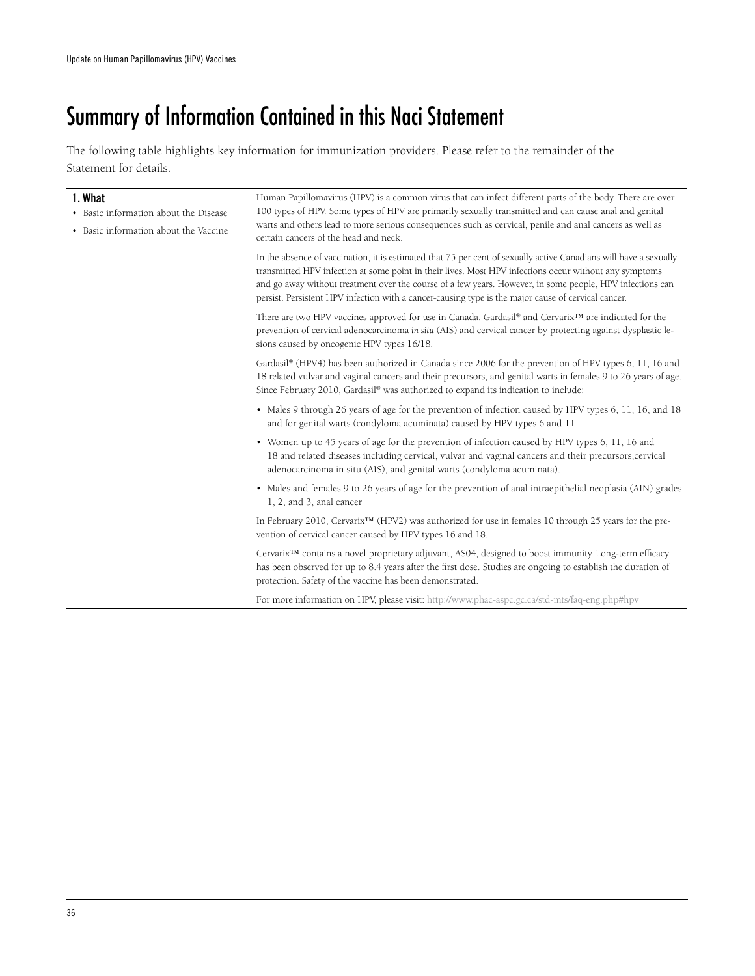# Summary of Information Contained in this Naci Statement

The following table highlights key information for immunization providers. Please refer to the remainder of the Statement for details.

| 1. What<br>• Basic information about the Disease<br>• Basic information about the Vaccine | Human Papillomavirus (HPV) is a common virus that can infect different parts of the body. There are over<br>100 types of HPV. Some types of HPV are primarily sexually transmitted and can cause anal and genital<br>warts and others lead to more serious consequences such as cervical, penile and anal cancers as well as                                                                                                                                                             |
|-------------------------------------------------------------------------------------------|------------------------------------------------------------------------------------------------------------------------------------------------------------------------------------------------------------------------------------------------------------------------------------------------------------------------------------------------------------------------------------------------------------------------------------------------------------------------------------------|
|                                                                                           | certain cancers of the head and neck.<br>In the absence of vaccination, it is estimated that 75 per cent of sexually active Canadians will have a sexually<br>transmitted HPV infection at some point in their lives. Most HPV infections occur without any symptoms<br>and go away without treatment over the course of a few years. However, in some people, HPV infections can<br>persist. Persistent HPV infection with a cancer-causing type is the major cause of cervical cancer. |
|                                                                                           | There are two HPV vaccines approved for use in Canada. Gardasil® and Cervarix™ are indicated for the<br>prevention of cervical adenocarcinoma in situ (AIS) and cervical cancer by protecting against dysplastic le-<br>sions caused by oncogenic HPV types 16/18.                                                                                                                                                                                                                       |
|                                                                                           | Gardasil® (HPV4) has been authorized in Canada since 2006 for the prevention of HPV types 6, 11, 16 and<br>18 related vulvar and vaginal cancers and their precursors, and genital warts in females 9 to 26 years of age.<br>Since February 2010, Gardasil® was authorized to expand its indication to include:                                                                                                                                                                          |
|                                                                                           | • Males 9 through 26 years of age for the prevention of infection caused by HPV types 6, 11, 16, and 18<br>and for genital warts (condyloma acuminata) caused by HPV types 6 and 11                                                                                                                                                                                                                                                                                                      |
|                                                                                           | • Women up to 45 years of age for the prevention of infection caused by HPV types 6, 11, 16 and<br>18 and related diseases including cervical, vulvar and vaginal cancers and their precursors, cervical<br>adenocarcinoma in situ (AIS), and genital warts (condyloma acuminata).                                                                                                                                                                                                       |
|                                                                                           | • Males and females 9 to 26 years of age for the prevention of anal intraepithelial neoplasia (AIN) grades<br>1, 2, and 3, anal cancer                                                                                                                                                                                                                                                                                                                                                   |
|                                                                                           | In February 2010, Cervarix <sup>TM</sup> (HPV2) was authorized for use in females 10 through 25 years for the pre-<br>vention of cervical cancer caused by HPV types 16 and 18.                                                                                                                                                                                                                                                                                                          |
|                                                                                           | Cervarix <sup>TM</sup> contains a novel proprietary adjuvant, AS04, designed to boost immunity. Long-term efficacy<br>has been observed for up to 8.4 years after the first dose. Studies are ongoing to establish the duration of<br>protection. Safety of the vaccine has been demonstrated.                                                                                                                                                                                           |
|                                                                                           | For more information on HPV, please visit: http://www.phac-aspc.gc.ca/std-mts/faq-eng.php#hpv                                                                                                                                                                                                                                                                                                                                                                                            |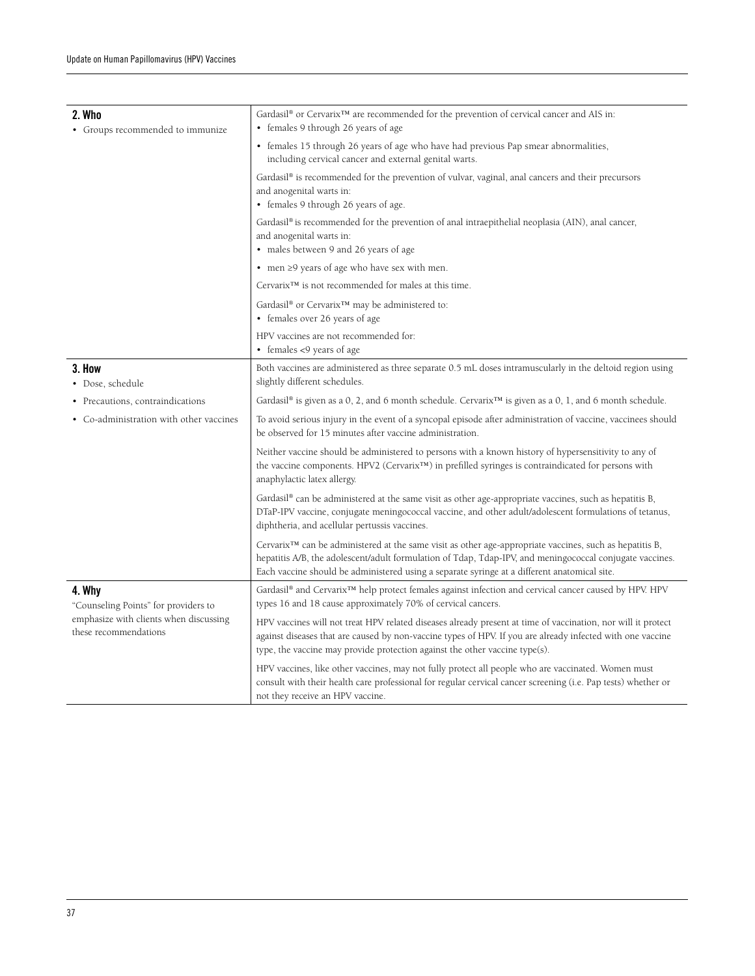| 2. Who<br>• Groups recommended to immunize                      | Gardasil® or Cervarix <sup>™</sup> are recommended for the prevention of cervical cancer and AIS in:<br>• females 9 through 26 years of age                                                                                                                                                                                     |  |  |  |  |
|-----------------------------------------------------------------|---------------------------------------------------------------------------------------------------------------------------------------------------------------------------------------------------------------------------------------------------------------------------------------------------------------------------------|--|--|--|--|
|                                                                 | • females 15 through 26 years of age who have had previous Pap smear abnormalities,<br>including cervical cancer and external genital warts.                                                                                                                                                                                    |  |  |  |  |
|                                                                 | Gardasil® is recommended for the prevention of vulvar, vaginal, anal cancers and their precursors<br>and anogenital warts in:<br>• females 9 through 26 years of age.                                                                                                                                                           |  |  |  |  |
|                                                                 | Gardasil® is recommended for the prevention of anal intraepithelial neoplasia (AIN), anal cancer,<br>and anogenital warts in:<br>• males between 9 and 26 years of age                                                                                                                                                          |  |  |  |  |
|                                                                 | • men $\geq$ 9 years of age who have sex with men.                                                                                                                                                                                                                                                                              |  |  |  |  |
|                                                                 | Cervarix™ is not recommended for males at this time.                                                                                                                                                                                                                                                                            |  |  |  |  |
|                                                                 | Gardasil® or Cervarix <sup>™</sup> may be administered to:<br>• females over 26 years of age                                                                                                                                                                                                                                    |  |  |  |  |
|                                                                 | HPV vaccines are not recommended for:<br>• females <9 years of age                                                                                                                                                                                                                                                              |  |  |  |  |
| 3. How<br>• Dose, schedule                                      | Both vaccines are administered as three separate 0.5 mL doses intramuscularly in the deltoid region using<br>slightly different schedules.                                                                                                                                                                                      |  |  |  |  |
| • Precautions, contraindications                                | Gardasil® is given as a 0, 2, and 6 month schedule. Cervarix <sup>™</sup> is given as a 0, 1, and 6 month schedule.                                                                                                                                                                                                             |  |  |  |  |
| • Co-administration with other vaccines                         | To avoid serious injury in the event of a syncopal episode after administration of vaccine, vaccinees should<br>be observed for 15 minutes after vaccine administration.                                                                                                                                                        |  |  |  |  |
|                                                                 | Neither vaccine should be administered to persons with a known history of hypersensitivity to any of<br>the vaccine components. HPV2 (Cervarix <sup>TM</sup> ) in prefilled syringes is contraindicated for persons with<br>anaphylactic latex allergy.                                                                         |  |  |  |  |
|                                                                 | Gardasil <sup>®</sup> can be administered at the same visit as other age-appropriate vaccines, such as hepatitis B,<br>DTaP-IPV vaccine, conjugate meningococcal vaccine, and other adult/adolescent formulations of tetanus,<br>diphtheria, and acellular pertussis vaccines.                                                  |  |  |  |  |
|                                                                 | Cervarix <sup>™</sup> can be administered at the same visit as other age-appropriate vaccines, such as hepatitis B,<br>hepatitis A/B, the adolescent/adult formulation of Tdap, Tdap-IPV, and meningococcal conjugate vaccines.<br>Each vaccine should be administered using a separate syringe at a different anatomical site. |  |  |  |  |
| 4. Why                                                          | Gardasil® and Cervarix <sup>™</sup> help protect females against infection and cervical cancer caused by HPV. HPV                                                                                                                                                                                                               |  |  |  |  |
| "Counseling Points" for providers to                            | types 16 and 18 cause approximately 70% of cervical cancers.                                                                                                                                                                                                                                                                    |  |  |  |  |
| emphasize with clients when discussing<br>these recommendations | HPV vaccines will not treat HPV related diseases already present at time of vaccination, nor will it protect<br>against diseases that are caused by non-vaccine types of HPV. If you are already infected with one vaccine<br>type, the vaccine may provide protection against the other vaccine type(s).                       |  |  |  |  |
|                                                                 | HPV vaccines, like other vaccines, may not fully protect all people who are vaccinated. Women must<br>consult with their health care professional for regular cervical cancer screening (i.e. Pap tests) whether or<br>not they receive an HPV vaccine.                                                                         |  |  |  |  |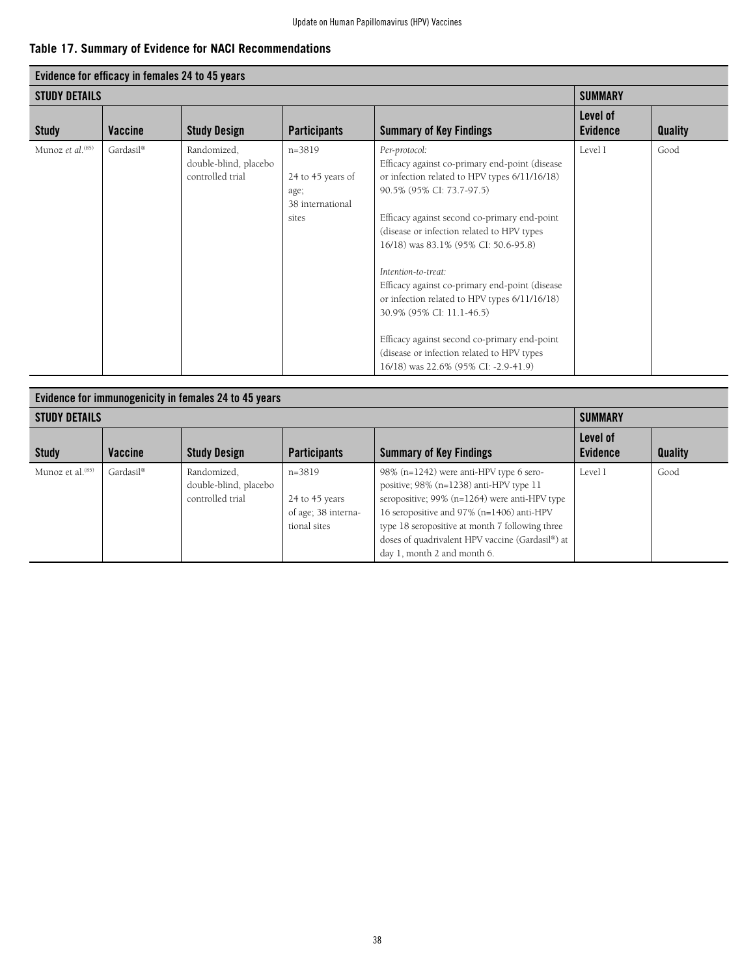### **Table 17. Summary of Evidence for NACI Recommendations**

|                        | Evidence for efficacy in females 24 to 45 years<br><b>SUMMARY</b> |                                                          |                                                                    |                                                                                                                                                                                                                                                                                                                                                                                                                                                                                                                                                                                  |                             |                |  |  |  |  |
|------------------------|-------------------------------------------------------------------|----------------------------------------------------------|--------------------------------------------------------------------|----------------------------------------------------------------------------------------------------------------------------------------------------------------------------------------------------------------------------------------------------------------------------------------------------------------------------------------------------------------------------------------------------------------------------------------------------------------------------------------------------------------------------------------------------------------------------------|-----------------------------|----------------|--|--|--|--|
| <b>STUDY DETAILS</b>   |                                                                   |                                                          |                                                                    |                                                                                                                                                                                                                                                                                                                                                                                                                                                                                                                                                                                  |                             |                |  |  |  |  |
| <b>Study</b>           | Vaccine                                                           | <b>Study Design</b>                                      | <b>Participants</b>                                                | <b>Summary of Key Findings</b>                                                                                                                                                                                                                                                                                                                                                                                                                                                                                                                                                   | Level of<br><b>Evidence</b> | <b>Quality</b> |  |  |  |  |
| Munoz et al. $^{(85)}$ | Gardasil®                                                         | Randomized,<br>double-blind, placebo<br>controlled trial | $n=3819$<br>24 to 45 years of<br>age;<br>38 international<br>sites | Per-protocol:<br>Efficacy against co-primary end-point (disease<br>or infection related to HPV types 6/11/16/18)<br>90.5% (95% CI: 73.7-97.5)<br>Efficacy against second co-primary end-point<br>(disease or infection related to HPV types<br>16/18) was 83.1% (95% CI: 50.6-95.8)<br>Intention-to-treat:<br>Efficacy against co-primary end-point (disease<br>or infection related to HPV types 6/11/16/18)<br>30.9% (95% CI: 11.1-46.5)<br>Efficacy against second co-primary end-point<br>(disease or infection related to HPV types<br>16/18) was 22.6% (95% CI: -2.9-41.9) | Level I                     | Good           |  |  |  |  |

| Evidence for immunogenicity in females 24 to 45 years |           |                                                          |                                                                   |                                                                                                                                                                                                                                                                                                                           |                             |                |  |  |  |
|-------------------------------------------------------|-----------|----------------------------------------------------------|-------------------------------------------------------------------|---------------------------------------------------------------------------------------------------------------------------------------------------------------------------------------------------------------------------------------------------------------------------------------------------------------------------|-----------------------------|----------------|--|--|--|
| <b>STUDY DETAILS</b>                                  |           |                                                          |                                                                   |                                                                                                                                                                                                                                                                                                                           |                             |                |  |  |  |
| <b>Study</b>                                          | Vaccine   | <b>Study Design</b>                                      | <b>Participants</b>                                               | <b>Summary of Key Findings</b>                                                                                                                                                                                                                                                                                            | Level of<br><b>Evidence</b> | <b>Quality</b> |  |  |  |
| Munoz et al. <sup>(85)</sup>                          | Gardasil® | Randomized,<br>double-blind, placebo<br>controlled trial | $n=3819$<br>24 to 45 years<br>of age; 38 interna-<br>tional sites | 98% (n=1242) were anti-HPV type 6 sero-<br>positive; 98% (n=1238) anti-HPV type 11<br>seropositive; $99\%$ (n=1264) were anti-HPV type<br>16 seropositive and 97% (n=1406) anti-HPV<br>type 18 seropositive at month 7 following three<br>doses of quadrivalent HPV vaccine (Gardasil®) at<br>day 1, month 2 and month 6. | Level I                     | Good           |  |  |  |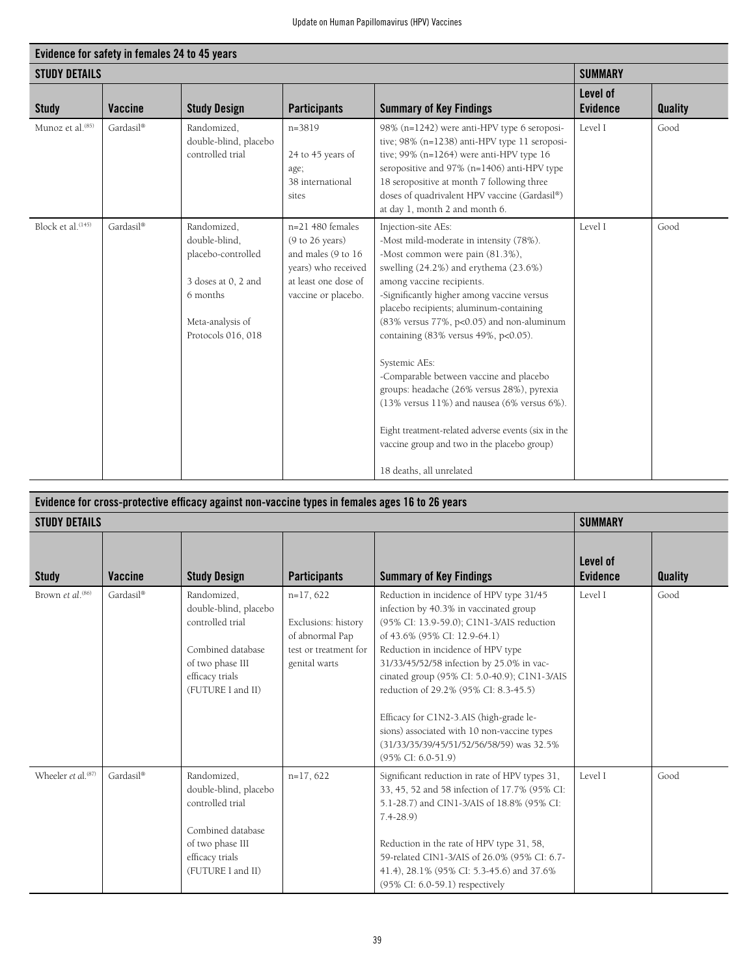| Evidence for safety in females 24 to 45 years |                |                                                                                                                                 |                                                                                                                                   |                                                                                                                                                                                                                                                                                                                                                                                                                                                                                                                                                                                                                                                                 |                             |                |  |  |  |
|-----------------------------------------------|----------------|---------------------------------------------------------------------------------------------------------------------------------|-----------------------------------------------------------------------------------------------------------------------------------|-----------------------------------------------------------------------------------------------------------------------------------------------------------------------------------------------------------------------------------------------------------------------------------------------------------------------------------------------------------------------------------------------------------------------------------------------------------------------------------------------------------------------------------------------------------------------------------------------------------------------------------------------------------------|-----------------------------|----------------|--|--|--|
| <b>STUDY DETAILS</b>                          |                |                                                                                                                                 |                                                                                                                                   |                                                                                                                                                                                                                                                                                                                                                                                                                                                                                                                                                                                                                                                                 | <b>SUMMARY</b>              |                |  |  |  |
| <b>Study</b>                                  | <b>Vaccine</b> | <b>Study Design</b>                                                                                                             | <b>Participants</b>                                                                                                               | <b>Summary of Key Findings</b>                                                                                                                                                                                                                                                                                                                                                                                                                                                                                                                                                                                                                                  | Level of<br><b>Evidence</b> | <b>Quality</b> |  |  |  |
| Munoz et al. <sup>(85)</sup>                  | Gardasil®      | Randomized,<br>double-blind, placebo<br>controlled trial                                                                        | $n = 3819$<br>24 to 45 years of<br>age;<br>38 international<br>sites                                                              | 98% (n=1242) were anti-HPV type 6 seroposi-<br>tive; 98% (n=1238) anti-HPV type 11 seroposi-<br>tive; $99\%$ (n=1264) were anti-HPV type 16<br>seropositive and 97% (n=1406) anti-HPV type<br>18 seropositive at month 7 following three<br>doses of quadrivalent HPV vaccine (Gardasil®)<br>at day 1, month 2 and month 6.                                                                                                                                                                                                                                                                                                                                     | Level I                     | Good           |  |  |  |
| Block et al. <sup>(145)</sup>                 | Gardasil®      | Randomized,<br>double-blind.<br>placebo-controlled<br>3 doses at 0, 2 and<br>6 months<br>Meta-analysis of<br>Protocols 016, 018 | $n=21$ 480 females<br>(9 to 26 years)<br>and males (9 to 16<br>years) who received<br>at least one dose of<br>vaccine or placebo. | Injection-site AEs:<br>-Most mild-moderate in intensity (78%).<br>-Most common were pain (81.3%),<br>swelling (24.2%) and erythema (23.6%)<br>among vaccine recipients.<br>-Significantly higher among vaccine versus<br>placebo recipients; aluminum-containing<br>(83% versus 77%, p<0.05) and non-aluminum<br>containing $(83\%$ versus $49\%$ , $p<0.05$ ).<br>Systemic AEs:<br>-Comparable between vaccine and placebo<br>groups: headache (26% versus 28%), pyrexia<br>$(13\%$ versus $11\%)$ and nausea (6% versus 6%).<br>Eight treatment-related adverse events (six in the<br>vaccine group and two in the placebo group)<br>18 deaths, all unrelated | Level I                     | Good           |  |  |  |

| Evidence for cross-protective efficacy against non-vaccine types in females ages 16 to 26 years |                |                                                                                                                                           |                                                                                                |                                                                                                                                                                                                                                                                                                                                                                                                                                                                                                          |                             |                |  |  |
|-------------------------------------------------------------------------------------------------|----------------|-------------------------------------------------------------------------------------------------------------------------------------------|------------------------------------------------------------------------------------------------|----------------------------------------------------------------------------------------------------------------------------------------------------------------------------------------------------------------------------------------------------------------------------------------------------------------------------------------------------------------------------------------------------------------------------------------------------------------------------------------------------------|-----------------------------|----------------|--|--|
| <b>STUDY DETAILS</b>                                                                            |                |                                                                                                                                           |                                                                                                |                                                                                                                                                                                                                                                                                                                                                                                                                                                                                                          | <b>SUMMARY</b>              |                |  |  |
| <b>Study</b>                                                                                    | <b>Vaccine</b> | <b>Study Design</b>                                                                                                                       | <b>Participants</b>                                                                            | <b>Summary of Key Findings</b>                                                                                                                                                                                                                                                                                                                                                                                                                                                                           | Level of<br><b>Evidence</b> | <b>Quality</b> |  |  |
| Brown et al. <sup>(86)</sup>                                                                    | Gardasil®      | Randomized,<br>double-blind, placebo<br>controlled trial<br>Combined database<br>of two phase III<br>efficacy trials<br>(FUTURE I and II) | $n=17,622$<br>Exclusions: history<br>of abnormal Pap<br>test or treatment for<br>genital warts | Reduction in incidence of HPV type 31/45<br>infection by 40.3% in vaccinated group<br>(95% CI: 13.9-59.0); C1N1-3/AIS reduction<br>of 43.6% (95% CI: 12.9-64.1)<br>Reduction in incidence of HPV type<br>31/33/45/52/58 infection by 25.0% in vac-<br>cinated group (95% CI: 5.0-40.9); C1N1-3/AIS<br>reduction of 29.2% (95% CI: 8.3-45.5)<br>Efficacy for C1N2-3.AIS (high-grade le-<br>sions) associated with 10 non-vaccine types<br>(31/33/35/39/45/51/52/56/58/59) was 32.5%<br>(95% CI: 6.0-51.9) | Level I                     | Good           |  |  |
| Wheeler et al. <sup>(87)</sup>                                                                  | Gardasil®      | Randomized,<br>double-blind, placebo<br>controlled trial<br>Combined database<br>of two phase III<br>efficacy trials<br>(FUTURE I and II) | $n=17,622$                                                                                     | Significant reduction in rate of HPV types 31,<br>33, 45, 52 and 58 infection of 17.7% (95% CI:<br>5.1-28.7) and CIN1-3/AIS of 18.8% (95% CI:<br>$7.4 - 28.9$<br>Reduction in the rate of HPV type 31, 58,<br>59-related CIN1-3/AIS of 26.0% (95% CI: 6.7-<br>41.4), 28.1% (95% CI: 5.3-45.6) and 37.6%<br>(95% CI: 6.0-59.1) respectively                                                                                                                                                               | Level I                     | Good           |  |  |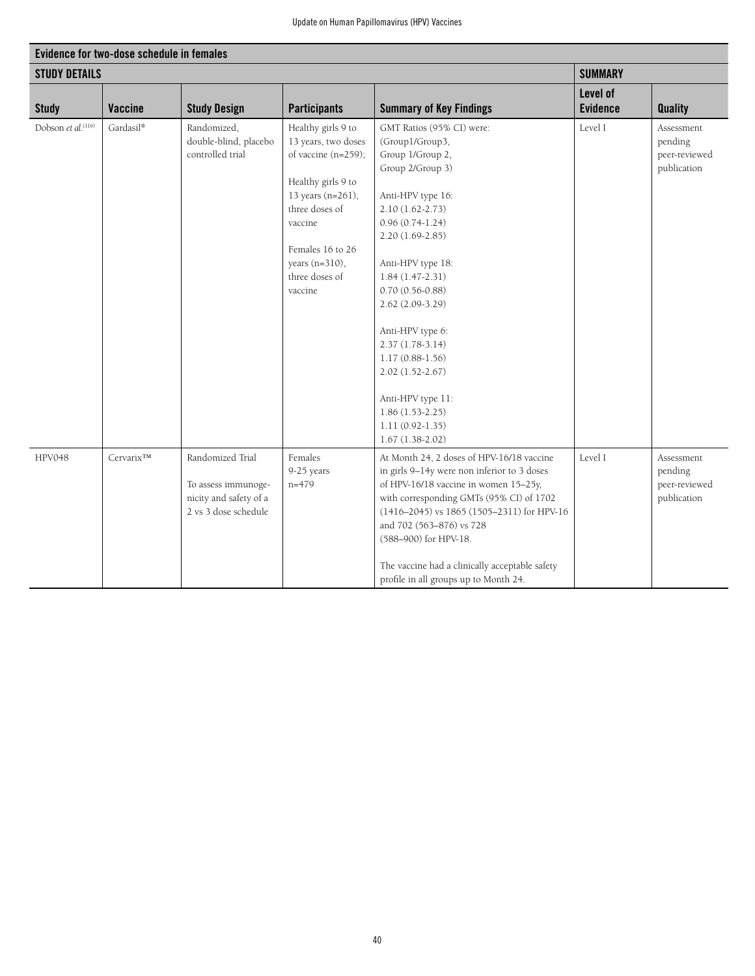| Evidence for two-dose schedule in females |                       |                                                                                           |                                                                                                                                                                                                             |                                                                                                                                                                                                                                                                                                                                                                                                                                            |                             |                                                       |  |  |
|-------------------------------------------|-----------------------|-------------------------------------------------------------------------------------------|-------------------------------------------------------------------------------------------------------------------------------------------------------------------------------------------------------------|--------------------------------------------------------------------------------------------------------------------------------------------------------------------------------------------------------------------------------------------------------------------------------------------------------------------------------------------------------------------------------------------------------------------------------------------|-----------------------------|-------------------------------------------------------|--|--|
| <b>STUDY DETAILS</b>                      |                       |                                                                                           |                                                                                                                                                                                                             |                                                                                                                                                                                                                                                                                                                                                                                                                                            | <b>SUMMARY</b>              |                                                       |  |  |
| <b>Study</b>                              | <b>Vaccine</b>        | <b>Study Design</b>                                                                       | <b>Participants</b>                                                                                                                                                                                         | <b>Summary of Key Findings</b>                                                                                                                                                                                                                                                                                                                                                                                                             | Level of<br><b>Evidence</b> | <b>Quality</b>                                        |  |  |
| Dobson et al. <sup>(116)</sup>            | Gardasil®             | Randomized,<br>double-blind, placebo<br>controlled trial                                  | Healthy girls 9 to<br>13 years, two doses<br>of vaccine (n=259);<br>Healthy girls 9 to<br>13 years (n=261),<br>three doses of<br>vaccine<br>Females 16 to 26<br>years (n=310),<br>three doses of<br>vaccine | GMT Ratios (95% CI) were:<br>(Group1/Group3,<br>Group 1/Group 2,<br>Group 2/Group 3)<br>Anti-HPV type 16:<br>$2.10(1.62 - 2.73)$<br>$0.96(0.74-1.24)$<br>2.20 (1.69-2.85)<br>Anti-HPV type 18:<br>$1.84(1.47-2.31)$<br>$0.70(0.56 - 0.88)$<br>$2.62(2.09-3.29)$<br>Anti-HPV type 6:<br>$2.37(1.78-3.14)$<br>$1.17(0.88-1.56)$<br>$2.02(1.52 - 2.67)$<br>Anti-HPV type 11:<br>$1.86(1.53-2.25)$<br>$1.11(0.92 - 1.35)$<br>$1.67(1.38-2.02)$ | Level I                     | Assessment<br>pending<br>peer-reviewed<br>publication |  |  |
| HPV048                                    | Cervarix <sup>™</sup> | Randomized Trial<br>To assess immunoge-<br>nicity and safety of a<br>2 vs 3 dose schedule | Females<br>9-25 years<br>$n=479$                                                                                                                                                                            | At Month 24, 2 doses of HPV-16/18 vaccine<br>in girls 9-14y were non inferior to 3 doses<br>of HPV-16/18 vaccine in women 15-25y,<br>with corresponding GMTs (95% CI) of 1702<br>$(1416-2045)$ vs 1865 $(1505-2311)$ for HPV-16<br>and 702 (563-876) vs 728<br>(588-900) for HPV-18.<br>The vaccine had a clinically acceptable safety<br>profile in all groups up to Month 24.                                                            | Level I                     | Assessment<br>pending<br>peer-reviewed<br>publication |  |  |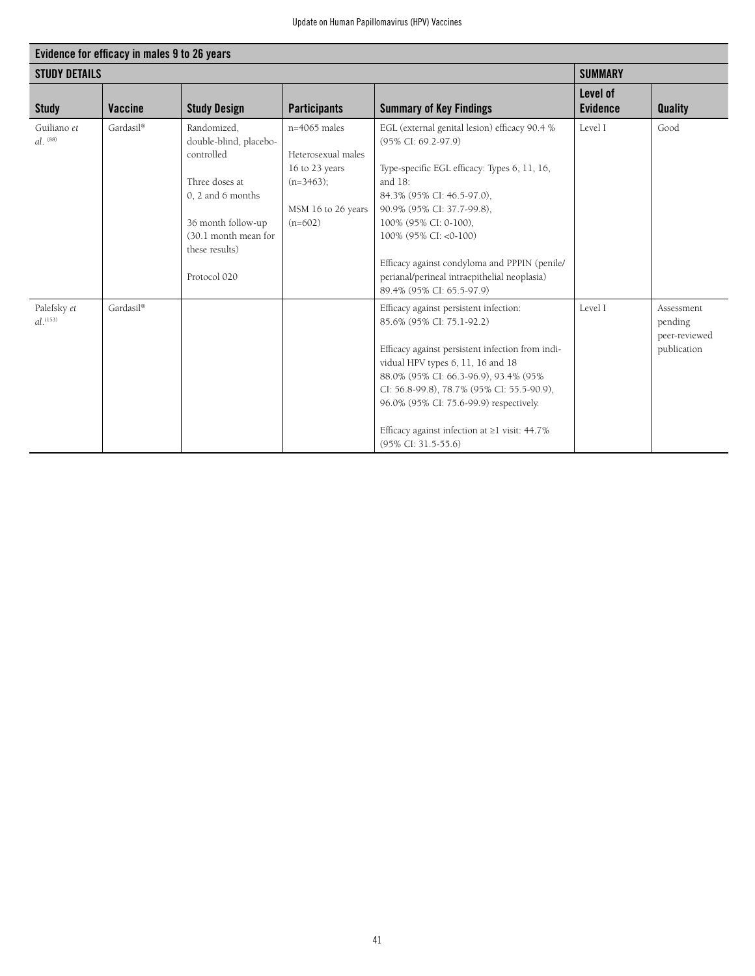| Evidence for efficacy in males 9 to 26 years |                |                                                                                                                                                                            |                                                                                                           |                                                                                                                                                                                                                                                                                                                                                                                 |                             |                                                       |  |  |
|----------------------------------------------|----------------|----------------------------------------------------------------------------------------------------------------------------------------------------------------------------|-----------------------------------------------------------------------------------------------------------|---------------------------------------------------------------------------------------------------------------------------------------------------------------------------------------------------------------------------------------------------------------------------------------------------------------------------------------------------------------------------------|-----------------------------|-------------------------------------------------------|--|--|
| <b>STUDY DETAILS</b>                         |                |                                                                                                                                                                            |                                                                                                           |                                                                                                                                                                                                                                                                                                                                                                                 | <b>SUMMARY</b>              |                                                       |  |  |
| <b>Study</b>                                 | <b>Vaccine</b> | <b>Study Design</b>                                                                                                                                                        | <b>Participants</b>                                                                                       | <b>Summary of Key Findings</b>                                                                                                                                                                                                                                                                                                                                                  | Level of<br><b>Evidence</b> | <b>Quality</b>                                        |  |  |
| Guiliano et<br>$d^{(88)}$                    | Gardasil®      | Randomized,<br>double-blind, placebo-<br>controlled<br>Three doses at<br>0, 2 and 6 months<br>36 month follow-up<br>(30.1 month mean for<br>these results)<br>Protocol 020 | $n=4065$ males<br>Heterosexual males<br>16 to 23 years<br>$(n=3463)$ ;<br>MSM 16 to 26 years<br>$(n=602)$ | EGL (external genital lesion) efficacy 90.4 %<br>(95% CI: 69.2-97.9)<br>Type-specific EGL efficacy: Types 6, 11, 16,<br>and 18:<br>84.3% (95% CI: 46.5-97.0),<br>90.9% (95% CI: 37.7-99.8),<br>100% (95% CI: 0-100).<br>100% (95% CI: <0-100)<br>Efficacy against condyloma and PPPIN (penile/<br>perianal/perineal intraepithelial neoplasia)<br>89.4% (95% CI: 65.5-97.9)     | Level I                     | Good                                                  |  |  |
| Palefsky et<br>$d^{(153)}$                   | Gardasil®      |                                                                                                                                                                            |                                                                                                           | Efficacy against persistent infection:<br>85.6% (95% CI: 75.1-92.2)<br>Efficacy against persistent infection from indi-<br>vidual HPV types 6, 11, 16 and 18<br>88.0% (95% CI: 66.3-96.9), 93.4% (95%<br>CI: 56.8-99.8), 78.7% (95% CI: 55.5-90.9),<br>96.0% (95% CI: 75.6-99.9) respectively.<br>Efficacy against infection at $\geq$ 1 visit: 44.7%<br>$(95\%$ CI: 31.5-55.6) | Level I                     | Assessment<br>pending<br>peer-reviewed<br>publication |  |  |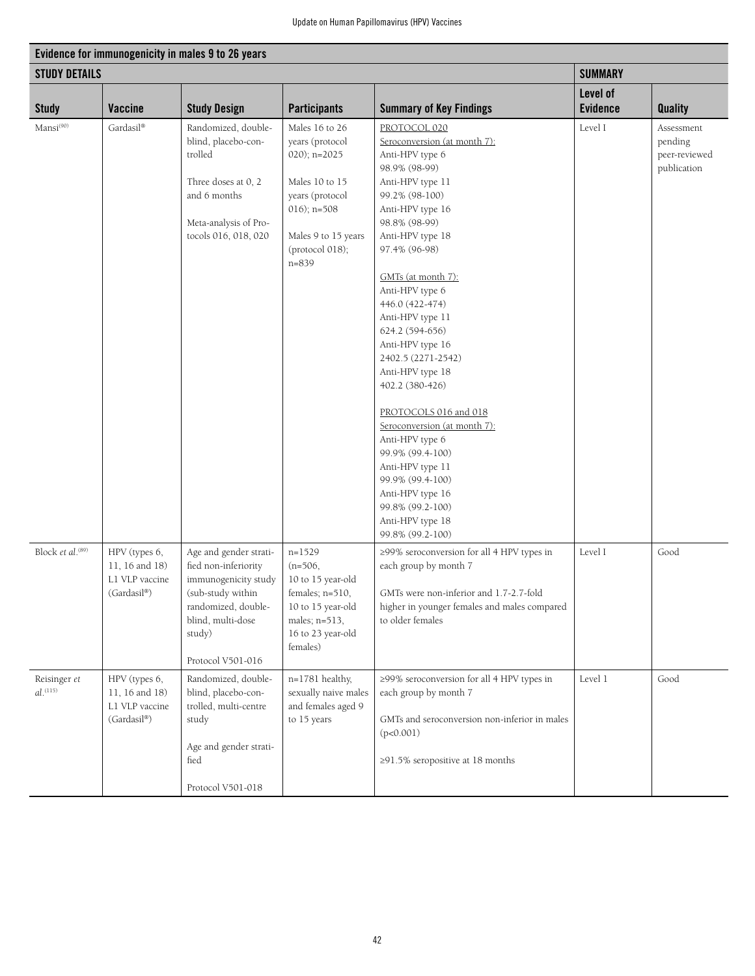| Evidence for immunogenicity in males 9 to 26 years |                                                                  |                                                                                                                                                                        |                                                                                                                                                                     |                                                                                                                                                                                                                                                                                                                                                                                                                                                                                                                                                                                                              |                 |                                                       |  |  |  |
|----------------------------------------------------|------------------------------------------------------------------|------------------------------------------------------------------------------------------------------------------------------------------------------------------------|---------------------------------------------------------------------------------------------------------------------------------------------------------------------|--------------------------------------------------------------------------------------------------------------------------------------------------------------------------------------------------------------------------------------------------------------------------------------------------------------------------------------------------------------------------------------------------------------------------------------------------------------------------------------------------------------------------------------------------------------------------------------------------------------|-----------------|-------------------------------------------------------|--|--|--|
| <b>STUDY DETAILS</b>                               |                                                                  |                                                                                                                                                                        |                                                                                                                                                                     |                                                                                                                                                                                                                                                                                                                                                                                                                                                                                                                                                                                                              | <b>SUMMARY</b>  |                                                       |  |  |  |
|                                                    |                                                                  |                                                                                                                                                                        |                                                                                                                                                                     |                                                                                                                                                                                                                                                                                                                                                                                                                                                                                                                                                                                                              | Level of        |                                                       |  |  |  |
| <b>Study</b>                                       | Vaccine                                                          | <b>Study Design</b>                                                                                                                                                    | <b>Participants</b>                                                                                                                                                 | <b>Summary of Key Findings</b>                                                                                                                                                                                                                                                                                                                                                                                                                                                                                                                                                                               | <b>Evidence</b> | <b>Quality</b>                                        |  |  |  |
| Mansi <sup>(90)</sup>                              | Gardasil®                                                        | Randomized, double-<br>blind, placebo-con-<br>trolled<br>Three doses at 0, 2<br>and 6 months<br>Meta-analysis of Pro-<br>tocols 016, 018, 020                          | Males 16 to 26<br>years (protocol<br>$020$ ; n= $2025$<br>Males 10 to 15<br>years (protocol<br>$016$ ; n=508<br>Males 9 to 15 years<br>(protocol 018);<br>$n = 839$ | PROTOCOL 020<br>Seroconversion (at month 7):<br>Anti-HPV type 6<br>98.9% (98-99)<br>Anti-HPV type 11<br>99.2% (98-100)<br>Anti-HPV type 16<br>98.8% (98-99)<br>Anti-HPV type 18<br>97.4% (96-98)<br>GMTs (at month 7):<br>Anti-HPV type 6<br>446.0 (422-474)<br>Anti-HPV type 11<br>624.2 (594-656)<br>Anti-HPV type 16<br>2402.5 (2271-2542)<br>Anti-HPV type 18<br>402.2 (380-426)<br>PROTOCOLS 016 and 018<br>Seroconversion (at month 7):<br>Anti-HPV type 6<br>99.9% (99.4-100)<br>Anti-HPV type 11<br>99.9% (99.4-100)<br>Anti-HPV type 16<br>99.8% (99.2-100)<br>Anti-HPV type 18<br>99.8% (99.2-100) | Level I         | Assessment<br>pending<br>peer-reviewed<br>publication |  |  |  |
| Block et al. <sup>(89)</sup>                       | HPV (types 6,<br>11, 16 and 18)<br>L1 VLP vaccine<br>(Gardasil®) | Age and gender strati-<br>fied non-inferiority<br>immunogenicity study<br>(sub-study within<br>randomized, double-<br>blind, multi-dose<br>study)<br>Protocol V501-016 | $n = 1529$<br>$(n=506,$<br>10 to 15 year-old<br>females; $n=510$ ,<br>10 to 15 year-old<br>males; n=513,<br>16 to 23 year-old<br>females)                           | ≥99% seroconversion for all 4 HPV types in<br>each group by month 7<br>GMTs were non-inferior and 1.7-2.7-fold<br>higher in younger females and males compared<br>to older females                                                                                                                                                                                                                                                                                                                                                                                                                           | Level I         | Good                                                  |  |  |  |
| Reisinger et<br>$al.$ <sup>(115)</sup>             | HPV (types 6,<br>11, 16 and 18)<br>L1 VLP vaccine<br>(Gardasil®) | Randomized, double-<br>blind, placebo-con-<br>trolled, multi-centre<br>study<br>Age and gender strati-<br>fied<br>Protocol V501-018                                    | n=1781 healthy,<br>sexually naive males<br>and females aged 9<br>to 15 years                                                                                        | ≥99% seroconversion for all 4 HPV types in<br>each group by month 7<br>GMTs and seroconversion non-inferior in males<br>(p<0.001)<br>≥91.5% seropositive at 18 months                                                                                                                                                                                                                                                                                                                                                                                                                                        | Level 1         | Good                                                  |  |  |  |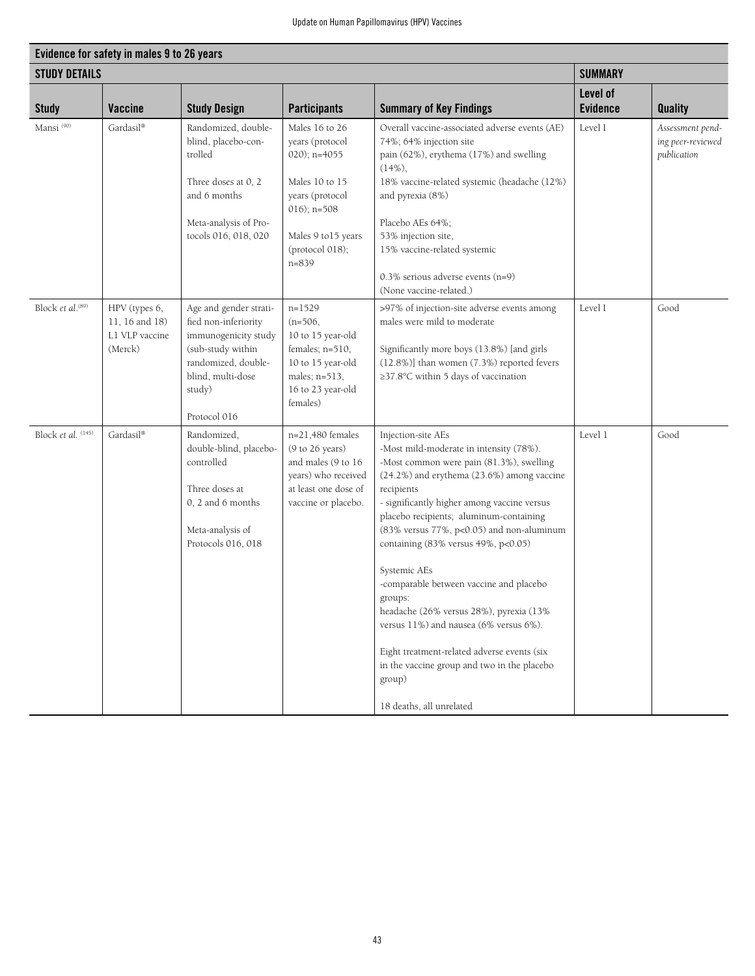| Evidence for safety in males 9 to 26 years |                                                              |                                                                                                                                                                   |                                                                                                                                                                  |                                                                                                                                                                                                                                                                                                                                                                                                                                                                                                                                                                                                                                                    |                             |                                                      |  |  |
|--------------------------------------------|--------------------------------------------------------------|-------------------------------------------------------------------------------------------------------------------------------------------------------------------|------------------------------------------------------------------------------------------------------------------------------------------------------------------|----------------------------------------------------------------------------------------------------------------------------------------------------------------------------------------------------------------------------------------------------------------------------------------------------------------------------------------------------------------------------------------------------------------------------------------------------------------------------------------------------------------------------------------------------------------------------------------------------------------------------------------------------|-----------------------------|------------------------------------------------------|--|--|
| <b>STUDY DETAILS</b>                       |                                                              |                                                                                                                                                                   |                                                                                                                                                                  |                                                                                                                                                                                                                                                                                                                                                                                                                                                                                                                                                                                                                                                    | <b>SUMMARY</b>              |                                                      |  |  |
| <b>Study</b>                               | Vaccine                                                      | <b>Study Design</b>                                                                                                                                               | <b>Participants</b>                                                                                                                                              | <b>Summary of Key Findings</b>                                                                                                                                                                                                                                                                                                                                                                                                                                                                                                                                                                                                                     | Level of<br><b>Evidence</b> | <b>Quality</b>                                       |  |  |
| Mansi <sup>(90)</sup>                      | Gardasil®                                                    | Randomized, double-<br>blind, placebo-con-<br>trolled<br>Three doses at 0, 2<br>and 6 months<br>Meta-analysis of Pro-<br>tocols 016, 018, 020                     | Males 16 to 26<br>years (protocol<br>$020$ ; n=4055<br>Males 10 to 15<br>years (protocol<br>$016$ ; n=508<br>Males 9 to 15 years<br>(protocol 018);<br>$n = 839$ | Overall vaccine-associated adverse events (AE)<br>74%; 64% injection site<br>pain (62%), erythema (17%) and swelling<br>$(14\%),$<br>18% vaccine-related systemic (headache (12%)<br>and pyrexia (8%)<br>Placebo AEs 64%;<br>53% injection site,<br>15% vaccine-related systemic<br>$0.3\%$ serious adverse events (n=9)<br>(None vaccine-related.)                                                                                                                                                                                                                                                                                                | Level I                     | Assessment pend-<br>ing peer-reviewed<br>publication |  |  |
| Block et al. <sup>(89)</sup>               | HPV (types 6,<br>11, 16 and 18)<br>L1 VLP vaccine<br>(Merck) | Age and gender strati-<br>fied non-inferiority<br>immunogenicity study<br>(sub-study within<br>randomized, double-<br>blind, multi-dose<br>study)<br>Protocol 016 | $n=1529$<br>$(n=506,$<br>10 to 15 year-old<br>females; n=510,<br>10 to 15 year-old<br>males; n=513,<br>16 to 23 year-old<br>females)                             | >97% of injection-site adverse events among<br>males were mild to moderate<br>Significantly more boys (13.8%) [and girls<br>(12.8%)] than women (7.3%) reported fevers<br>≥37.8°C within 5 days of vaccination                                                                                                                                                                                                                                                                                                                                                                                                                                     | Level I                     | Good                                                 |  |  |
| Block et al. (145)                         | Gardasil®                                                    | Randomized,<br>double-blind, placebo-<br>controlled<br>Three doses at<br>$0, 2$ and 6 months<br>Meta-analysis of<br>Protocols 016, 018                            | $n=21,480$ females<br>(9 to 26 years)<br>and males (9 to 16<br>years) who received<br>at least one dose of<br>vaccine or placebo.                                | Injection-site AEs<br>-Most mild-moderate in intensity (78%).<br>-Most common were pain (81.3%), swelling<br>(24.2%) and erythema (23.6%) among vaccine<br>recipients<br>- significantly higher among vaccine versus<br>placebo recipients; aluminum-containing<br>(83% versus 77%, p<0.05) and non-aluminum<br>containing (83% versus 49%, p<0.05)<br>Systemic AEs<br>-comparable between vaccine and placebo<br>groups:<br>headache (26% versus 28%), pyrexia (13%<br>versus 11%) and nausea (6% versus 6%).<br>Eight treatment-related adverse events (six<br>in the vaccine group and two in the placebo<br>group)<br>18 deaths, all unrelated | Level 1                     | Good                                                 |  |  |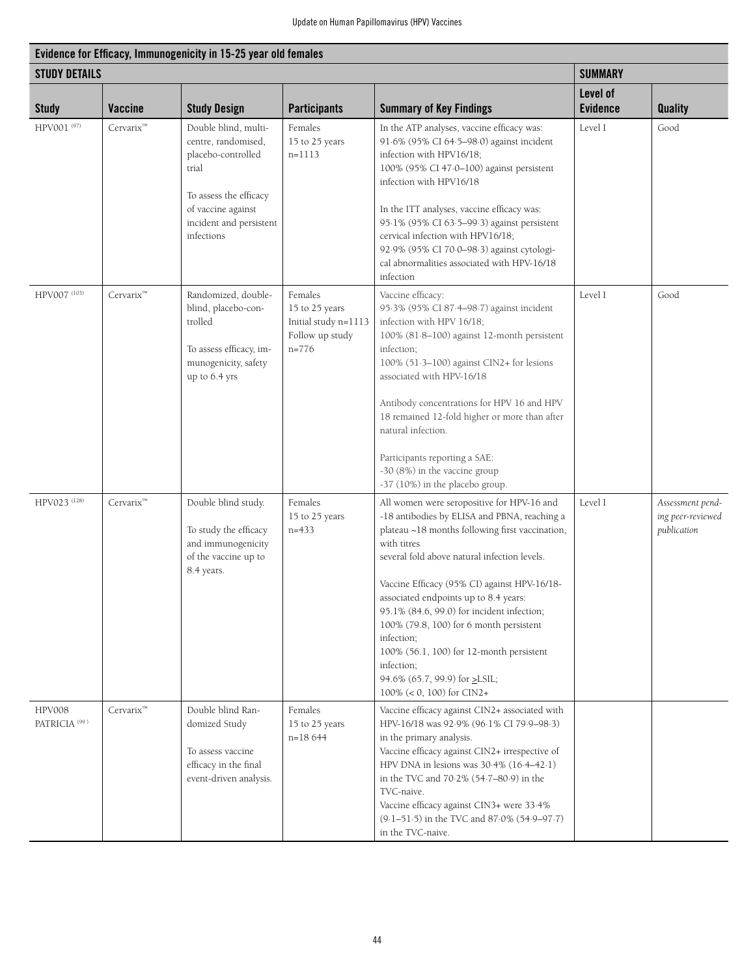| Evidence for Efficacy, Immunogenicity in 15-25 year old females |                       |                                                                                                                                                                     |                                                                                 |                                                                                                                                                                                                                                                                                                                                                                                                                                                                                                                                         |                             |                                                      |  |  |
|-----------------------------------------------------------------|-----------------------|---------------------------------------------------------------------------------------------------------------------------------------------------------------------|---------------------------------------------------------------------------------|-----------------------------------------------------------------------------------------------------------------------------------------------------------------------------------------------------------------------------------------------------------------------------------------------------------------------------------------------------------------------------------------------------------------------------------------------------------------------------------------------------------------------------------------|-----------------------------|------------------------------------------------------|--|--|
| <b>STUDY DETAILS</b>                                            |                       |                                                                                                                                                                     |                                                                                 |                                                                                                                                                                                                                                                                                                                                                                                                                                                                                                                                         | <b>SUMMARY</b>              |                                                      |  |  |
| <b>Study</b>                                                    | <b>Vaccine</b>        | <b>Study Design</b>                                                                                                                                                 | <b>Participants</b>                                                             | <b>Summary of Key Findings</b>                                                                                                                                                                                                                                                                                                                                                                                                                                                                                                          | Level of<br><b>Evidence</b> | <b>Quality</b>                                       |  |  |
| HPV001 (97)                                                     | Cervarix <sup>™</sup> | Double blind, multi-<br>centre, randomised,<br>placebo-controlled<br>trial<br>To assess the efficacy<br>of vaccine against<br>incident and persistent<br>infections | Females<br>15 to 25 years<br>$n=1113$                                           | In the ATP analyses, vaccine efficacy was:<br>91.6% (95% CI 64.5-98.0) against incident<br>infection with HPV16/18;<br>100% (95% CI 47.0-100) against persistent<br>infection with HPV16/18<br>In the ITT analyses, vaccine efficacy was:<br>95.1% (95% CI 63.5-99.3) against persistent<br>cervical infection with HPV16/18;<br>92.9% (95% CI 70.0-98.3) against cytologi-<br>cal abnormalities associated with HPV-16/18<br>infection                                                                                                 | Level I                     | Good                                                 |  |  |
| HPV007 (103)                                                    | Cervarix <sup>™</sup> | Randomized, double-<br>blind, placebo-con-<br>trolled<br>To assess efficacy, im-<br>munogenicity, safety<br>up to 6.4 yrs                                           | Females<br>15 to 25 years<br>Initial study n=1113<br>Follow up study<br>$n=776$ | Vaccine efficacy:<br>95.3% (95% CI 87.4-98.7) against incident<br>infection with HPV 16/18;<br>100% (81.8-100) against 12-month persistent<br>infection;<br>100% (51.3-100) against CIN2+ for lesions<br>associated with HPV-16/18<br>Antibody concentrations for HPV 16 and HPV<br>18 remained 12-fold higher or more than after<br>natural infection.<br>Participants reporting a SAE:<br>-30 (8%) in the vaccine group<br>-37 (10%) in the placebo group.                                                                            | Level I                     | Good                                                 |  |  |
| HPV023 (128)                                                    | Cervarix <sup>™</sup> | Double blind study.<br>To study the efficacy<br>and immunogenicity<br>of the vaccine up to<br>8.4 years.                                                            | Females<br>15 to 25 years<br>$n=433$                                            | All women were seropositive for HPV-16 and<br>-18 antibodies by ELISA and PBNA, reaching a<br>plateau ~18 months following first vaccination,<br>with titres<br>several fold above natural infection levels.<br>Vaccine Efficacy (95% CI) against HPV-16/18-<br>associated endpoints up to 8.4 years:<br>95.1% (84.6, 99.0) for incident infection;<br>100% (79.8, 100) for 6 month persistent<br>infection;<br>100% (56.1, 100) for 12-month persistent<br>infection;<br>94.6% (65.7, 99.9) for ≥LSIL;<br>$100\%$ (< 0, 100) for CIN2+ | Level I                     | Assessment pend-<br>ing peer-reviewed<br>publication |  |  |
| <b>HPV008</b><br>PATRICIA <sup>(99)</sup>                       | $Cervarix^m$          | Double blind Ran-<br>domized Study<br>To assess vaccine<br>efficacy in the final<br>event-driven analysis.                                                          | Females<br>15 to 25 years<br>$n=18644$                                          | Vaccine efficacy against CIN2+ associated with<br>HPV-16/18 was 92.9% (96.1% CI 79.9-98.3)<br>in the primary analysis.<br>Vaccine efficacy against CIN2+ irrespective of<br>HPV DNA in lesions was 30.4% (16.4-42.1)<br>in the TVC and 70.2% (54.7-80.9) in the<br>TVC-naive.<br>Vaccine efficacy against CIN3+ were 33.4%<br>(9.1-51.5) in the TVC and 87.0% (54.9-97.7)<br>in the TVC-naive.                                                                                                                                          |                             |                                                      |  |  |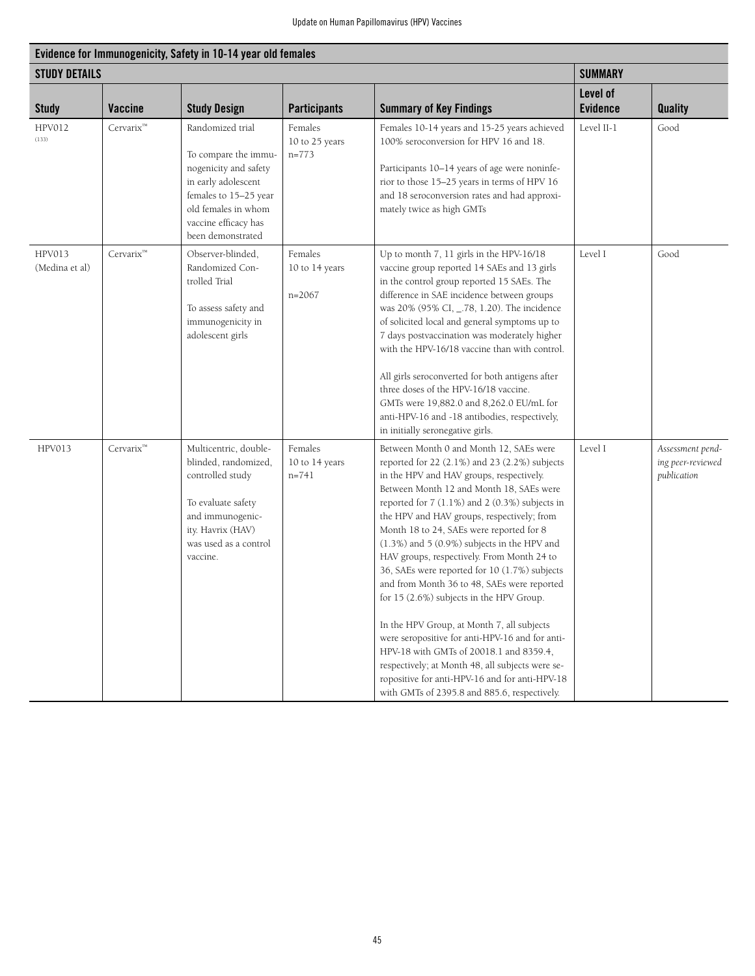| Evidence for Immunogenicity, Safety in 10-14 year old females |                       |                                                                                                                                                                                       |                                        |                                                                                                                                                                                                                                                                                                                                                                                                                                                                                                                                                                                                                                                                                                                                                                                                                                                                               |                             |                                                      |  |  |  |
|---------------------------------------------------------------|-----------------------|---------------------------------------------------------------------------------------------------------------------------------------------------------------------------------------|----------------------------------------|-------------------------------------------------------------------------------------------------------------------------------------------------------------------------------------------------------------------------------------------------------------------------------------------------------------------------------------------------------------------------------------------------------------------------------------------------------------------------------------------------------------------------------------------------------------------------------------------------------------------------------------------------------------------------------------------------------------------------------------------------------------------------------------------------------------------------------------------------------------------------------|-----------------------------|------------------------------------------------------|--|--|--|
| <b>STUDY DETAILS</b>                                          |                       |                                                                                                                                                                                       |                                        |                                                                                                                                                                                                                                                                                                                                                                                                                                                                                                                                                                                                                                                                                                                                                                                                                                                                               | <b>SUMMARY</b>              |                                                      |  |  |  |
| <b>Study</b>                                                  | <b>Vaccine</b>        | <b>Study Design</b>                                                                                                                                                                   | <b>Participants</b>                    | <b>Summary of Key Findings</b>                                                                                                                                                                                                                                                                                                                                                                                                                                                                                                                                                                                                                                                                                                                                                                                                                                                | Level of<br><b>Evidence</b> | <b>Quality</b>                                       |  |  |  |
| <b>HPV012</b><br>(133)                                        | Cervarix <sup>™</sup> | Randomized trial<br>To compare the immu-<br>nogenicity and safety<br>in early adolescent<br>females to 15-25 year<br>old females in whom<br>vaccine efficacy has<br>been demonstrated | Females<br>10 to 25 years<br>$n=773$   | Females 10-14 years and 15-25 years achieved<br>100% seroconversion for HPV 16 and 18.<br>Participants 10-14 years of age were noninfe-<br>rior to those 15-25 years in terms of HPV 16<br>and 18 seroconversion rates and had approxi-<br>mately twice as high GMTs                                                                                                                                                                                                                                                                                                                                                                                                                                                                                                                                                                                                          | Level II-1                  | Good                                                 |  |  |  |
| <b>HPV013</b><br>(Medina et al)                               | Cervarix™             | Observer-blinded,<br>Randomized Con-<br>trolled Trial<br>To assess safety and<br>immunogenicity in<br>adolescent girls                                                                | Females<br>10 to 14 years<br>$n=2067$  | Up to month 7, 11 girls in the HPV-16/18<br>vaccine group reported 14 SAEs and 13 girls<br>in the control group reported 15 SAEs. The<br>difference in SAE incidence between groups<br>was 20% (95% CI, _.78, 1.20). The incidence<br>of solicited local and general symptoms up to<br>7 days postvaccination was moderately higher<br>with the HPV-16/18 vaccine than with control.<br>All girls seroconverted for both antigens after<br>three doses of the HPV-16/18 vaccine.<br>GMTs were 19,882.0 and 8,262.0 EU/mL for<br>anti-HPV-16 and -18 antibodies, respectively,<br>in initially seronegative girls.                                                                                                                                                                                                                                                             | Level I                     | Good                                                 |  |  |  |
| HPV013                                                        | Cervarix™             | Multicentric, double-<br>blinded, randomized,<br>controlled study<br>To evaluate safety<br>and immunogenic-<br>ity. Havrix (HAV)<br>was used as a control<br>vaccine.                 | Females<br>10 to 14 years<br>$n = 741$ | Between Month 0 and Month 12, SAEs were<br>reported for 22 (2.1%) and 23 (2.2%) subjects<br>in the HPV and HAV groups, respectively.<br>Between Month 12 and Month 18, SAEs were<br>reported for 7 (1.1%) and 2 (0.3%) subjects in<br>the HPV and HAV groups, respectively; from<br>Month 18 to 24, SAEs were reported for 8<br>$(1.3\%)$ and 5 $(0.9\%)$ subjects in the HPV and<br>HAV groups, respectively. From Month 24 to<br>36, SAEs were reported for 10 (1.7%) subjects<br>and from Month 36 to 48, SAEs were reported<br>for 15 (2.6%) subjects in the HPV Group.<br>In the HPV Group, at Month 7, all subjects<br>were seropositive for anti-HPV-16 and for anti-<br>HPV-18 with GMTs of 20018.1 and 8359.4,<br>respectively; at Month 48, all subjects were se-<br>ropositive for anti-HPV-16 and for anti-HPV-18<br>with GMTs of 2395.8 and 885.6, respectively. | Level I                     | Assessment pend-<br>ing peer-reviewed<br>publication |  |  |  |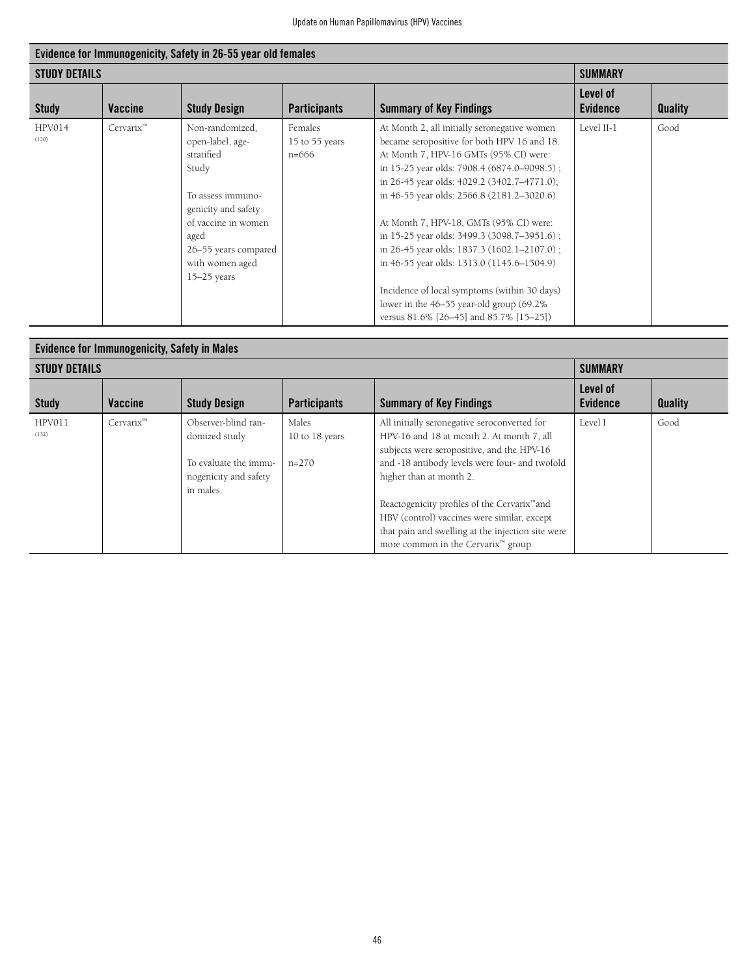| Evidence for Immunogenicity, Safety in 26-55 year old females |                |                                                                                                                                                                                                   |                                      |                                                                                                                                                                                                                                                                                                                                                                                                                                                                                                                                                                                                                 |                             |                |  |  |
|---------------------------------------------------------------|----------------|---------------------------------------------------------------------------------------------------------------------------------------------------------------------------------------------------|--------------------------------------|-----------------------------------------------------------------------------------------------------------------------------------------------------------------------------------------------------------------------------------------------------------------------------------------------------------------------------------------------------------------------------------------------------------------------------------------------------------------------------------------------------------------------------------------------------------------------------------------------------------------|-----------------------------|----------------|--|--|
| <b>STUDY DETAILS</b>                                          |                |                                                                                                                                                                                                   |                                      |                                                                                                                                                                                                                                                                                                                                                                                                                                                                                                                                                                                                                 | <b>SUMMARY</b>              |                |  |  |
| <b>Study</b>                                                  | <b>Vaccine</b> | <b>Study Design</b>                                                                                                                                                                               | <b>Participants</b>                  | <b>Summary of Key Findings</b>                                                                                                                                                                                                                                                                                                                                                                                                                                                                                                                                                                                  | Level of<br><b>Evidence</b> | <b>Quality</b> |  |  |
| HPV014<br>(120)                                               | $Cervarix^m$   | Non-randomized,<br>open-label, age-<br>stratified<br>Study<br>To assess immuno-<br>genicity and safety<br>of vaccine in women<br>aged<br>26-55 years compared<br>with women aged<br>$15-25$ years | Females<br>15 to 55 years<br>$n=666$ | At Month 2, all initially seronegative women<br>became seropositive for both HPV 16 and 18.<br>At Month 7, HPV-16 GMTs (95% CI) were:<br>in 15-25 year olds: 7908.4 (6874.0–9098.5);<br>in 26-45 year olds: 4029.2 (3402.7-4771.0);<br>in 46-55 year olds: 2566.8 (2181.2-3020.6)<br>At Month 7, HPV-18, GMTs (95% CI) were:<br>in 15-25 year olds: 3499.3 (3098.7–3951.6);<br>in 26-45 year olds: 1837.3 (1602.1-2107.0);<br>in 46-55 year olds: 1313.0 (1145.6–1504.9)<br>Incidence of local symptoms (within 30 days)<br>lower in the 46–55 year-old group (69.2%<br>versus 81.6% [26–45] and 85.7% [15–25]) | Level II-1                  | Good           |  |  |

| <b>Evidence for Immunogenicity, Safety in Males</b> |                |                                                                                                     |                                    |                                                                                                                                                                                                                                                                                                                                                                                                                                         |                             |                |  |  |
|-----------------------------------------------------|----------------|-----------------------------------------------------------------------------------------------------|------------------------------------|-----------------------------------------------------------------------------------------------------------------------------------------------------------------------------------------------------------------------------------------------------------------------------------------------------------------------------------------------------------------------------------------------------------------------------------------|-----------------------------|----------------|--|--|
| <b>STUDY DETAILS</b>                                |                |                                                                                                     |                                    |                                                                                                                                                                                                                                                                                                                                                                                                                                         | <b>SUMMARY</b>              |                |  |  |
| <b>Study</b>                                        | <b>Vaccine</b> | <b>Study Design</b>                                                                                 | <b>Participants</b>                | <b>Summary of Key Findings</b>                                                                                                                                                                                                                                                                                                                                                                                                          | Level of<br><b>Evidence</b> | <b>Quality</b> |  |  |
| HPV011<br>(132)                                     | $Cervarix^m$   | Observer-blind ran-<br>domized study<br>To evaluate the immu-<br>nogenicity and safety<br>in males. | Males<br>10 to 18 years<br>$n=270$ | All initially seronegative seroconverted for<br>HPV-16 and 18 at month 2. At month 7, all<br>subjects were seropositive, and the HPV-16<br>and -18 antibody levels were four- and twofold<br>higher than at month 2.<br>Reactogenicity profiles of the Cervarix <sup>™</sup> and<br>HBV (control) vaccines were similar, except<br>that pain and swelling at the injection site were<br>more common in the Cervarix <sup>™</sup> group. | Level I                     | Good           |  |  |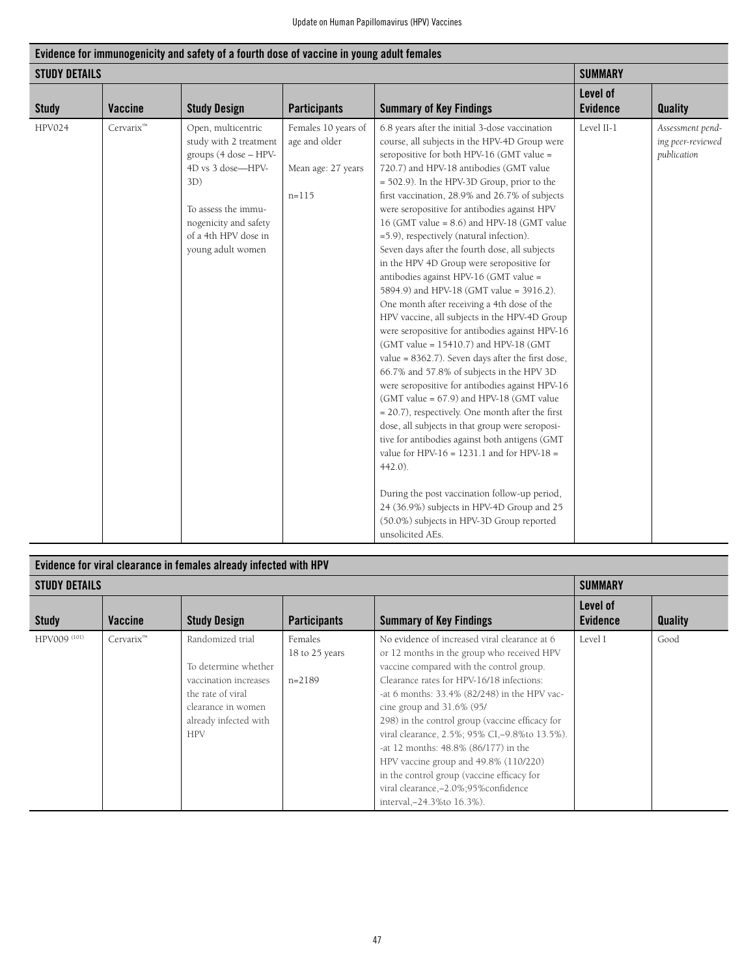| Evidence for immunogenicity and safety of a fourth dose of vaccine in young adult females |           |                                                                                                                                                                                                |                                                                         |                                                                                                                                                                                                                                                                                                                                                                                                                                                                                                                                                                                                                                                                                                                                                                                                                                                                                                                                                                                                                                                                                                                                                                                                                                                                                                                                                                                                                             |                             |                                                      |  |  |
|-------------------------------------------------------------------------------------------|-----------|------------------------------------------------------------------------------------------------------------------------------------------------------------------------------------------------|-------------------------------------------------------------------------|-----------------------------------------------------------------------------------------------------------------------------------------------------------------------------------------------------------------------------------------------------------------------------------------------------------------------------------------------------------------------------------------------------------------------------------------------------------------------------------------------------------------------------------------------------------------------------------------------------------------------------------------------------------------------------------------------------------------------------------------------------------------------------------------------------------------------------------------------------------------------------------------------------------------------------------------------------------------------------------------------------------------------------------------------------------------------------------------------------------------------------------------------------------------------------------------------------------------------------------------------------------------------------------------------------------------------------------------------------------------------------------------------------------------------------|-----------------------------|------------------------------------------------------|--|--|
| <b>STUDY DETAILS</b>                                                                      |           |                                                                                                                                                                                                |                                                                         |                                                                                                                                                                                                                                                                                                                                                                                                                                                                                                                                                                                                                                                                                                                                                                                                                                                                                                                                                                                                                                                                                                                                                                                                                                                                                                                                                                                                                             | <b>SUMMARY</b>              |                                                      |  |  |
| <b>Study</b>                                                                              | Vaccine   | <b>Study Design</b>                                                                                                                                                                            | <b>Participants</b>                                                     | <b>Summary of Key Findings</b>                                                                                                                                                                                                                                                                                                                                                                                                                                                                                                                                                                                                                                                                                                                                                                                                                                                                                                                                                                                                                                                                                                                                                                                                                                                                                                                                                                                              | Level of<br><b>Evidence</b> | <b>Quality</b>                                       |  |  |
| <b>HPV024</b>                                                                             | Cervarix™ | Open, multicentric<br>study with 2 treatment<br>groups (4 dose - HPV-<br>4D vs 3 dose-HPV-<br>3D)<br>To assess the immu-<br>nogenicity and safety<br>of a 4th HPV dose in<br>young adult women | Females 10 years of<br>age and older<br>Mean age: 27 years<br>$n = 115$ | 6.8 years after the initial 3-dose vaccination<br>course, all subjects in the HPV-4D Group were<br>seropositive for both HPV-16 (GMT value =<br>720.7) and HPV-18 antibodies (GMT value<br>= 502.9). In the HPV-3D Group, prior to the<br>first vaccination, 28.9% and 26.7% of subjects<br>were seropositive for antibodies against HPV<br>16 (GMT value = $8.6$ ) and HPV-18 (GMT value<br>=5.9), respectively (natural infection).<br>Seven days after the fourth dose, all subjects<br>in the HPV 4D Group were seropositive for<br>antibodies against HPV-16 (GMT value =<br>5894.9) and HPV-18 (GMT value = 3916.2).<br>One month after receiving a 4th dose of the<br>HPV vaccine, all subjects in the HPV-4D Group<br>were seropositive for antibodies against HPV-16<br>(GMT value = 15410.7) and HPV-18 (GMT<br>value = $8362.7$ ). Seven days after the first dose,<br>66.7% and 57.8% of subjects in the HPV 3D<br>were seropositive for antibodies against HPV-16<br>(GMT value = $67.9$ ) and HPV-18 (GMT value<br>$= 20.7$ ), respectively. One month after the first<br>dose, all subjects in that group were seroposi-<br>tive for antibodies against both antigens (GMT<br>value for HPV- $16 = 1231.1$ and for HPV- $18 =$<br>$442.0$ ).<br>During the post vaccination follow-up period,<br>24 (36.9%) subjects in HPV-4D Group and 25<br>(50.0%) subjects in HPV-3D Group reported<br>unsolicited AEs. | Level II-1                  | Assessment pend-<br>ing peer-reviewed<br>publication |  |  |

| Evidence for viral clearance in females already infected with HPV |              |                                                                                                                                                     |                                       |                                                                                                                                                                                                                                                                                                                                                                                                                                                                                                                                                                                   |                             |                |
|-------------------------------------------------------------------|--------------|-----------------------------------------------------------------------------------------------------------------------------------------------------|---------------------------------------|-----------------------------------------------------------------------------------------------------------------------------------------------------------------------------------------------------------------------------------------------------------------------------------------------------------------------------------------------------------------------------------------------------------------------------------------------------------------------------------------------------------------------------------------------------------------------------------|-----------------------------|----------------|
| <b>STUDY DETAILS</b>                                              |              |                                                                                                                                                     |                                       |                                                                                                                                                                                                                                                                                                                                                                                                                                                                                                                                                                                   | <b>SUMMARY</b>              |                |
| <b>Study</b>                                                      | Vaccine      | <b>Study Design</b>                                                                                                                                 | <b>Participants</b>                   | <b>Summary of Key Findings</b>                                                                                                                                                                                                                                                                                                                                                                                                                                                                                                                                                    | Level of<br><b>Evidence</b> | <b>Quality</b> |
| HPV009 (101)                                                      | $Cervarix^m$ | Randomized trial<br>To determine whether<br>vaccination increases<br>the rate of viral<br>clearance in women<br>already infected with<br><b>HPV</b> | Females<br>18 to 25 years<br>$n=2189$ | No evidence of increased viral clearance at 6<br>or 12 months in the group who received HPV<br>vaccine compared with the control group.<br>Clearance rates for HPV-16/18 infections:<br>-at 6 months: 33.4% (82/248) in the HPV vac-<br>cine group and $31.6\%$ (95/<br>298) in the control group (vaccine efficacy for<br>viral clearance, 2.5%; 95% CI, -9.8% to 13.5%).<br>-at 12 months: 48.8% (86/177) in the<br>HPV vaccine group and 49.8% (110/220)<br>in the control group (vaccine efficacy for<br>viral clearance, -2.0%;95% confidence<br>interval, -24.3% to 16.3%). | Level I                     | Good           |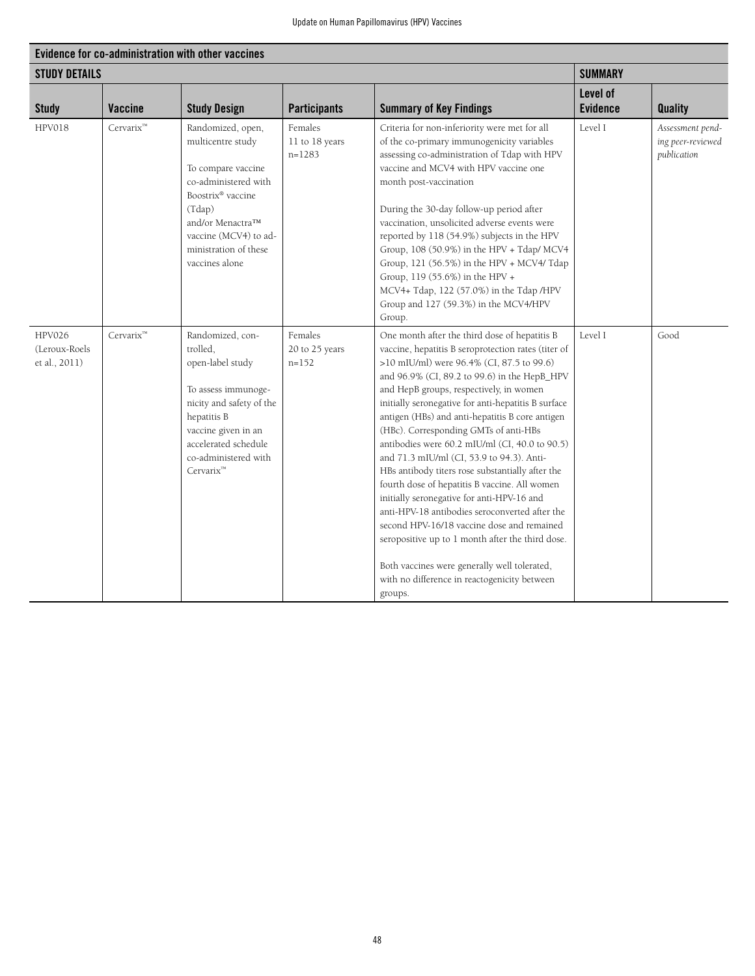| Evidence for co-administration with other vaccines |                       |                                                                                                                                                                                                                    |                                        |                                                                                                                                                                                                                                                                                                                                                                                                                                                                                                                                                                                                                                                                                                                                                                                                                                                                                                                  |                             |                                                      |
|----------------------------------------------------|-----------------------|--------------------------------------------------------------------------------------------------------------------------------------------------------------------------------------------------------------------|----------------------------------------|------------------------------------------------------------------------------------------------------------------------------------------------------------------------------------------------------------------------------------------------------------------------------------------------------------------------------------------------------------------------------------------------------------------------------------------------------------------------------------------------------------------------------------------------------------------------------------------------------------------------------------------------------------------------------------------------------------------------------------------------------------------------------------------------------------------------------------------------------------------------------------------------------------------|-----------------------------|------------------------------------------------------|
| <b>STUDY DETAILS</b>                               |                       |                                                                                                                                                                                                                    |                                        | <b>SUMMARY</b>                                                                                                                                                                                                                                                                                                                                                                                                                                                                                                                                                                                                                                                                                                                                                                                                                                                                                                   |                             |                                                      |
| <b>Study</b>                                       | <b>Vaccine</b>        | <b>Study Design</b>                                                                                                                                                                                                | <b>Participants</b>                    | <b>Summary of Key Findings</b>                                                                                                                                                                                                                                                                                                                                                                                                                                                                                                                                                                                                                                                                                                                                                                                                                                                                                   | Level of<br><b>Evidence</b> | <b>Quality</b>                                       |
| HPV018                                             | Cervarix <sup>™</sup> | Randomized, open,<br>multicentre study<br>To compare vaccine<br>co-administered with<br>Boostrix® vaccine<br>(Tdap)<br>and/or Menactra™<br>vaccine (MCV4) to ad-<br>ministration of these<br>vaccines alone        | Females<br>11 to 18 years<br>$n=1283$  | Criteria for non-inferiority were met for all<br>of the co-primary immunogenicity variables<br>assessing co-administration of Tdap with HPV<br>vaccine and MCV4 with HPV vaccine one<br>month post-vaccination<br>During the 30-day follow-up period after<br>vaccination, unsolicited adverse events were<br>reported by 118 (54.9%) subjects in the HPV<br>Group, 108 (50.9%) in the HPV + Tdap/ MCV4<br>Group, 121 (56.5%) in the HPV + MCV4/ Tdap<br>Group, 119 (55.6%) in the HPV +<br>MCV4+ Tdap, 122 (57.0%) in the Tdap /HPV<br>Group and 127 (59.3%) in the MCV4/HPV<br>Group.                                                                                                                                                                                                                                                                                                                          | Level I                     | Assessment pend-<br>ing peer-reviewed<br>publication |
| <b>HPV026</b><br>(Leroux-Roels<br>et al., 2011)    | Cervarix <sup>™</sup> | Randomized, con-<br>trolled.<br>open-label study<br>To assess immunoge-<br>nicity and safety of the<br>hepatitis B<br>vaccine given in an<br>accelerated schedule<br>co-administered with<br>Cervarix <sup>™</sup> | Females<br>20 to 25 years<br>$n = 152$ | One month after the third dose of hepatitis B<br>vaccine, hepatitis B seroprotection rates (titer of<br>>10 mIU/ml) were 96.4% (CI, 87.5 to 99.6)<br>and 96.9% (CI, 89.2 to 99.6) in the HepB_HPV<br>and HepB groups, respectively, in women<br>initially seronegative for anti-hepatitis B surface<br>antigen (HBs) and anti-hepatitis B core antigen<br>(HBc). Corresponding GMTs of anti-HBs<br>antibodies were 60.2 mIU/ml (CI, 40.0 to 90.5)<br>and 71.3 mIU/ml (CI, 53.9 to 94.3). Anti-<br>HBs antibody titers rose substantially after the<br>fourth dose of hepatitis B vaccine. All women<br>initially seronegative for anti-HPV-16 and<br>anti-HPV-18 antibodies seroconverted after the<br>second HPV-16/18 vaccine dose and remained<br>seropositive up to 1 month after the third dose.<br>Both vaccines were generally well tolerated,<br>with no difference in reactogenicity between<br>groups. | Level I                     | Good                                                 |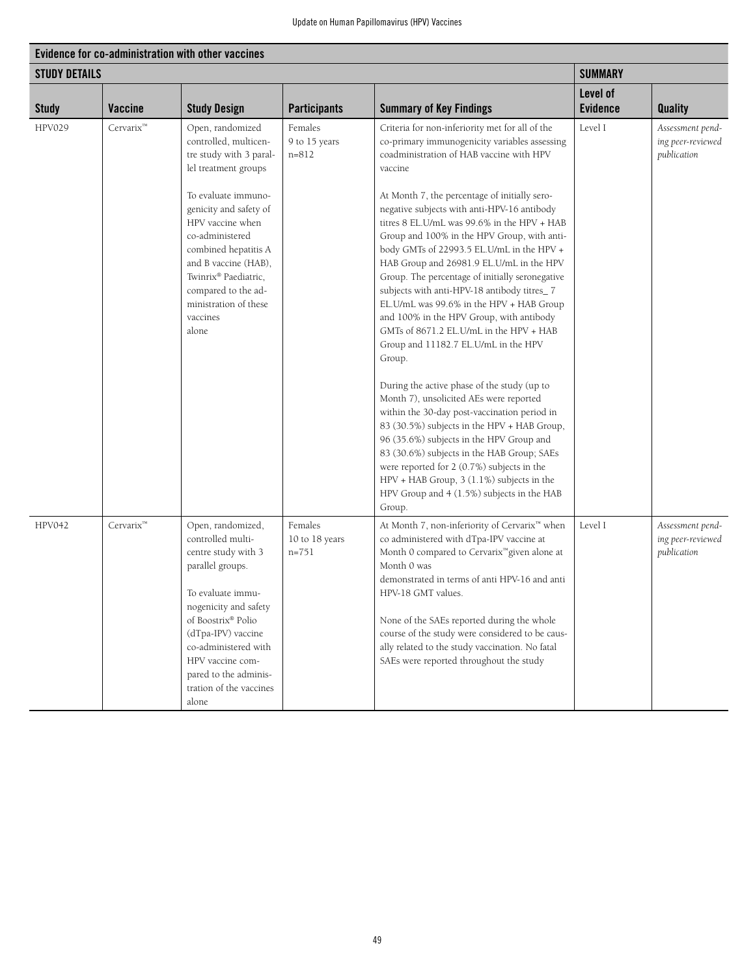| Evidence for co-administration with other vaccines |                |                                                                                                                                                                                                                                                                                      |                                        |                                                                                                                                                                                                                                                                                                                                                                                                                                                                                                                                                                                                                                                                                                                                                                                                                                                                                                                                                                                                        |                             |                                                      |
|----------------------------------------------------|----------------|--------------------------------------------------------------------------------------------------------------------------------------------------------------------------------------------------------------------------------------------------------------------------------------|----------------------------------------|--------------------------------------------------------------------------------------------------------------------------------------------------------------------------------------------------------------------------------------------------------------------------------------------------------------------------------------------------------------------------------------------------------------------------------------------------------------------------------------------------------------------------------------------------------------------------------------------------------------------------------------------------------------------------------------------------------------------------------------------------------------------------------------------------------------------------------------------------------------------------------------------------------------------------------------------------------------------------------------------------------|-----------------------------|------------------------------------------------------|
| <b>STUDY DETAILS</b>                               |                |                                                                                                                                                                                                                                                                                      |                                        |                                                                                                                                                                                                                                                                                                                                                                                                                                                                                                                                                                                                                                                                                                                                                                                                                                                                                                                                                                                                        | <b>SUMMARY</b>              |                                                      |
| <b>Study</b>                                       | <b>Vaccine</b> | <b>Study Design</b>                                                                                                                                                                                                                                                                  | <b>Participants</b>                    | <b>Summary of Key Findings</b>                                                                                                                                                                                                                                                                                                                                                                                                                                                                                                                                                                                                                                                                                                                                                                                                                                                                                                                                                                         | Level of<br><b>Evidence</b> | <b>Quality</b>                                       |
| <b>HPV029</b>                                      | Cervarix™      | Open, randomized<br>controlled, multicen-<br>tre study with 3 paral-<br>lel treatment groups                                                                                                                                                                                         | Females<br>9 to 15 years<br>$n = 812$  | Criteria for non-inferiority met for all of the<br>co-primary immunogenicity variables assessing<br>coadministration of HAB vaccine with HPV<br>vaccine                                                                                                                                                                                                                                                                                                                                                                                                                                                                                                                                                                                                                                                                                                                                                                                                                                                | Level I                     | Assessment pend-<br>ing peer-reviewed<br>publication |
|                                                    |                | To evaluate immuno-<br>genicity and safety of<br>HPV vaccine when<br>co-administered<br>combined hepatitis A<br>and B vaccine (HAB),<br>Twinrix® Paediatric,<br>compared to the ad-<br>ministration of these<br>vaccines<br>alone                                                    |                                        | At Month 7, the percentage of initially sero-<br>negative subjects with anti-HPV-16 antibody<br>titres 8 EL.U/mL was 99.6% in the HPV + HAB<br>Group and 100% in the HPV Group, with anti-<br>body GMTs of 22993.5 EL.U/mL in the HPV +<br>HAB Group and 26981.9 EL.U/mL in the HPV<br>Group. The percentage of initially seronegative<br>subjects with anti-HPV-18 antibody titres_7<br>EL.U/mL was 99.6% in the HPV + HAB Group<br>and 100% in the HPV Group, with antibody<br>GMTs of 8671.2 EL.U/mL in the HPV + HAB<br>Group and 11182.7 EL.U/mL in the HPV<br>Group.<br>During the active phase of the study (up to<br>Month 7), unsolicited AEs were reported<br>within the 30-day post-vaccination period in<br>83 (30.5%) subjects in the HPV + HAB Group,<br>96 (35.6%) subjects in the HPV Group and<br>83 (30.6%) subjects in the HAB Group; SAEs<br>were reported for 2 (0.7%) subjects in the<br>HPV + HAB Group, 3 (1.1%) subjects in the<br>HPV Group and 4 (1.5%) subjects in the HAB |                             |                                                      |
| <b>HPV042</b>                                      | Cervarix™      | Open, randomized,<br>controlled multi-<br>centre study with 3<br>parallel groups.<br>To evaluate immu-<br>nogenicity and safety<br>of Boostrix® Polio<br>(dTpa-IPV) vaccine<br>co-administered with<br>HPV vaccine com-<br>pared to the adminis-<br>tration of the vaccines<br>alone | Females<br>10 to 18 years<br>$n = 751$ | Group.<br>At Month 7, non-inferiority of Cervarix™ when<br>co administered with dTpa-IPV vaccine at<br>Month 0 compared to Cervarix <sup>™</sup> given alone at<br>Month 0 was<br>demonstrated in terms of anti HPV-16 and anti<br>HPV-18 GMT values.<br>None of the SAEs reported during the whole<br>course of the study were considered to be caus-<br>ally related to the study vaccination. No fatal<br>SAEs were reported throughout the study                                                                                                                                                                                                                                                                                                                                                                                                                                                                                                                                                   | Level I                     | Assessment pend-<br>ing peer-reviewed<br>publication |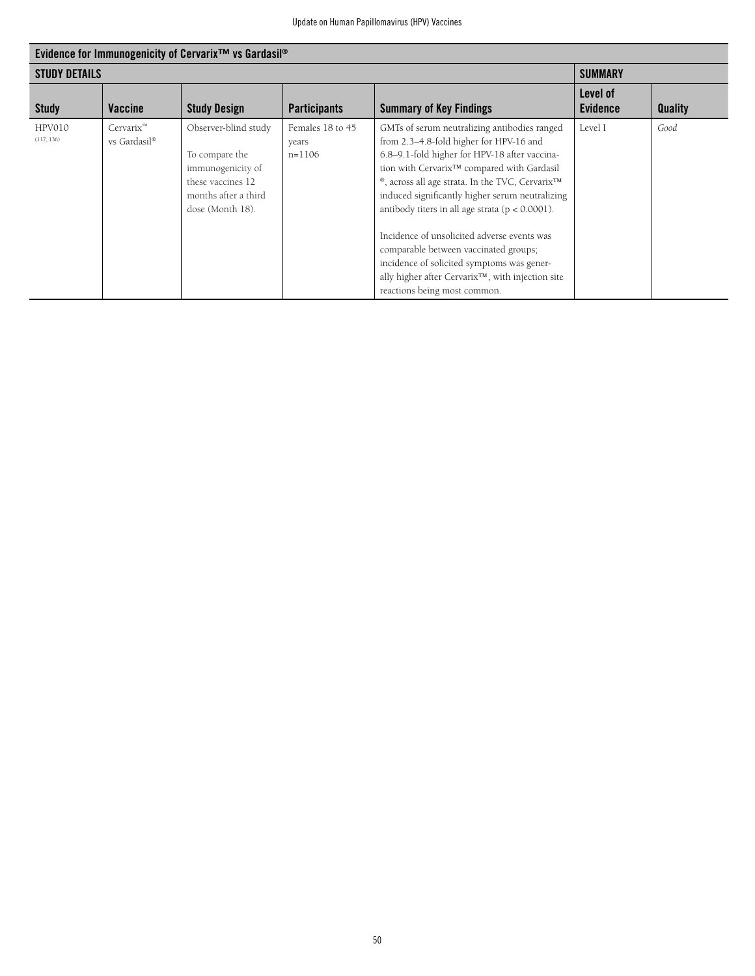| Evidence for Immunogenicity of Cervarix <sup>™</sup> vs Gardasil <sup>®</sup> |                              |                                                                                                                              |                                         |                                                                                                                                                                                                                                                                                                                                                                                                                                                                                                                                                                                                        |                             |                |
|-------------------------------------------------------------------------------|------------------------------|------------------------------------------------------------------------------------------------------------------------------|-----------------------------------------|--------------------------------------------------------------------------------------------------------------------------------------------------------------------------------------------------------------------------------------------------------------------------------------------------------------------------------------------------------------------------------------------------------------------------------------------------------------------------------------------------------------------------------------------------------------------------------------------------------|-----------------------------|----------------|
| <b>STUDY DETAILS</b>                                                          |                              |                                                                                                                              |                                         | <b>SUMMARY</b>                                                                                                                                                                                                                                                                                                                                                                                                                                                                                                                                                                                         |                             |                |
| <b>Study</b>                                                                  | <b>Vaccine</b>               | <b>Study Design</b>                                                                                                          | <b>Participants</b>                     | <b>Summary of Key Findings</b>                                                                                                                                                                                                                                                                                                                                                                                                                                                                                                                                                                         | Level of<br><b>Evidence</b> | <b>Quality</b> |
| HPV010<br>(117, 136)                                                          | $Cervarix^m$<br>vs Gardasil® | Observer-blind study<br>To compare the<br>immunogenicity of<br>these vaccines 12<br>months after a third<br>dose (Month 18). | Females 18 to 45<br>years<br>$n = 1106$ | GMTs of serum neutralizing antibodies ranged<br>from 2.3-4.8-fold higher for HPV-16 and<br>6.8-9.1-fold higher for HPV-18 after vaccina-<br>tion with Cervarix™ compared with Gardasil<br>®, across all age strata. In the TVC, Cervarix <sup>™</sup><br>induced significantly higher serum neutralizing<br>antibody titers in all age strata ( $p < 0.0001$ ).<br>Incidence of unsolicited adverse events was<br>comparable between vaccinated groups;<br>incidence of solicited symptoms was gener-<br>ally higher after Cervarix <sup>™</sup> , with injection site<br>reactions being most common. | Level I                     | Good           |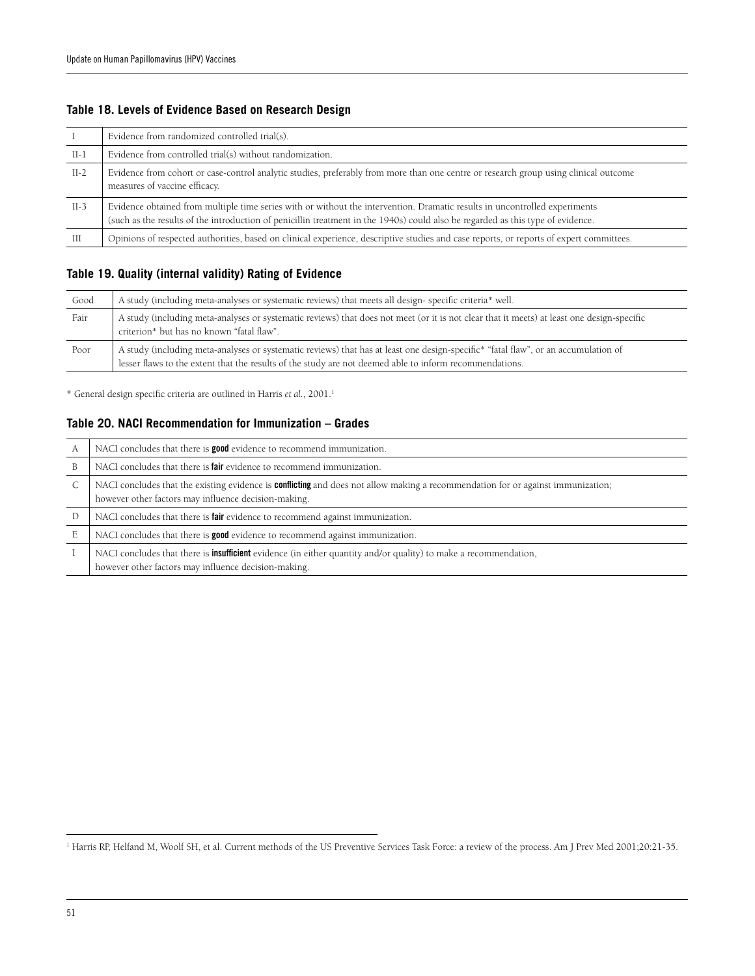#### **Table 18. Levels of Evidence Based on Research Design**

|        | Evidence from randomized controlled trial(s).                                                                                                                                                                                                                 |
|--------|---------------------------------------------------------------------------------------------------------------------------------------------------------------------------------------------------------------------------------------------------------------|
| $II-1$ | Evidence from controlled trial(s) without randomization.                                                                                                                                                                                                      |
| $II-2$ | Evidence from cohort or case-control analytic studies, preferably from more than one centre or research group using clinical outcome<br>measures of vaccine efficacy.                                                                                         |
| $II-3$ | Evidence obtained from multiple time series with or without the intervention. Dramatic results in uncontrolled experiments<br>(such as the results of the introduction of penicillin treatment in the 1940s) could also be regarded as this type of evidence. |
| Ш      | Opinions of respected authorities, based on clinical experience, descriptive studies and case reports, or reports of expert committees.                                                                                                                       |

#### **Table 19. Quality (internal validity) Rating of Evidence**

| Good | A study (including meta-analyses or systematic reviews) that meets all design-specific criteria* well.                                                                                                                                        |
|------|-----------------------------------------------------------------------------------------------------------------------------------------------------------------------------------------------------------------------------------------------|
| Fair | A study (including meta-analyses or systematic reviews) that does not meet (or it is not clear that it meets) at least one design-specific<br>criterion* but has no known "fatal flaw".                                                       |
| Poor | A study (including meta-analyses or systematic reviews) that has at least one design-specific* "fatal flaw", or an accumulation of<br>lesser flaws to the extent that the results of the study are not deemed able to inform recommendations. |

\* General design specific criteria are outlined in Harris *et al.*, 2001.1

#### **Table 20. NACI Recommendation for Immunization – Grades**

| А | NACI concludes that there is <b>good</b> evidence to recommend immunization.                                                                                                                    |
|---|-------------------------------------------------------------------------------------------------------------------------------------------------------------------------------------------------|
| B | NACI concludes that there is <b>fair</b> evidence to recommend immunization.                                                                                                                    |
| C | NACI concludes that the existing evidence is <b>conflicting</b> and does not allow making a recommendation for or against immunization;<br>however other factors may influence decision-making. |
| D | NACI concludes that there is <b>fair</b> evidence to recommend against immunization.                                                                                                            |
| E | NACI concludes that there is <b>good</b> evidence to recommend against immunization.                                                                                                            |
|   | NACI concludes that there is <b>insufficient</b> evidence (in either quantity and/or quality) to make a recommendation,<br>however other factors may influence decision-making.                 |

<sup>&</sup>lt;sup>1</sup> Harris RP, Helfand M, Woolf SH, et al. Current methods of the US Preventive Services Task Force: a review of the process. Am J Prev Med 2001;20:21-35.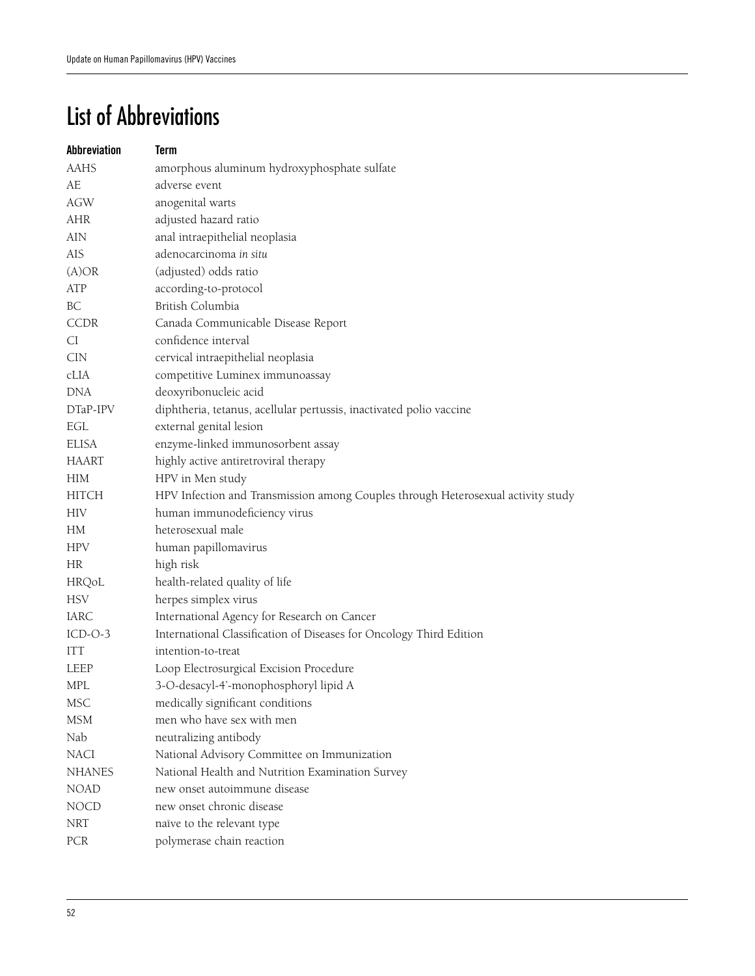# List of Abbreviations

| Abbreviation  | <b>Term</b>                                                                      |
|---------------|----------------------------------------------------------------------------------|
| <b>AAHS</b>   | amorphous aluminum hydroxyphosphate sulfate                                      |
| AE            | adverse event                                                                    |
| AGW           | anogenital warts                                                                 |
| AHR           | adjusted hazard ratio                                                            |
| AIN           | anal intraepithelial neoplasia                                                   |
| AIS           | adenocarcinoma in situ                                                           |
| (A)OR         | (adjusted) odds ratio                                                            |
| ATP           | according-to-protocol                                                            |
| BC            | British Columbia                                                                 |
| <b>CCDR</b>   | Canada Communicable Disease Report                                               |
| CI            | confidence interval                                                              |
| <b>CIN</b>    | cervical intraepithelial neoplasia                                               |
| cLIA          | competitive Luminex immunoassay                                                  |
| DNA           | deoxyribonucleic acid                                                            |
| DTaP-IPV      | diphtheria, tetanus, acellular pertussis, inactivated polio vaccine              |
| EGL           | external genital lesion                                                          |
| ELISA         | enzyme-linked immunosorbent assay                                                |
| <b>HAART</b>  | highly active antiretroviral therapy                                             |
| HIM           | HPV in Men study                                                                 |
| HITCH         | HPV Infection and Transmission among Couples through Heterosexual activity study |
| <b>HIV</b>    | human immunodeficiency virus                                                     |
| HM            | heterosexual male                                                                |
| <b>HPV</b>    | human papillomavirus                                                             |
| HR            | high risk                                                                        |
| HRQoL         | health-related quality of life                                                   |
| <b>HSV</b>    | herpes simplex virus                                                             |
| IARC          | International Agency for Research on Cancer                                      |
| $ICD-O-3$     | International Classification of Diseases for Oncology Third Edition              |
| <b>ITT</b>    | intention-to-treat                                                               |
| LEEP          | Loop Electrosurgical Excision Procedure                                          |
| <b>MPL</b>    | 3-O-desacyl-4'-monophosphoryl lipid A                                            |
| <b>MSC</b>    | medically significant conditions                                                 |
| <b>MSM</b>    | men who have sex with men                                                        |
| Nab           | neutralizing antibody                                                            |
| NACI          | National Advisory Committee on Immunization                                      |
| <b>NHANES</b> | National Health and Nutrition Examination Survey                                 |
| <b>NOAD</b>   | new onset autoimmune disease                                                     |
| <b>NOCD</b>   | new onset chronic disease                                                        |
| <b>NRT</b>    | naïve to the relevant type                                                       |
| PCR           | polymerase chain reaction                                                        |
|               |                                                                                  |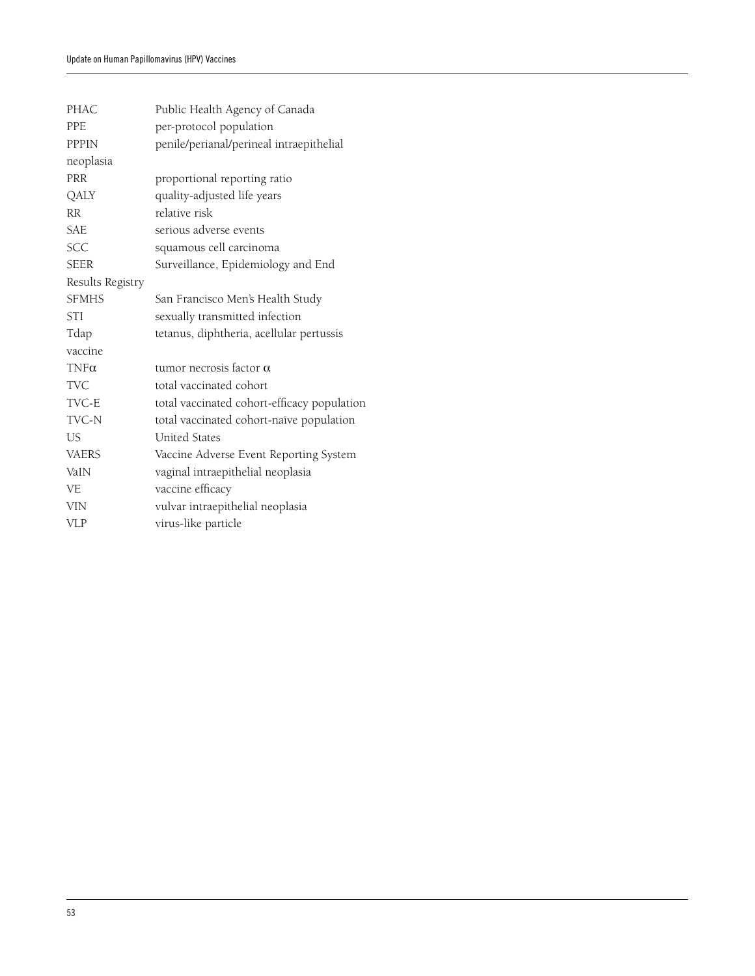| <b>PHAC</b>      | Public Health Agency of Canada              |
|------------------|---------------------------------------------|
| <b>PPF</b>       | per-protocol population                     |
| <b>PPPIN</b>     | penile/perianal/perineal intraepithelial    |
| neoplasia        |                                             |
| <b>PRR</b>       | proportional reporting ratio                |
| QALY             | quality-adjusted life years                 |
| RR.              | relative risk                               |
| SAE              | serious adverse events                      |
| <b>SCC</b>       | squamous cell carcinoma                     |
| <b>SEER</b>      | Surveillance, Epidemiology and End          |
| Results Registry |                                             |
| <b>SFMHS</b>     | San Francisco Men's Health Study            |
| STI              | sexually transmitted infection              |
| Tdap             | tetanus, diphtheria, acellular pertussis    |
| vaccine          |                                             |
| $TNF\alpha$      | tumor necrosis factor $\alpha$              |
| TVC.             | total vaccinated cohort                     |
| TVC-E            | total vaccinated cohort-efficacy population |
| TVC-N            | total vaccinated cohort-naïve population    |
| US.              | <b>United States</b>                        |
| <b>VAERS</b>     | Vaccine Adverse Event Reporting System      |
| VaIN             | vaginal intraepithelial neoplasia           |
| VE.              | vaccine efficacy                            |
| <b>VIN</b>       | vulvar intraepithelial neoplasia            |
| <b>VLP</b>       | virus-like particle                         |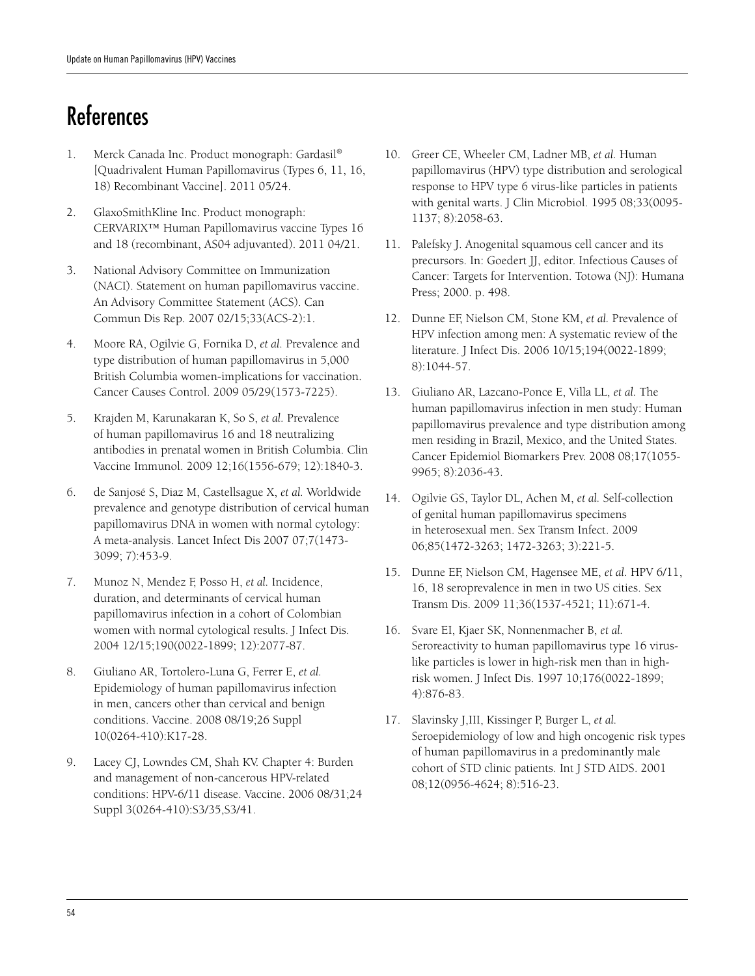# References

- 1. Merck Canada Inc. Product monograph: Gardasil® [Quadrivalent Human Papillomavirus (Types 6, 11, 16, 18) Recombinant Vaccine]. 2011 05/24.
- 2. GlaxoSmithKline Inc. Product monograph: CERVARIX™ Human Papillomavirus vaccine Types 16 and 18 (recombinant, AS04 adjuvanted). 2011 04/21.
- 3. National Advisory Committee on Immunization (NACI). Statement on human papillomavirus vaccine. An Advisory Committee Statement (ACS). Can Commun Dis Rep. 2007 02/15;33(ACS-2):1.
- 4. Moore RA, Ogilvie G, Fornika D, *et al.* Prevalence and type distribution of human papillomavirus in 5,000 British Columbia women-implications for vaccination. Cancer Causes Control. 2009 05/29(1573-7225).
- 5. Krajden M, Karunakaran K, So S, *et al.* Prevalence of human papillomavirus 16 and 18 neutralizing antibodies in prenatal women in British Columbia. Clin Vaccine Immunol. 2009 12;16(1556-679; 12):1840-3.
- 6. de Sanjosé S, Diaz M, Castellsague X, *et al.* Worldwide prevalence and genotype distribution of cervical human papillomavirus DNA in women with normal cytology: A meta-analysis. Lancet Infect Dis 2007 07;7(1473- 3099; 7):453-9.
- 7. Munoz N, Mendez F, Posso H, *et al.* Incidence, duration, and determinants of cervical human papillomavirus infection in a cohort of Colombian women with normal cytological results. J Infect Dis. 2004 12/15;190(0022-1899; 12):2077-87.
- 8. Giuliano AR, Tortolero-Luna G, Ferrer E, *et al.* Epidemiology of human papillomavirus infection in men, cancers other than cervical and benign conditions. Vaccine. 2008 08/19;26 Suppl 10(0264-410):K17-28.
- 9. Lacey CJ, Lowndes CM, Shah KV. Chapter 4: Burden and management of non-cancerous HPV-related conditions: HPV-6/11 disease. Vaccine. 2006 08/31;24 Suppl 3(0264-410):S3/35,S3/41.
- 10. Greer CE, Wheeler CM, Ladner MB, *et al.* Human papillomavirus (HPV) type distribution and serological response to HPV type 6 virus-like particles in patients with genital warts. J Clin Microbiol. 1995 08;33(0095- 1137; 8):2058-63.
- 11. Palefsky J. Anogenital squamous cell cancer and its precursors. In: Goedert JJ, editor. Infectious Causes of Cancer: Targets for Intervention. Totowa (NJ): Humana Press; 2000. p. 498.
- 12. Dunne EF, Nielson CM, Stone KM, *et al.* Prevalence of HPV infection among men: A systematic review of the literature. J Infect Dis. 2006 10/15;194(0022-1899; 8):1044-57.
- 13. Giuliano AR, Lazcano-Ponce E, Villa LL, *et al.* The human papillomavirus infection in men study: Human papillomavirus prevalence and type distribution among men residing in Brazil, Mexico, and the United States. Cancer Epidemiol Biomarkers Prev. 2008 08;17(1055- 9965; 8):2036-43.
- 14. Ogilvie GS, Taylor DL, Achen M, *et al.* Self-collection of genital human papillomavirus specimens in heterosexual men. Sex Transm Infect. 2009 06;85(1472-3263; 1472-3263; 3):221-5.
- 15. Dunne EF, Nielson CM, Hagensee ME, *et al.* HPV 6/11, 16, 18 seroprevalence in men in two US cities. Sex Transm Dis. 2009 11;36(1537-4521; 11):671-4.
- 16. Svare EI, Kjaer SK, Nonnenmacher B, *et al.* Seroreactivity to human papillomavirus type 16 viruslike particles is lower in high-risk men than in highrisk women. J Infect Dis. 1997 10;176(0022-1899; 4):876-83.
- 17. Slavinsky J,III, Kissinger P, Burger L, *et al.* Seroepidemiology of low and high oncogenic risk types of human papillomavirus in a predominantly male cohort of STD clinic patients. Int J STD AIDS. 2001 08;12(0956-4624; 8):516-23.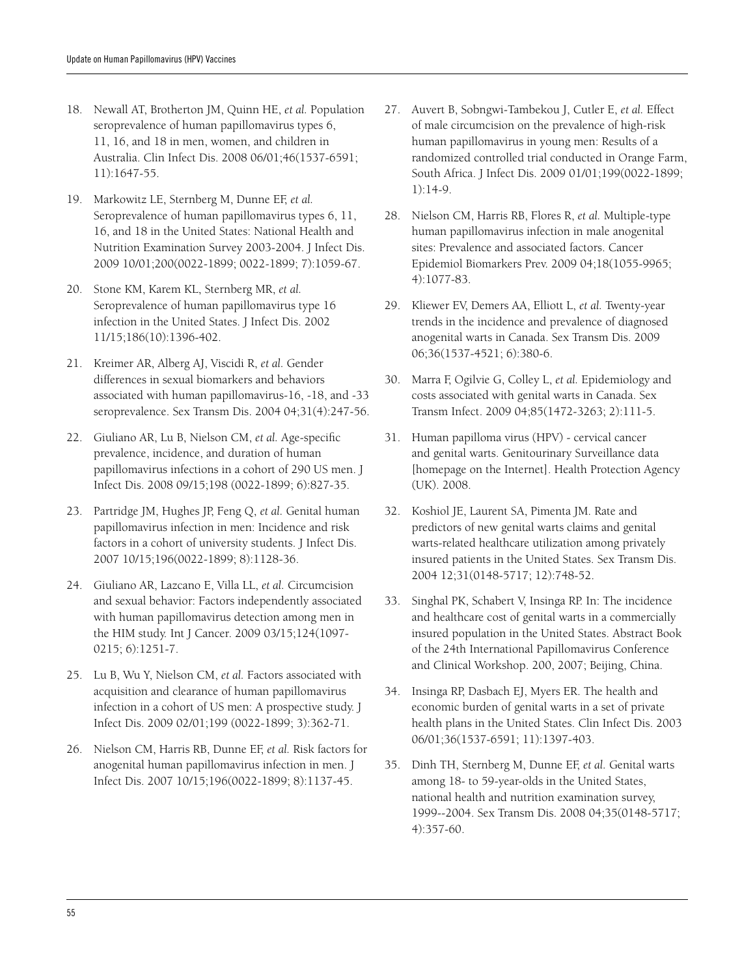- 18. Newall AT, Brotherton JM, Quinn HE, *et al.* Population seroprevalence of human papillomavirus types 6, 11, 16, and 18 in men, women, and children in Australia. Clin Infect Dis. 2008 06/01;46(1537-6591; 11):1647-55.
- 19. Markowitz LE, Sternberg M, Dunne EF, *et al.* Seroprevalence of human papillomavirus types 6, 11, 16, and 18 in the United States: National Health and Nutrition Examination Survey 2003-2004. J Infect Dis. 2009 10/01;200(0022-1899; 0022-1899; 7):1059-67.
- 20. Stone KM, Karem KL, Sternberg MR, *et al.* Seroprevalence of human papillomavirus type 16 infection in the United States. J Infect Dis. 2002 11/15;186(10):1396-402.
- 21. Kreimer AR, Alberg AJ, Viscidi R, *et al.* Gender differences in sexual biomarkers and behaviors associated with human papillomavirus-16, -18, and -33 seroprevalence. Sex Transm Dis. 2004 04;31(4):247-56.
- 22. Giuliano AR, Lu B, Nielson CM, *et al.* Age-specific prevalence, incidence, and duration of human papillomavirus infections in a cohort of 290 US men. J Infect Dis. 2008 09/15;198 (0022-1899; 6):827-35.
- 23. Partridge JM, Hughes JP, Feng Q, *et al.* Genital human papillomavirus infection in men: Incidence and risk factors in a cohort of university students. J Infect Dis. 2007 10/15;196(0022-1899; 8):1128-36.
- 24. Giuliano AR, Lazcano E, Villa LL, *et al.* Circumcision and sexual behavior: Factors independently associated with human papillomavirus detection among men in the HIM study. Int J Cancer. 2009 03/15;124(1097- 0215; 6):1251-7.
- 25. Lu B, Wu Y, Nielson CM, *et al.* Factors associated with acquisition and clearance of human papillomavirus infection in a cohort of US men: A prospective study. J Infect Dis. 2009 02/01;199 (0022-1899; 3):362-71.
- 26. Nielson CM, Harris RB, Dunne EF, *et al.* Risk factors for anogenital human papillomavirus infection in men. J Infect Dis. 2007 10/15;196(0022-1899; 8):1137-45.
- 27. Auvert B, Sobngwi-Tambekou J, Cutler E, *et al.* Effect of male circumcision on the prevalence of high-risk human papillomavirus in young men: Results of a randomized controlled trial conducted in Orange Farm, South Africa. J Infect Dis. 2009 01/01;199(0022-1899; 1):14-9.
- 28. Nielson CM, Harris RB, Flores R, *et al.* Multiple-type human papillomavirus infection in male anogenital sites: Prevalence and associated factors. Cancer Epidemiol Biomarkers Prev. 2009 04;18(1055-9965; 4):1077-83.
- 29. Kliewer EV, Demers AA, Elliott L, *et al.* Twenty-year trends in the incidence and prevalence of diagnosed anogenital warts in Canada. Sex Transm Dis. 2009 06;36(1537-4521; 6):380-6.
- 30. Marra F, Ogilvie G, Colley L, *et al.* Epidemiology and costs associated with genital warts in Canada. Sex Transm Infect. 2009 04;85(1472-3263; 2):111-5.
- 31. Human papilloma virus (HPV) cervical cancer and genital warts. Genitourinary Surveillance data [homepage on the Internet]. Health Protection Agency (UK). 2008.
- 32. Koshiol JE, Laurent SA, Pimenta JM. Rate and predictors of new genital warts claims and genital warts-related healthcare utilization among privately insured patients in the United States. Sex Transm Dis. 2004 12;31(0148-5717; 12):748-52.
- 33. Singhal PK, Schabert V, Insinga RP. In: The incidence and healthcare cost of genital warts in a commercially insured population in the United States. Abstract Book of the 24th International Papillomavirus Conference and Clinical Workshop. 200, 2007; Beijing, China.
- 34. Insinga RP, Dasbach EJ, Myers ER. The health and economic burden of genital warts in a set of private health plans in the United States. Clin Infect Dis. 2003 06/01;36(1537-6591; 11):1397-403.
- 35. Dinh TH, Sternberg M, Dunne EF, *et al.* Genital warts among 18- to 59-year-olds in the United States, national health and nutrition examination survey, 1999--2004. Sex Transm Dis. 2008 04;35(0148-5717; 4):357-60.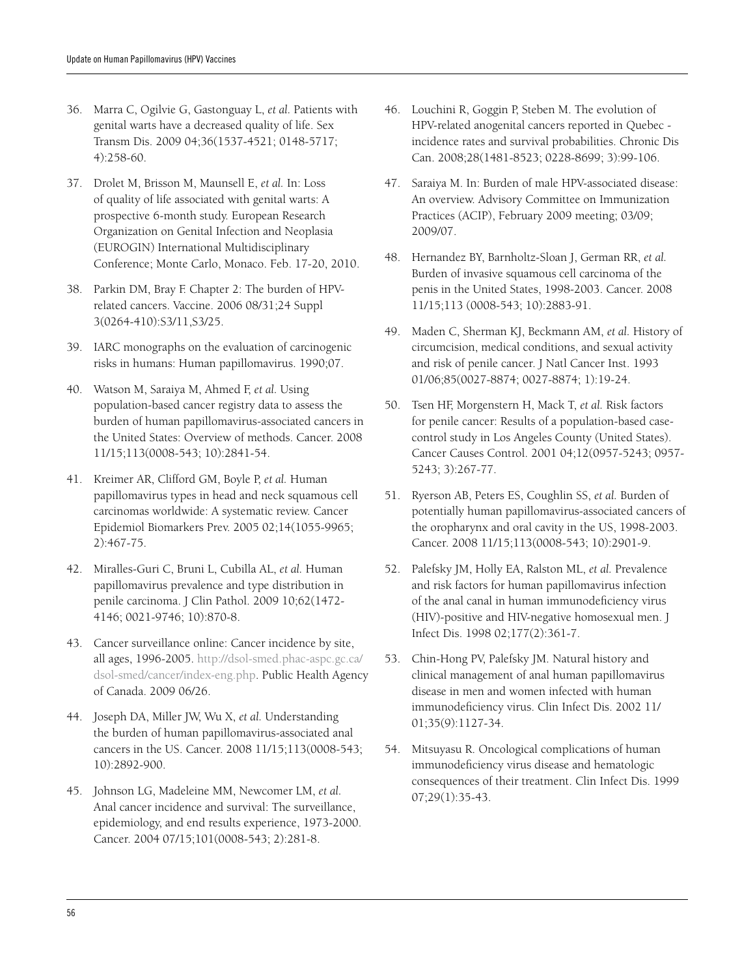- 36. Marra C, Ogilvie G, Gastonguay L, *et al.* Patients with genital warts have a decreased quality of life. Sex Transm Dis. 2009 04;36(1537-4521; 0148-5717; 4):258-60.
- 37. Drolet M, Brisson M, Maunsell E, *et al.* In: Loss of quality of life associated with genital warts: A prospective 6-month study. European Research Organization on Genital Infection and Neoplasia (EUROGIN) International Multidisciplinary Conference; Monte Carlo, Monaco. Feb. 17-20, 2010.
- 38. Parkin DM, Bray F. Chapter 2: The burden of HPVrelated cancers. Vaccine. 2006 08/31;24 Suppl 3(0264-410):S3/11,S3/25.
- 39. IARC monographs on the evaluation of carcinogenic risks in humans: Human papillomavirus. 1990;07.
- 40. Watson M, Saraiya M, Ahmed F, *et al.* Using population-based cancer registry data to assess the burden of human papillomavirus-associated cancers in the United States: Overview of methods. Cancer. 2008 11/15;113(0008-543; 10):2841-54.
- 41. Kreimer AR, Clifford GM, Boyle P, *et al.* Human papillomavirus types in head and neck squamous cell carcinomas worldwide: A systematic review. Cancer Epidemiol Biomarkers Prev. 2005 02;14(1055-9965; 2):467-75.
- 42. Miralles-Guri C, Bruni L, Cubilla AL, *et al.* Human papillomavirus prevalence and type distribution in penile carcinoma. J Clin Pathol. 2009 10;62(1472- 4146; 0021-9746; 10):870-8.
- 43. Cancer surveillance online: Cancer incidence by site, all ages, 1996-2005. http://dsol-smed.phac-aspc.gc.ca/ dsol-smed/cancer/index-eng.php. Public Health Agency of Canada. 2009 06/26.
- 44. Joseph DA, Miller JW, Wu X, *et al.* Understanding the burden of human papillomavirus-associated anal cancers in the US. Cancer. 2008 11/15;113(0008-543; 10):2892-900.
- 45. Johnson LG, Madeleine MM, Newcomer LM, *et al.* Anal cancer incidence and survival: The surveillance, epidemiology, and end results experience, 1973-2000. Cancer. 2004 07/15;101(0008-543; 2):281-8.
- 46. Louchini R, Goggin P, Steben M. The evolution of HPV-related anogenital cancers reported in Quebec incidence rates and survival probabilities. Chronic Dis Can. 2008;28(1481-8523; 0228-8699; 3):99-106.
- 47. Saraiya M. In: Burden of male HPV-associated disease: An overview. Advisory Committee on Immunization Practices (ACIP), February 2009 meeting; 03/09; 2009/07.
- 48. Hernandez BY, Barnholtz-Sloan J, German RR, *et al.* Burden of invasive squamous cell carcinoma of the penis in the United States, 1998-2003. Cancer. 2008 11/15;113 (0008-543; 10):2883-91.
- 49. Maden C, Sherman KJ, Beckmann AM, *et al.* History of circumcision, medical conditions, and sexual activity and risk of penile cancer. J Natl Cancer Inst. 1993 01/06;85(0027-8874; 0027-8874; 1):19-24.
- 50. Tsen HF, Morgenstern H, Mack T, *et al.* Risk factors for penile cancer: Results of a population-based casecontrol study in Los Angeles County (United States). Cancer Causes Control. 2001 04;12(0957-5243; 0957- 5243; 3):267-77.
- 51. Ryerson AB, Peters ES, Coughlin SS, *et al.* Burden of potentially human papillomavirus-associated cancers of the oropharynx and oral cavity in the US, 1998-2003. Cancer. 2008 11/15;113(0008-543; 10):2901-9.
- 52. Palefsky JM, Holly EA, Ralston ML, *et al.* Prevalence and risk factors for human papillomavirus infection of the anal canal in human immunodeficiency virus (HIV)-positive and HIV-negative homosexual men. J Infect Dis. 1998 02;177(2):361-7.
- 53. Chin-Hong PV, Palefsky JM. Natural history and clinical management of anal human papillomavirus disease in men and women infected with human immunodeficiency virus. Clin Infect Dis. 2002 11/ 01;35(9):1127-34.
- 54. Mitsuyasu R. Oncological complications of human immunodeficiency virus disease and hematologic consequences of their treatment. Clin Infect Dis. 1999 07;29(1):35-43.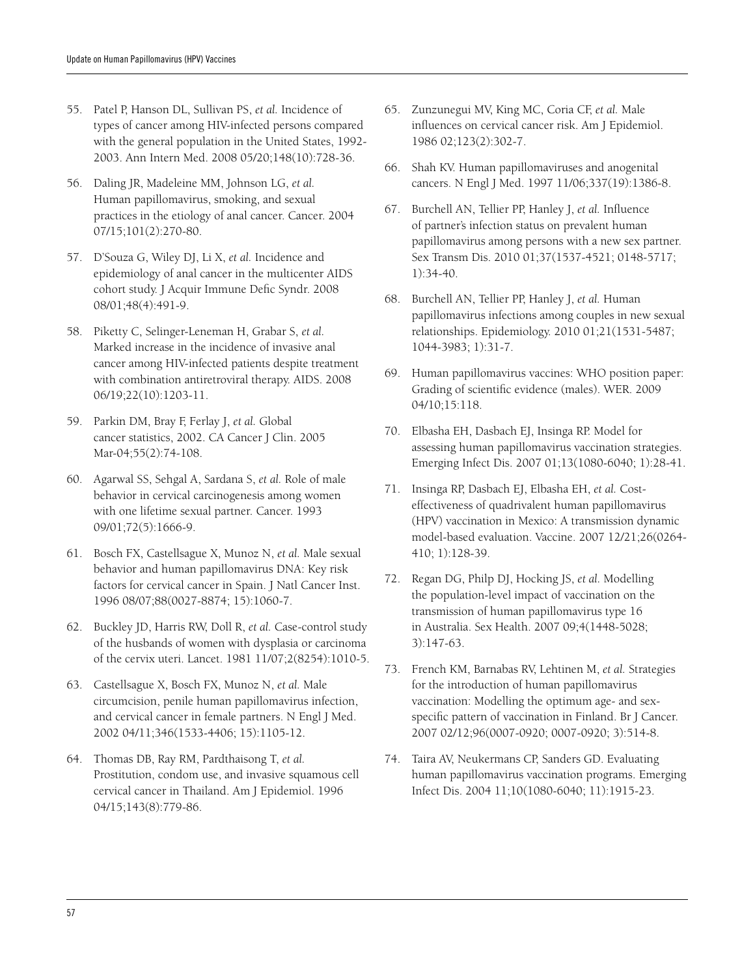- 55. Patel P, Hanson DL, Sullivan PS, *et al.* Incidence of types of cancer among HIV-infected persons compared with the general population in the United States, 1992- 2003. Ann Intern Med. 2008 05/20;148(10):728-36.
- 56. Daling JR, Madeleine MM, Johnson LG, *et al.* Human papillomavirus, smoking, and sexual practices in the etiology of anal cancer. Cancer. 2004 07/15;101(2):270-80.
- 57. D'Souza G, Wiley DJ, Li X, *et al.* Incidence and epidemiology of anal cancer in the multicenter AIDS cohort study. J Acquir Immune Defic Syndr. 2008 08/01;48(4):491-9.
- 58. Piketty C, Selinger-Leneman H, Grabar S, *et al.* Marked increase in the incidence of invasive anal cancer among HIV-infected patients despite treatment with combination antiretroviral therapy. AIDS. 2008 06/19;22(10):1203-11.
- 59. Parkin DM, Bray F, Ferlay J, *et al.* Global cancer statistics, 2002. CA Cancer J Clin. 2005 Mar-04;55(2):74-108.
- 60. Agarwal SS, Sehgal A, Sardana S, *et al.* Role of male behavior in cervical carcinogenesis among women with one lifetime sexual partner. Cancer. 1993 09/01;72(5):1666-9.
- 61. Bosch FX, Castellsague X, Munoz N, *et al.* Male sexual behavior and human papillomavirus DNA: Key risk factors for cervical cancer in Spain. J Natl Cancer Inst. 1996 08/07;88(0027-8874; 15):1060-7.
- 62. Buckley JD, Harris RW, Doll R, *et al.* Case-control study of the husbands of women with dysplasia or carcinoma of the cervix uteri. Lancet. 1981 11/07;2(8254):1010-5.
- 63. Castellsague X, Bosch FX, Munoz N, *et al.* Male circumcision, penile human papillomavirus infection, and cervical cancer in female partners. N Engl J Med. 2002 04/11;346(1533-4406; 15):1105-12.
- 64. Thomas DB, Ray RM, Pardthaisong T, *et al.* Prostitution, condom use, and invasive squamous cell cervical cancer in Thailand. Am J Epidemiol. 1996 04/15;143(8):779-86.
- 65. Zunzunegui MV, King MC, Coria CF, *et al.* Male influences on cervical cancer risk. Am J Epidemiol. 1986 02;123(2):302-7.
- 66. Shah KV. Human papillomaviruses and anogenital cancers. N Engl J Med. 1997 11/06;337(19):1386-8.
- 67. Burchell AN, Tellier PP, Hanley J, *et al.* Influence of partner's infection status on prevalent human papillomavirus among persons with a new sex partner. Sex Transm Dis. 2010 01;37(1537-4521; 0148-5717; 1):34-40.
- 68. Burchell AN, Tellier PP, Hanley J, *et al.* Human papillomavirus infections among couples in new sexual relationships. Epidemiology. 2010 01;21(1531-5487; 1044-3983; 1):31-7.
- 69. Human papillomavirus vaccines: WHO position paper: Grading of scientific evidence (males). WER. 2009 04/10;15:118.
- 70. Elbasha EH, Dasbach EJ, Insinga RP. Model for assessing human papillomavirus vaccination strategies. Emerging Infect Dis. 2007 01;13(1080-6040; 1):28-41.
- 71. Insinga RP, Dasbach EJ, Elbasha EH, *et al.* Costeffectiveness of quadrivalent human papillomavirus (HPV) vaccination in Mexico: A transmission dynamic model-based evaluation. Vaccine. 2007 12/21;26(0264- 410; 1):128-39.
- 72. Regan DG, Philp DJ, Hocking JS, *et al.* Modelling the population-level impact of vaccination on the transmission of human papillomavirus type 16 in Australia. Sex Health. 2007 09;4(1448-5028; 3):147-63.
- 73. French KM, Barnabas RV, Lehtinen M, *et al.* Strategies for the introduction of human papillomavirus vaccination: Modelling the optimum age- and sexspecific pattern of vaccination in Finland. Br J Cancer. 2007 02/12;96(0007-0920; 0007-0920; 3):514-8.
- 74. Taira AV, Neukermans CP, Sanders GD. Evaluating human papillomavirus vaccination programs. Emerging Infect Dis. 2004 11;10(1080-6040; 11):1915-23.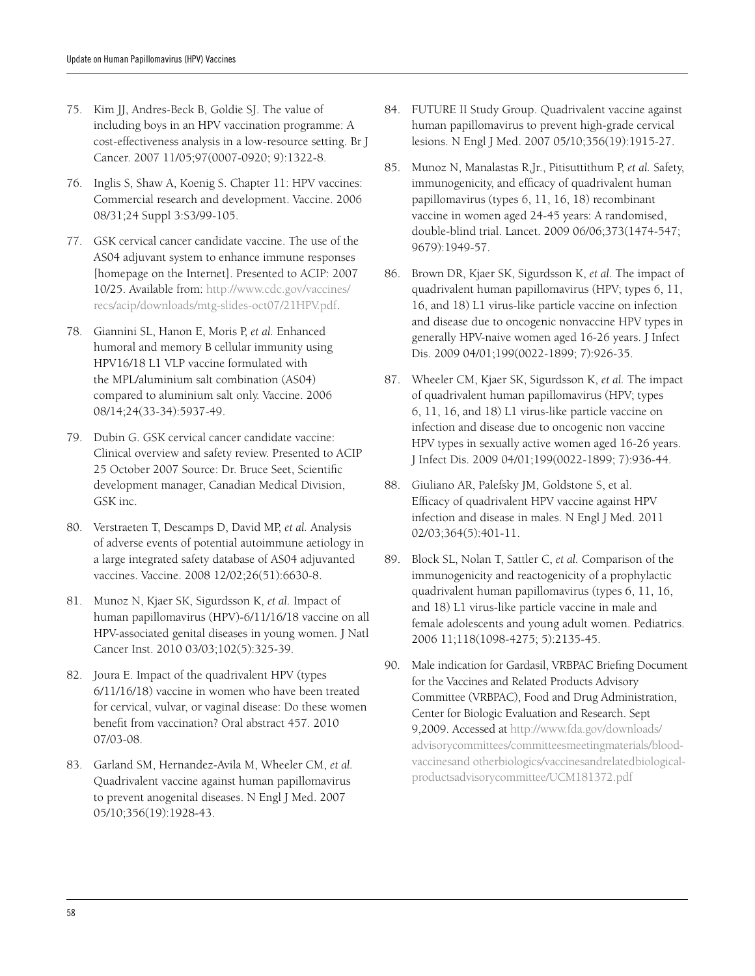- 75. Kim JJ, Andres-Beck B, Goldie SJ. The value of including boys in an HPV vaccination programme: A cost-effectiveness analysis in a low-resource setting. Br J Cancer. 2007 11/05;97(0007-0920; 9):1322-8.
- 76. Inglis S, Shaw A, Koenig S. Chapter 11: HPV vaccines: Commercial research and development. Vaccine. 2006 08/31;24 Suppl 3:S3/99-105.
- 77. GSK cervical cancer candidate vaccine. The use of the AS04 adjuvant system to enhance immune responses [homepage on the Internet]. Presented to ACIP: 2007 10/25. Available from: http://www.cdc.gov/vaccines/ recs/acip/downloads/mtg-slides-oct07/21HPV.pdf.
- 78. Giannini SL, Hanon E, Moris P, *et al.* Enhanced humoral and memory B cellular immunity using HPV16/18 L1 VLP vaccine formulated with the MPL/aluminium salt combination (AS04) compared to aluminium salt only. Vaccine. 2006 08/14;24(33-34):5937-49.
- 79. Dubin G. GSK cervical cancer candidate vaccine: Clinical overview and safety review. Presented to ACIP 25 October 2007 Source: Dr. Bruce Seet, Scientific development manager, Canadian Medical Division, GSK inc.
- 80. Verstraeten T, Descamps D, David MP, *et al.* Analysis of adverse events of potential autoimmune aetiology in a large integrated safety database of AS04 adjuvanted vaccines. Vaccine. 2008 12/02;26(51):6630-8.
- 81. Munoz N, Kjaer SK, Sigurdsson K, *et al.* Impact of human papillomavirus (HPV)-6/11/16/18 vaccine on all HPV-associated genital diseases in young women. J Natl Cancer Inst. 2010 03/03;102(5):325-39.
- 82. Joura E. Impact of the quadrivalent HPV (types 6/11/16/18) vaccine in women who have been treated for cervical, vulvar, or vaginal disease: Do these women benefit from vaccination? Oral abstract 457. 2010 07/03-08.
- 83. Garland SM, Hernandez-Avila M, Wheeler CM, *et al.* Quadrivalent vaccine against human papillomavirus to prevent anogenital diseases. N Engl J Med. 2007 05/10;356(19):1928-43.
- 84. FUTURE II Study Group. Quadrivalent vaccine against human papillomavirus to prevent high-grade cervical lesions. N Engl J Med. 2007 05/10;356(19):1915-27.
- 85. Munoz N, Manalastas R,Jr., Pitisuttithum P, *et al.* Safety, immunogenicity, and efficacy of quadrivalent human papillomavirus (types 6, 11, 16, 18) recombinant vaccine in women aged 24-45 years: A randomised, double-blind trial. Lancet. 2009 06/06;373(1474-547; 9679):1949-57.
- 86. Brown DR, Kjaer SK, Sigurdsson K, *et al.* The impact of quadrivalent human papillomavirus (HPV; types 6, 11, 16, and 18) L1 virus-like particle vaccine on infection and disease due to oncogenic nonvaccine HPV types in generally HPV-naive women aged 16-26 years. J Infect Dis. 2009 04/01;199(0022-1899; 7):926-35.
- 87. Wheeler CM, Kjaer SK, Sigurdsson K, *et al.* The impact of quadrivalent human papillomavirus (HPV; types 6, 11, 16, and 18) L1 virus-like particle vaccine on infection and disease due to oncogenic non vaccine HPV types in sexually active women aged 16-26 years. J Infect Dis. 2009 04/01;199(0022-1899; 7):936-44.
- 88. Giuliano AR, Palefsky JM, Goldstone S, et al. Efficacy of quadrivalent HPV vaccine against HPV infection and disease in males. N Engl J Med. 2011 02/03;364(5):401-11.
- 89. Block SL, Nolan T, Sattler C, *et al.* Comparison of the immunogenicity and reactogenicity of a prophylactic quadrivalent human papillomavirus (types 6, 11, 16, and 18) L1 virus-like particle vaccine in male and female adolescents and young adult women. Pediatrics. 2006 11;118(1098-4275; 5):2135-45.
- 90. Male indication for Gardasil, VRBPAC Briefing Document for the Vaccines and Related Products Advisory Committee (VRBPAC), Food and Drug Administration, Center for Biologic Evaluation and Research. Sept 9,2009. Accessed at http://www.fda.gov/downloads/ advisorycommittees/committeesmeetingmaterials/bloodvaccinesand otherbiologics/vaccinesandrelatedbiologicalproductsadvisorycommittee/UCM181372.pdf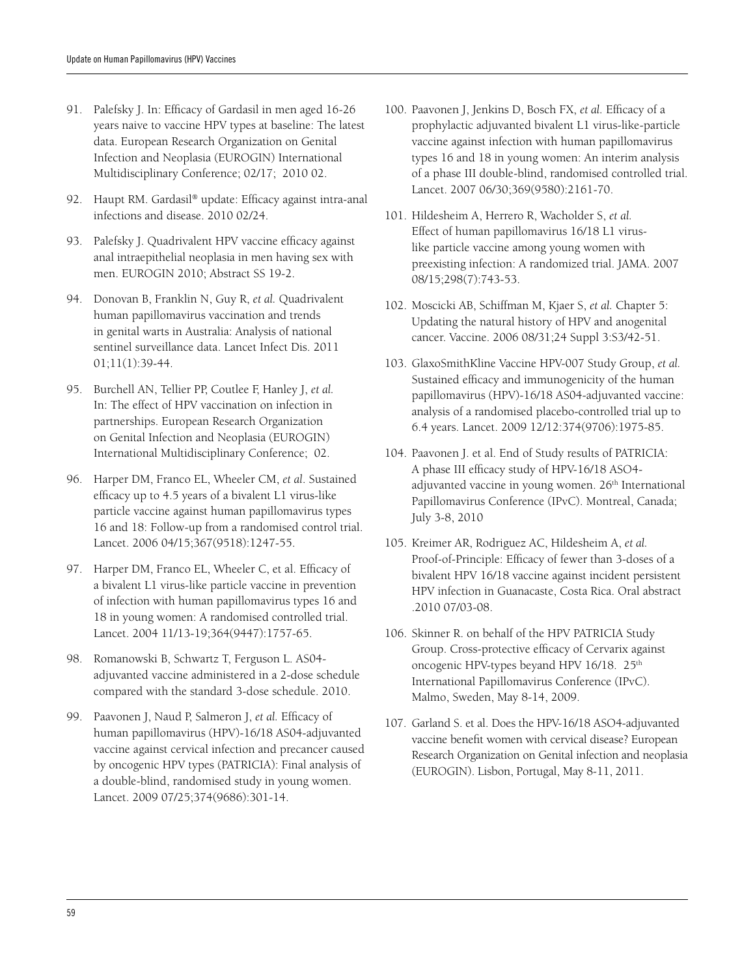- 91. Palefsky J. In: Efficacy of Gardasil in men aged 16-26 years naive to vaccine HPV types at baseline: The latest data. European Research Organization on Genital Infection and Neoplasia (EUROGIN) International Multidisciplinary Conference; 02/17; 2010 02.
- 92. Haupt RM. Gardasil® update: Efficacy against intra-anal infections and disease. 2010 02/24.
- 93. Palefsky J. Quadrivalent HPV vaccine efficacy against anal intraepithelial neoplasia in men having sex with men. EUROGIN 2010; Abstract SS 19-2.
- 94. Donovan B, Franklin N, Guy R, *et al.* Quadrivalent human papillomavirus vaccination and trends in genital warts in Australia: Analysis of national sentinel surveillance data. Lancet Infect Dis. 2011 01;11(1):39-44.
- 95. Burchell AN, Tellier PP, Coutlee F, Hanley J, *et al.* In: The effect of HPV vaccination on infection in partnerships. European Research Organization on Genital Infection and Neoplasia (EUROGIN) International Multidisciplinary Conference; 02.
- 96. Harper DM, Franco EL, Wheeler CM, *et al*. Sustained efficacy up to 4.5 years of a bivalent L1 virus-like particle vaccine against human papillomavirus types 16 and 18: Follow-up from a randomised control trial. Lancet. 2006 04/15;367(9518):1247-55.
- 97. Harper DM, Franco EL, Wheeler C, et al. Efficacy of a bivalent L1 virus-like particle vaccine in prevention of infection with human papillomavirus types 16 and 18 in young women: A randomised controlled trial. Lancet. 2004 11/13-19;364(9447):1757-65.
- 98. Romanowski B, Schwartz T, Ferguson L. AS04 adjuvanted vaccine administered in a 2-dose schedule compared with the standard 3-dose schedule. 2010.
- 99. Paavonen J, Naud P, Salmeron J, *et al.* Efficacy of human papillomavirus (HPV)-16/18 AS04-adjuvanted vaccine against cervical infection and precancer caused by oncogenic HPV types (PATRICIA): Final analysis of a double-blind, randomised study in young women. Lancet. 2009 07/25;374(9686):301-14.
- 100. Paavonen J, Jenkins D, Bosch FX, *et al.* Efficacy of a prophylactic adjuvanted bivalent L1 virus-like-particle vaccine against infection with human papillomavirus types 16 and 18 in young women: An interim analysis of a phase III double-blind, randomised controlled trial. Lancet. 2007 06/30;369(9580):2161-70.
- 101. Hildesheim A, Herrero R, Wacholder S, *et al.* Effect of human papillomavirus 16/18 L1 viruslike particle vaccine among young women with preexisting infection: A randomized trial. JAMA. 2007 08/15;298(7):743-53.
- 102. Moscicki AB, Schiffman M, Kjaer S, *et al.* Chapter 5: Updating the natural history of HPV and anogenital cancer. Vaccine. 2006 08/31;24 Suppl 3:S3/42-51.
- 103. GlaxoSmithKline Vaccine HPV-007 Study Group, *et al.*  Sustained efficacy and immunogenicity of the human papillomavirus (HPV)-16/18 AS04-adjuvanted vaccine: analysis of a randomised placebo-controlled trial up to 6.4 years. Lancet. 2009 12/12:374(9706):1975-85.
- 104. Paavonen J. et al. End of Study results of PATRICIA: A phase III efficacy study of HPV-16/18 ASO4 adjuvanted vaccine in young women. 26<sup>th</sup> International Papillomavirus Conference (IPvC). Montreal, Canada; July 3-8, 2010
- 105. Kreimer AR, Rodriguez AC, Hildesheim A, *et al.*  Proof-of-Principle: Efficacy of fewer than 3-doses of a bivalent HPV 16/18 vaccine against incident persistent HPV infection in Guanacaste, Costa Rica. Oral abstract .2010 07/03-08.
- 106. Skinner R. on behalf of the HPV PATRICIA Study Group. Cross-protective efficacy of Cervarix against oncogenic HPV-types beyand HPV 16/18. 25<sup>th</sup> International Papillomavirus Conference (IPvC). Malmo, Sweden, May 8-14, 2009.
- 107. Garland S. et al. Does the HPV-16/18 ASO4-adjuvanted vaccine benefit women with cervical disease? European Research Organization on Genital infection and neoplasia (EUROGIN). Lisbon, Portugal, May 8-11, 2011.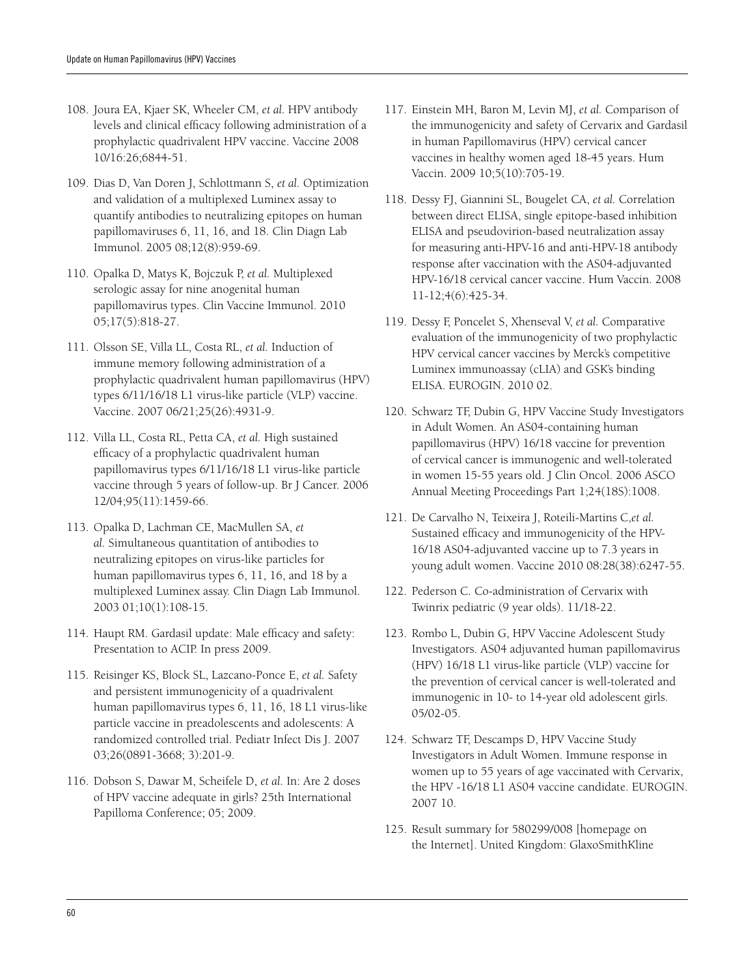- 108. Joura EA, Kjaer SK, Wheeler CM, *et al.* HPV antibody levels and clinical efficacy following administration of a prophylactic quadrivalent HPV vaccine. Vaccine 2008 10/16:26;6844-51.
- 109. Dias D, Van Doren J, Schlottmann S, *et al.* Optimization and validation of a multiplexed Luminex assay to quantify antibodies to neutralizing epitopes on human papillomaviruses 6, 11, 16, and 18. Clin Diagn Lab Immunol. 2005 08;12(8):959-69.
- 110. Opalka D, Matys K, Bojczuk P, *et al.* Multiplexed serologic assay for nine anogenital human papillomavirus types. Clin Vaccine Immunol. 2010 05;17(5):818-27.
- 111. Olsson SE, Villa LL, Costa RL, *et al.* Induction of immune memory following administration of a prophylactic quadrivalent human papillomavirus (HPV) types 6/11/16/18 L1 virus-like particle (VLP) vaccine. Vaccine. 2007 06/21;25(26):4931-9.
- 112. Villa LL, Costa RL, Petta CA, *et al.* High sustained efficacy of a prophylactic quadrivalent human papillomavirus types 6/11/16/18 L1 virus-like particle vaccine through 5 years of follow-up. Br J Cancer. 2006 12/04;95(11):1459-66.
- 113. Opalka D, Lachman CE, MacMullen SA, *et al.* Simultaneous quantitation of antibodies to neutralizing epitopes on virus-like particles for human papillomavirus types 6, 11, 16, and 18 by a multiplexed Luminex assay. Clin Diagn Lab Immunol. 2003 01;10(1):108-15.
- 114. Haupt RM. Gardasil update: Male efficacy and safety: Presentation to ACIP. In press 2009.
- 115. Reisinger KS, Block SL, Lazcano-Ponce E, *et al.* Safety and persistent immunogenicity of a quadrivalent human papillomavirus types 6, 11, 16, 18 L1 virus-like particle vaccine in preadolescents and adolescents: A randomized controlled trial. Pediatr Infect Dis J. 2007 03;26(0891-3668; 3):201-9.
- 116. Dobson S, Dawar M, Scheifele D, *et al.* In: Are 2 doses of HPV vaccine adequate in girls? 25th International Papilloma Conference; 05; 2009.
- 117. Einstein MH, Baron M, Levin MJ, *et al.* Comparison of the immunogenicity and safety of Cervarix and Gardasil in human Papillomavirus (HPV) cervical cancer vaccines in healthy women aged 18-45 years. Hum Vaccin. 2009 10;5(10):705-19.
- 118. Dessy FJ, Giannini SL, Bougelet CA, *et al.* Correlation between direct ELISA, single epitope-based inhibition ELISA and pseudovirion-based neutralization assay for measuring anti-HPV-16 and anti-HPV-18 antibody response after vaccination with the AS04-adjuvanted HPV-16/18 cervical cancer vaccine. Hum Vaccin. 2008 11-12;4(6):425-34.
- 119. Dessy F, Poncelet S, Xhenseval V, *et al.* Comparative evaluation of the immunogenicity of two prophylactic HPV cervical cancer vaccines by Merck's competitive Luminex immunoassay (cLIA) and GSK's binding ELISA. EUROGIN. 2010 02.
- 120. Schwarz TF, Dubin G, HPV Vaccine Study Investigators in Adult Women. An AS04-containing human papillomavirus (HPV) 16/18 vaccine for prevention of cervical cancer is immunogenic and well-tolerated in women 15-55 years old. J Clin Oncol. 2006 ASCO Annual Meeting Proceedings Part 1;24(18S):1008.
- 121. De Carvalho N, Teixeira J, Roteili-Martins C,*et al.* Sustained efficacy and immunogenicity of the HPV-16/18 AS04-adjuvanted vaccine up to 7.3 years in young adult women. Vaccine 2010 08:28(38):6247-55.
- 122. Pederson C. Co-administration of Cervarix with Twinrix pediatric (9 year olds). 11/18-22.
- 123. Rombo L, Dubin G, HPV Vaccine Adolescent Study Investigators. AS04 adjuvanted human papillomavirus (HPV) 16/18 L1 virus-like particle (VLP) vaccine for the prevention of cervical cancer is well-tolerated and immunogenic in 10- to 14-year old adolescent girls. 05/02-05.
- 124. Schwarz TF, Descamps D, HPV Vaccine Study Investigators in Adult Women. Immune response in women up to 55 years of age vaccinated with Cervarix, the HPV -16/18 L1 AS04 vaccine candidate. EUROGIN. 2007 10.
- 125. Result summary for 580299/008 [homepage on the Internet]. United Kingdom: GlaxoSmithKline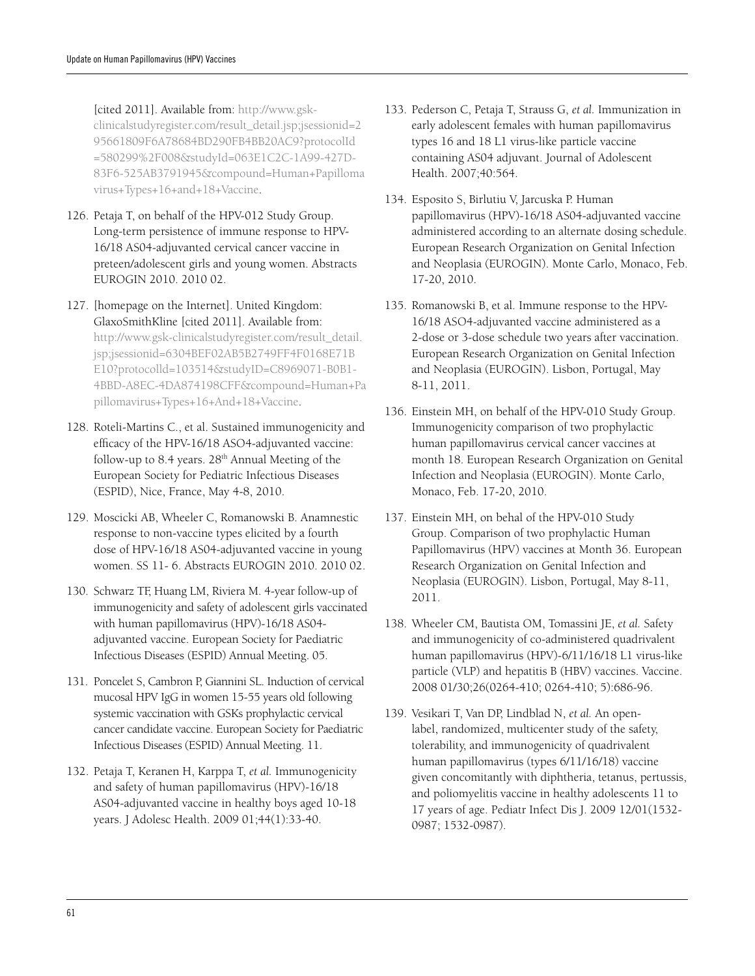[cited 2011]. Available from: http://www.gskclinicalstudyregister.com/result\_detail.jsp;jsessionid=2 95661809F6A78684BD290FB4BB20AC9?protocolId =580299%2F008&studyId=063E1C2C-1A99-427D-83F6-525AB3791945&compound=Human+Papilloma virus+Types+16+and+18+Vaccine.

- 126. Petaja T, on behalf of the HPV-012 Study Group. Long-term persistence of immune response to HPV-16/18 AS04-adjuvanted cervical cancer vaccine in preteen/adolescent girls and young women. Abstracts EUROGIN 2010. 2010 02.
- 127. [homepage on the Internet]. United Kingdom: GlaxoSmithKline [cited 2011]. Available from: http://www.gsk-clinicalstudyregister.com/result\_detail. jsp;jsessionid=6304BEF02AB5B2749FF4F0168E71B E10?protocolld=103514&studyID=C8969071-B0B1- 4BBD-A8EC-4DA874198CFF&compound=Human+Pa pillomavirus+Types+16+And+18+Vaccine.
- 128. Roteli-Martins C., et al. Sustained immunogenicity and efficacy of the HPV-16/18 ASO4-adjuvanted vaccine: follow-up to 8.4 years. 28<sup>th</sup> Annual Meeting of the European Society for Pediatric Infectious Diseases (ESPID), Nice, France, May 4-8, 2010.
- 129. Moscicki AB, Wheeler C, Romanowski B. Anamnestic response to non-vaccine types elicited by a fourth dose of HPV-16/18 AS04-adjuvanted vaccine in young women. SS 11- 6. Abstracts EUROGIN 2010. 2010 02.
- 130. Schwarz TF, Huang LM, Riviera M. 4-year follow-up of immunogenicity and safety of adolescent girls vaccinated with human papillomavirus (HPV)-16/18 AS04 adjuvanted vaccine. European Society for Paediatric Infectious Diseases (ESPID) Annual Meeting. 05.
- 131. Poncelet S, Cambron P, Giannini SL. Induction of cervical mucosal HPV IgG in women 15-55 years old following systemic vaccination with GSKs prophylactic cervical cancer candidate vaccine. European Society for Paediatric Infectious Diseases (ESPID) Annual Meeting. 11.
- 132. Petaja T, Keranen H, Karppa T, *et al.* Immunogenicity and safety of human papillomavirus (HPV)-16/18 AS04-adjuvanted vaccine in healthy boys aged 10-18 years. J Adolesc Health. 2009 01;44(1):33-40.
- 133. Pederson C, Petaja T, Strauss G, *et al.* Immunization in early adolescent females with human papillomavirus types 16 and 18 L1 virus-like particle vaccine containing AS04 adjuvant. Journal of Adolescent Health. 2007;40:564.
- 134. Esposito S, Birlutiu V, Jarcuska P. Human papillomavirus (HPV)-16/18 AS04-adjuvanted vaccine administered according to an alternate dosing schedule. European Research Organization on Genital Infection and Neoplasia (EUROGIN). Monte Carlo, Monaco, Feb. 17-20, 2010.
- 135. Romanowski B, et al. Immune response to the HPV-16/18 ASO4-adjuvanted vaccine administered as a 2-dose or 3-dose schedule two years after vaccination. European Research Organization on Genital Infection and Neoplasia (EUROGIN). Lisbon, Portugal, May 8-11, 2011.
- 136. Einstein MH, on behalf of the HPV-010 Study Group. Immunogenicity comparison of two prophylactic human papillomavirus cervical cancer vaccines at month 18. European Research Organization on Genital Infection and Neoplasia (EUROGIN). Monte Carlo, Monaco, Feb. 17-20, 2010.
- 137. Einstein MH, on behal of the HPV-010 Study Group. Comparison of two prophylactic Human Papillomavirus (HPV) vaccines at Month 36. European Research Organization on Genital Infection and Neoplasia (EUROGIN). Lisbon, Portugal, May 8-11, 2011.
- 138. Wheeler CM, Bautista OM, Tomassini JE, *et al.* Safety and immunogenicity of co-administered quadrivalent human papillomavirus (HPV)-6/11/16/18 L1 virus-like particle (VLP) and hepatitis B (HBV) vaccines. Vaccine. 2008 01/30;26(0264-410; 0264-410; 5):686-96.
- 139. Vesikari T, Van DP, Lindblad N, *et al.* An openlabel, randomized, multicenter study of the safety, tolerability, and immunogenicity of quadrivalent human papillomavirus (types 6/11/16/18) vaccine given concomitantly with diphtheria, tetanus, pertussis, and poliomyelitis vaccine in healthy adolescents 11 to 17 years of age. Pediatr Infect Dis J. 2009 12/01(1532- 0987; 1532-0987).